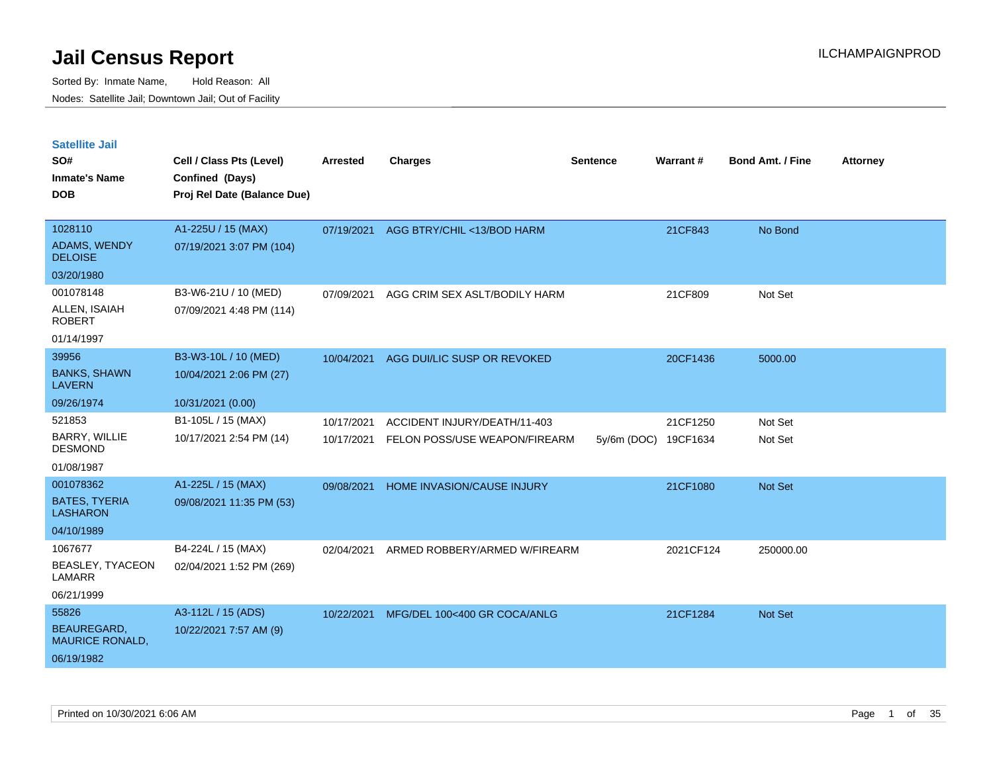Sorted By: Inmate Name, Hold Reason: All Nodes: Satellite Jail; Downtown Jail; Out of Facility

| <b>Satellite Jail</b><br>SO#<br><b>Inmate's Name</b><br><b>DOB</b> | Cell / Class Pts (Level)<br>Confined (Days)<br>Proj Rel Date (Balance Due) | <b>Arrested</b> | <b>Charges</b>                | <b>Sentence</b>      | Warrant#  | <b>Bond Amt. / Fine</b> | <b>Attorney</b> |
|--------------------------------------------------------------------|----------------------------------------------------------------------------|-----------------|-------------------------------|----------------------|-----------|-------------------------|-----------------|
| 1028110                                                            | A1-225U / 15 (MAX)                                                         | 07/19/2021      | AGG BTRY/CHIL <13/BOD HARM    |                      | 21CF843   | No Bond                 |                 |
| <b>ADAMS, WENDY</b><br><b>DELOISE</b>                              | 07/19/2021 3:07 PM (104)                                                   |                 |                               |                      |           |                         |                 |
| 03/20/1980                                                         |                                                                            |                 |                               |                      |           |                         |                 |
| 001078148                                                          | B3-W6-21U / 10 (MED)                                                       | 07/09/2021      | AGG CRIM SEX ASLT/BODILY HARM |                      | 21CF809   | Not Set                 |                 |
| ALLEN, ISAIAH<br><b>ROBERT</b>                                     | 07/09/2021 4:48 PM (114)                                                   |                 |                               |                      |           |                         |                 |
| 01/14/1997                                                         |                                                                            |                 |                               |                      |           |                         |                 |
| 39956                                                              | B3-W3-10L / 10 (MED)                                                       | 10/04/2021      | AGG DUI/LIC SUSP OR REVOKED   |                      | 20CF1436  | 5000.00                 |                 |
| <b>BANKS, SHAWN</b><br><b>LAVERN</b>                               | 10/04/2021 2:06 PM (27)                                                    |                 |                               |                      |           |                         |                 |
| 09/26/1974                                                         | 10/31/2021 (0.00)                                                          |                 |                               |                      |           |                         |                 |
| 521853                                                             | B1-105L / 15 (MAX)                                                         | 10/17/2021      | ACCIDENT INJURY/DEATH/11-403  |                      | 21CF1250  | Not Set                 |                 |
| <b>BARRY, WILLIE</b><br><b>DESMOND</b>                             | 10/17/2021 2:54 PM (14)                                                    | 10/17/2021      | FELON POSS/USE WEAPON/FIREARM | 5y/6m (DOC) 19CF1634 |           | Not Set                 |                 |
| 01/08/1987                                                         |                                                                            |                 |                               |                      |           |                         |                 |
| 001078362                                                          | A1-225L / 15 (MAX)                                                         | 09/08/2021      | HOME INVASION/CAUSE INJURY    |                      | 21CF1080  | <b>Not Set</b>          |                 |
| <b>BATES, TYERIA</b><br><b>LASHARON</b>                            | 09/08/2021 11:35 PM (53)                                                   |                 |                               |                      |           |                         |                 |
| 04/10/1989                                                         |                                                                            |                 |                               |                      |           |                         |                 |
| 1067677                                                            | B4-224L / 15 (MAX)                                                         | 02/04/2021      | ARMED ROBBERY/ARMED W/FIREARM |                      | 2021CF124 | 250000.00               |                 |
| BEASLEY, TYACEON<br>LAMARR                                         | 02/04/2021 1:52 PM (269)                                                   |                 |                               |                      |           |                         |                 |
| 06/21/1999                                                         |                                                                            |                 |                               |                      |           |                         |                 |
| 55826                                                              | A3-112L / 15 (ADS)                                                         | 10/22/2021      | MFG/DEL 100<400 GR COCA/ANLG  |                      | 21CF1284  | <b>Not Set</b>          |                 |
| <b>BEAUREGARD.</b><br><b>MAURICE RONALD,</b>                       | 10/22/2021 7:57 AM (9)                                                     |                 |                               |                      |           |                         |                 |

06/19/1982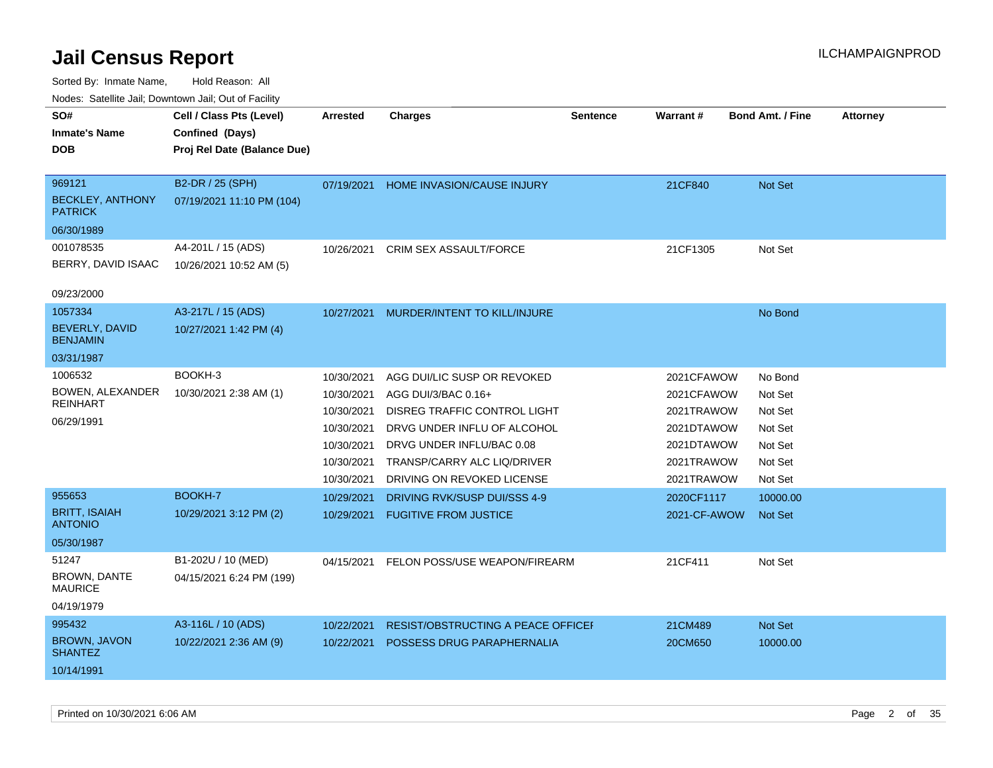| roaco. Catolino dall, Downtown dall, Out of Fability |                             |                 |                                   |                 |                 |                         |                 |
|------------------------------------------------------|-----------------------------|-----------------|-----------------------------------|-----------------|-----------------|-------------------------|-----------------|
| SO#                                                  | Cell / Class Pts (Level)    | <b>Arrested</b> | <b>Charges</b>                    | <b>Sentence</b> | <b>Warrant#</b> | <b>Bond Amt. / Fine</b> | <b>Attorney</b> |
| <b>Inmate's Name</b>                                 | Confined (Days)             |                 |                                   |                 |                 |                         |                 |
| <b>DOB</b>                                           | Proj Rel Date (Balance Due) |                 |                                   |                 |                 |                         |                 |
|                                                      |                             |                 |                                   |                 |                 |                         |                 |
| 969121                                               | B2-DR / 25 (SPH)            | 07/19/2021      | HOME INVASION/CAUSE INJURY        |                 | 21CF840         | Not Set                 |                 |
| <b>BECKLEY, ANTHONY</b><br><b>PATRICK</b>            | 07/19/2021 11:10 PM (104)   |                 |                                   |                 |                 |                         |                 |
| 06/30/1989                                           |                             |                 |                                   |                 |                 |                         |                 |
| 001078535                                            | A4-201L / 15 (ADS)          | 10/26/2021      | <b>CRIM SEX ASSAULT/FORCE</b>     |                 | 21CF1305        | Not Set                 |                 |
| BERRY, DAVID ISAAC                                   | 10/26/2021 10:52 AM (5)     |                 |                                   |                 |                 |                         |                 |
| 09/23/2000                                           |                             |                 |                                   |                 |                 |                         |                 |
| 1057334                                              | A3-217L / 15 (ADS)          | 10/27/2021      | MURDER/INTENT TO KILL/INJURE      |                 |                 | No Bond                 |                 |
| BEVERLY, DAVID<br><b>BENJAMIN</b>                    | 10/27/2021 1:42 PM (4)      |                 |                                   |                 |                 |                         |                 |
| 03/31/1987                                           |                             |                 |                                   |                 |                 |                         |                 |
| 1006532                                              | BOOKH-3                     | 10/30/2021      | AGG DUI/LIC SUSP OR REVOKED       |                 | 2021CFAWOW      | No Bond                 |                 |
| BOWEN, ALEXANDER                                     | 10/30/2021 2:38 AM (1)      | 10/30/2021      | AGG DUI/3/BAC 0.16+               |                 | 2021CFAWOW      | Not Set                 |                 |
| <b>REINHART</b>                                      |                             | 10/30/2021      | DISREG TRAFFIC CONTROL LIGHT      |                 | 2021TRAWOW      | Not Set                 |                 |
| 06/29/1991                                           |                             | 10/30/2021      | DRVG UNDER INFLU OF ALCOHOL       |                 | 2021DTAWOW      | Not Set                 |                 |
|                                                      |                             | 10/30/2021      | DRVG UNDER INFLU/BAC 0.08         |                 | 2021DTAWOW      | Not Set                 |                 |
|                                                      |                             | 10/30/2021      | TRANSP/CARRY ALC LIQ/DRIVER       |                 | 2021TRAWOW      | Not Set                 |                 |
|                                                      |                             | 10/30/2021      | DRIVING ON REVOKED LICENSE        |                 | 2021TRAWOW      | Not Set                 |                 |
| 955653                                               | <b>BOOKH-7</b>              | 10/29/2021      | DRIVING RVK/SUSP DUI/SSS 4-9      |                 | 2020CF1117      | 10000.00                |                 |
| <b>BRITT, ISAIAH</b><br><b>ANTONIO</b>               | 10/29/2021 3:12 PM (2)      | 10/29/2021      | <b>FUGITIVE FROM JUSTICE</b>      |                 | 2021-CF-AWOW    | <b>Not Set</b>          |                 |
| 05/30/1987                                           |                             |                 |                                   |                 |                 |                         |                 |
| 51247                                                | B1-202U / 10 (MED)          | 04/15/2021      | FELON POSS/USE WEAPON/FIREARM     |                 | 21CF411         | Not Set                 |                 |
| <b>BROWN, DANTE</b><br><b>MAURICE</b>                | 04/15/2021 6:24 PM (199)    |                 |                                   |                 |                 |                         |                 |
| 04/19/1979                                           |                             |                 |                                   |                 |                 |                         |                 |
| 995432                                               | A3-116L / 10 (ADS)          | 10/22/2021      | RESIST/OBSTRUCTING A PEACE OFFICE |                 | 21CM489         | Not Set                 |                 |
| <b>BROWN, JAVON</b><br><b>SHANTEZ</b>                | 10/22/2021 2:36 AM (9)      | 10/22/2021      | POSSESS DRUG PARAPHERNALIA        |                 | 20CM650         | 10000.00                |                 |
| 10/14/1991                                           |                             |                 |                                   |                 |                 |                         |                 |
|                                                      |                             |                 |                                   |                 |                 |                         |                 |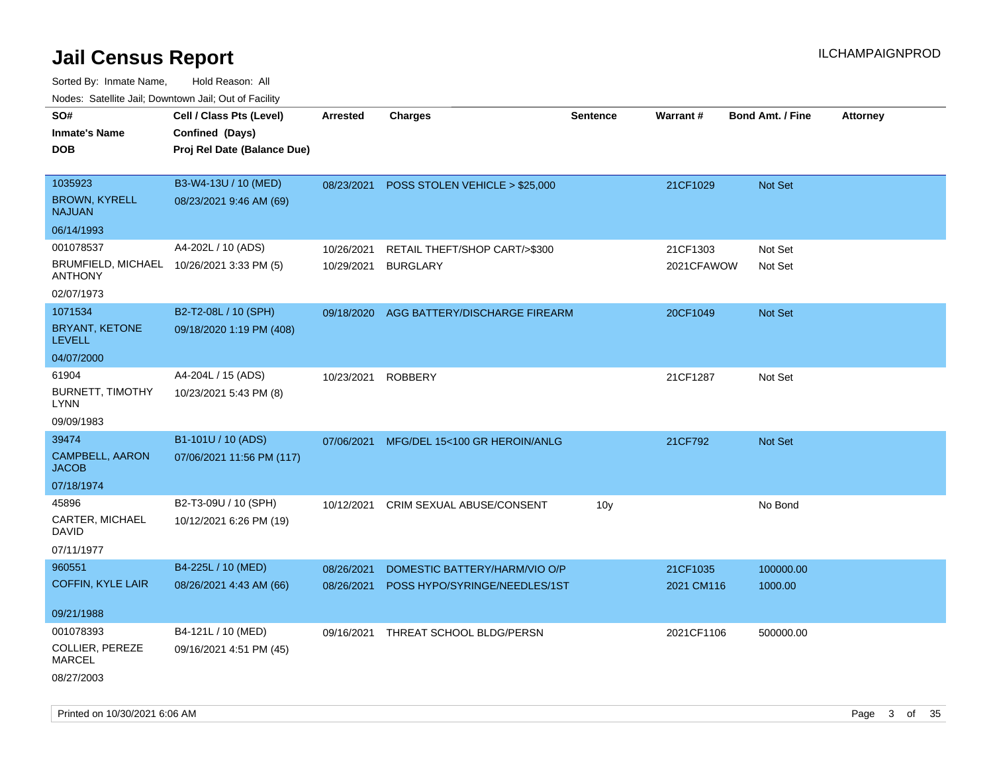| 110a00. 0atomto 0an, Domntonn 0an, 0at 011 aont             |                                                                            |                 |                                |                 |            |                         |                 |
|-------------------------------------------------------------|----------------------------------------------------------------------------|-----------------|--------------------------------|-----------------|------------|-------------------------|-----------------|
| SO#<br><b>Inmate's Name</b><br><b>DOB</b>                   | Cell / Class Pts (Level)<br>Confined (Days)<br>Proj Rel Date (Balance Due) | <b>Arrested</b> | <b>Charges</b>                 | <b>Sentence</b> | Warrant#   | <b>Bond Amt. / Fine</b> | <b>Attorney</b> |
|                                                             |                                                                            |                 |                                |                 |            |                         |                 |
| 1035923                                                     | B3-W4-13U / 10 (MED)                                                       | 08/23/2021      | POSS STOLEN VEHICLE > \$25,000 |                 | 21CF1029   | <b>Not Set</b>          |                 |
| <b>BROWN, KYRELL</b><br><b>NAJUAN</b>                       | 08/23/2021 9:46 AM (69)                                                    |                 |                                |                 |            |                         |                 |
| 06/14/1993                                                  |                                                                            |                 |                                |                 |            |                         |                 |
| 001078537                                                   | A4-202L / 10 (ADS)                                                         | 10/26/2021      | RETAIL THEFT/SHOP CART/>\$300  |                 | 21CF1303   | Not Set                 |                 |
| BRUMFIELD, MICHAEL 10/26/2021 3:33 PM (5)<br><b>ANTHONY</b> |                                                                            | 10/29/2021      | <b>BURGLARY</b>                |                 | 2021CFAWOW | Not Set                 |                 |
| 02/07/1973                                                  |                                                                            |                 |                                |                 |            |                         |                 |
| 1071534                                                     | B2-T2-08L / 10 (SPH)                                                       | 09/18/2020      | AGG BATTERY/DISCHARGE FIREARM  |                 | 20CF1049   | Not Set                 |                 |
| BRYANT, KETONE<br><b>LEVELL</b>                             | 09/18/2020 1:19 PM (408)                                                   |                 |                                |                 |            |                         |                 |
| 04/07/2000                                                  |                                                                            |                 |                                |                 |            |                         |                 |
| 61904<br><b>BURNETT, TIMOTHY</b><br>LYNN                    | A4-204L / 15 (ADS)<br>10/23/2021 5:43 PM (8)                               | 10/23/2021      | <b>ROBBERY</b>                 |                 | 21CF1287   | Not Set                 |                 |
| 09/09/1983                                                  |                                                                            |                 |                                |                 |            |                         |                 |
| 39474                                                       | B1-101U / 10 (ADS)                                                         | 07/06/2021      | MFG/DEL 15<100 GR HEROIN/ANLG  |                 | 21CF792    | <b>Not Set</b>          |                 |
| <b>CAMPBELL, AARON</b><br><b>JACOB</b>                      | 07/06/2021 11:56 PM (117)                                                  |                 |                                |                 |            |                         |                 |
| 07/18/1974                                                  |                                                                            |                 |                                |                 |            |                         |                 |
| 45896                                                       | B2-T3-09U / 10 (SPH)                                                       | 10/12/2021      | CRIM SEXUAL ABUSE/CONSENT      | 10 <sub>y</sub> |            | No Bond                 |                 |
| CARTER, MICHAEL<br>DAVID                                    | 10/12/2021 6:26 PM (19)                                                    |                 |                                |                 |            |                         |                 |
| 07/11/1977                                                  |                                                                            |                 |                                |                 |            |                         |                 |
| 960551                                                      | B4-225L / 10 (MED)                                                         | 08/26/2021      | DOMESTIC BATTERY/HARM/VIO O/P  |                 | 21CF1035   | 100000.00               |                 |
| <b>COFFIN, KYLE LAIR</b>                                    | 08/26/2021 4:43 AM (66)                                                    | 08/26/2021      | POSS HYPO/SYRINGE/NEEDLES/1ST  |                 | 2021 CM116 | 1000.00                 |                 |
| 09/21/1988                                                  |                                                                            |                 |                                |                 |            |                         |                 |
| 001078393                                                   | B4-121L / 10 (MED)                                                         | 09/16/2021      | THREAT SCHOOL BLDG/PERSN       |                 | 2021CF1106 | 500000.00               |                 |
| COLLIER, PEREZE<br>MARCEL                                   | 09/16/2021 4:51 PM (45)                                                    |                 |                                |                 |            |                         |                 |
| 08/27/2003                                                  |                                                                            |                 |                                |                 |            |                         |                 |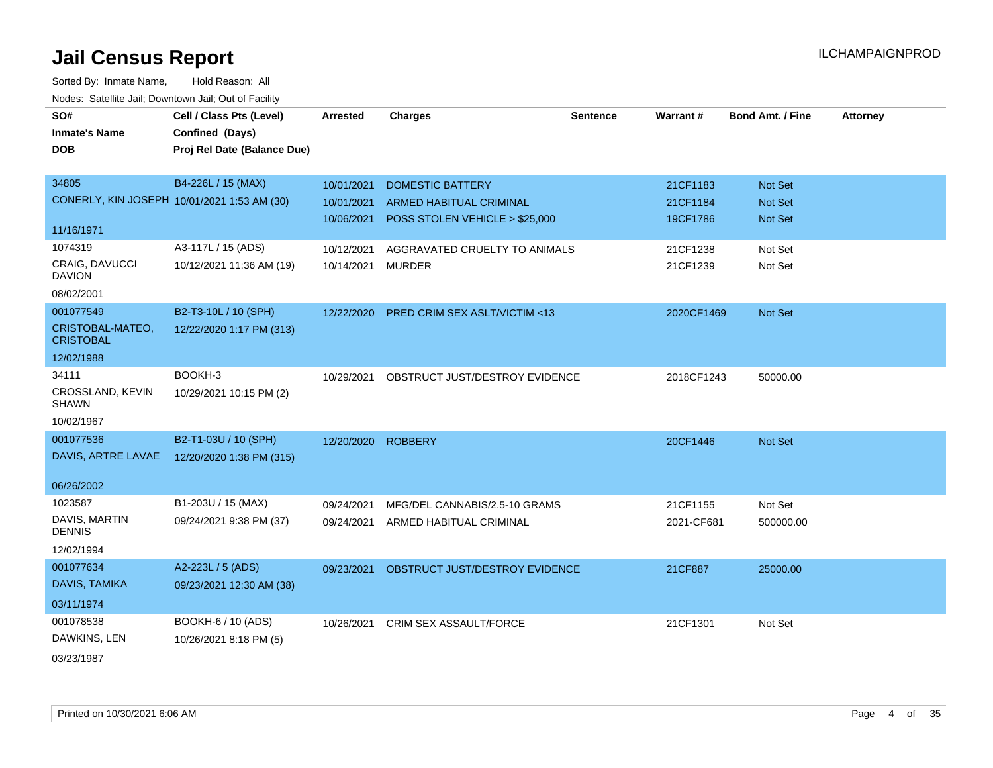| SO#                                  | Cell / Class Pts (Level)                    | <b>Arrested</b>    | <b>Charges</b>                           | <b>Sentence</b> | Warrant#   | <b>Bond Amt. / Fine</b> | <b>Attorney</b> |
|--------------------------------------|---------------------------------------------|--------------------|------------------------------------------|-----------------|------------|-------------------------|-----------------|
| <b>Inmate's Name</b>                 | Confined (Days)                             |                    |                                          |                 |            |                         |                 |
| <b>DOB</b>                           | Proj Rel Date (Balance Due)                 |                    |                                          |                 |            |                         |                 |
|                                      |                                             |                    |                                          |                 |            |                         |                 |
| 34805                                | B4-226L / 15 (MAX)                          | 10/01/2021         | <b>DOMESTIC BATTERY</b>                  |                 | 21CF1183   | Not Set                 |                 |
|                                      | CONERLY, KIN JOSEPH 10/01/2021 1:53 AM (30) | 10/01/2021         | ARMED HABITUAL CRIMINAL                  |                 | 21CF1184   | Not Set                 |                 |
|                                      |                                             | 10/06/2021         | POSS STOLEN VEHICLE > \$25,000           |                 | 19CF1786   | <b>Not Set</b>          |                 |
| 11/16/1971                           |                                             |                    |                                          |                 |            |                         |                 |
| 1074319                              | A3-117L / 15 (ADS)                          | 10/12/2021         | AGGRAVATED CRUELTY TO ANIMALS            |                 | 21CF1238   | Not Set                 |                 |
| CRAIG, DAVUCCI<br><b>DAVION</b>      | 10/12/2021 11:36 AM (19)                    | 10/14/2021         | <b>MURDER</b>                            |                 | 21CF1239   | Not Set                 |                 |
| 08/02/2001                           |                                             |                    |                                          |                 |            |                         |                 |
| 001077549                            | B2-T3-10L / 10 (SPH)                        |                    | 12/22/2020 PRED CRIM SEX ASLT/VICTIM <13 |                 | 2020CF1469 | Not Set                 |                 |
| CRISTOBAL-MATEO,<br><b>CRISTOBAL</b> | 12/22/2020 1:17 PM (313)                    |                    |                                          |                 |            |                         |                 |
| 12/02/1988                           |                                             |                    |                                          |                 |            |                         |                 |
| 34111                                | BOOKH-3                                     | 10/29/2021         | OBSTRUCT JUST/DESTROY EVIDENCE           |                 | 2018CF1243 | 50000.00                |                 |
| CROSSLAND, KEVIN<br><b>SHAWN</b>     | 10/29/2021 10:15 PM (2)                     |                    |                                          |                 |            |                         |                 |
| 10/02/1967                           |                                             |                    |                                          |                 |            |                         |                 |
| 001077536                            | B2-T1-03U / 10 (SPH)                        | 12/20/2020 ROBBERY |                                          |                 | 20CF1446   | <b>Not Set</b>          |                 |
| DAVIS, ARTRE LAVAE                   | 12/20/2020 1:38 PM (315)                    |                    |                                          |                 |            |                         |                 |
|                                      |                                             |                    |                                          |                 |            |                         |                 |
| 06/26/2002                           |                                             |                    |                                          |                 |            |                         |                 |
| 1023587                              | B1-203U / 15 (MAX)                          | 09/24/2021         | MFG/DEL CANNABIS/2.5-10 GRAMS            |                 | 21CF1155   | Not Set                 |                 |
| DAVIS, MARTIN<br><b>DENNIS</b>       | 09/24/2021 9:38 PM (37)                     |                    | 09/24/2021 ARMED HABITUAL CRIMINAL       |                 | 2021-CF681 | 500000.00               |                 |
| 12/02/1994                           |                                             |                    |                                          |                 |            |                         |                 |
| 001077634                            | A2-223L / 5 (ADS)                           | 09/23/2021         | OBSTRUCT JUST/DESTROY EVIDENCE           |                 | 21CF887    | 25000.00                |                 |
| DAVIS, TAMIKA                        | 09/23/2021 12:30 AM (38)                    |                    |                                          |                 |            |                         |                 |
| 03/11/1974                           |                                             |                    |                                          |                 |            |                         |                 |
| 001078538                            | BOOKH-6 / 10 (ADS)                          | 10/26/2021         | CRIM SEX ASSAULT/FORCE                   |                 | 21CF1301   | Not Set                 |                 |
| DAWKINS, LEN                         | 10/26/2021 8:18 PM (5)                      |                    |                                          |                 |            |                         |                 |
| 03/23/1987                           |                                             |                    |                                          |                 |            |                         |                 |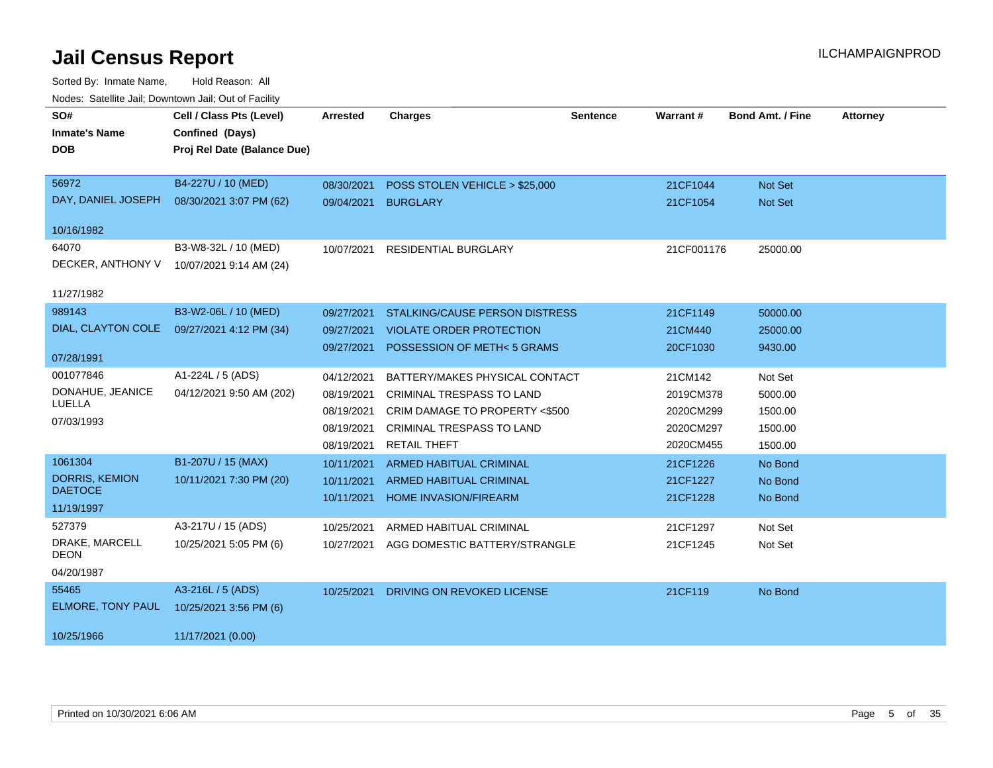| SO#                        | Cell / Class Pts (Level)    | <b>Arrested</b> | <b>Charges</b>                        | <b>Sentence</b> | <b>Warrant#</b> | <b>Bond Amt. / Fine</b> | <b>Attorney</b> |
|----------------------------|-----------------------------|-----------------|---------------------------------------|-----------------|-----------------|-------------------------|-----------------|
| <b>Inmate's Name</b>       | Confined (Days)             |                 |                                       |                 |                 |                         |                 |
| <b>DOB</b>                 | Proj Rel Date (Balance Due) |                 |                                       |                 |                 |                         |                 |
| 56972                      | B4-227U / 10 (MED)          | 08/30/2021      | POSS STOLEN VEHICLE > \$25,000        |                 | 21CF1044        | <b>Not Set</b>          |                 |
| DAY, DANIEL JOSEPH         | 08/30/2021 3:07 PM (62)     | 09/04/2021      | <b>BURGLARY</b>                       |                 | 21CF1054        | Not Set                 |                 |
| 10/16/1982                 |                             |                 |                                       |                 |                 |                         |                 |
| 64070                      | B3-W8-32L / 10 (MED)        | 10/07/2021      | <b>RESIDENTIAL BURGLARY</b>           |                 | 21CF001176      | 25000.00                |                 |
| DECKER, ANTHONY V          | 10/07/2021 9:14 AM (24)     |                 |                                       |                 |                 |                         |                 |
| 11/27/1982                 |                             |                 |                                       |                 |                 |                         |                 |
| 989143                     | B3-W2-06L / 10 (MED)        | 09/27/2021      | <b>STALKING/CAUSE PERSON DISTRESS</b> |                 | 21CF1149        | 50000.00                |                 |
| DIAL, CLAYTON COLE         | 09/27/2021 4:12 PM (34)     | 09/27/2021      | <b>VIOLATE ORDER PROTECTION</b>       |                 | 21CM440         | 25000.00                |                 |
|                            |                             | 09/27/2021      | POSSESSION OF METH<5 GRAMS            |                 | 20CF1030        | 9430.00                 |                 |
| 07/28/1991                 |                             |                 |                                       |                 |                 |                         |                 |
| 001077846                  | A1-224L / 5 (ADS)           | 04/12/2021      | BATTERY/MAKES PHYSICAL CONTACT        |                 | 21CM142         | Not Set                 |                 |
| DONAHUE, JEANICE<br>LUELLA | 04/12/2021 9:50 AM (202)    | 08/19/2021      | CRIMINAL TRESPASS TO LAND             |                 | 2019CM378       | 5000.00                 |                 |
| 07/03/1993                 |                             | 08/19/2021      | CRIM DAMAGE TO PROPERTY <\$500        |                 | 2020CM299       | 1500.00                 |                 |
|                            |                             | 08/19/2021      | <b>CRIMINAL TRESPASS TO LAND</b>      |                 | 2020CM297       | 1500.00                 |                 |
|                            |                             | 08/19/2021      | <b>RETAIL THEFT</b>                   |                 | 2020CM455       | 1500.00                 |                 |
| 1061304                    | B1-207U / 15 (MAX)          | 10/11/2021      | ARMED HABITUAL CRIMINAL               |                 | 21CF1226        | No Bond                 |                 |
| <b>DORRIS, KEMION</b>      | 10/11/2021 7:30 PM (20)     | 10/11/2021      | ARMED HABITUAL CRIMINAL               |                 | 21CF1227        | No Bond                 |                 |
| <b>DAETOCE</b>             |                             | 10/11/2021      | <b>HOME INVASION/FIREARM</b>          |                 | 21CF1228        | No Bond                 |                 |
| 11/19/1997                 |                             |                 |                                       |                 |                 |                         |                 |
| 527379                     | A3-217U / 15 (ADS)          | 10/25/2021      | ARMED HABITUAL CRIMINAL               |                 | 21CF1297        | Not Set                 |                 |
| DRAKE, MARCELL<br>DEON     | 10/25/2021 5:05 PM (6)      | 10/27/2021      | AGG DOMESTIC BATTERY/STRANGLE         |                 | 21CF1245        | Not Set                 |                 |
| 04/20/1987                 |                             |                 |                                       |                 |                 |                         |                 |
| 55465                      | A3-216L / 5 (ADS)           | 10/25/2021      | DRIVING ON REVOKED LICENSE            |                 | 21CF119         | No Bond                 |                 |
| ELMORE, TONY PAUL          | 10/25/2021 3:56 PM (6)      |                 |                                       |                 |                 |                         |                 |
| 10/25/1966                 | 11/17/2021 (0.00)           |                 |                                       |                 |                 |                         |                 |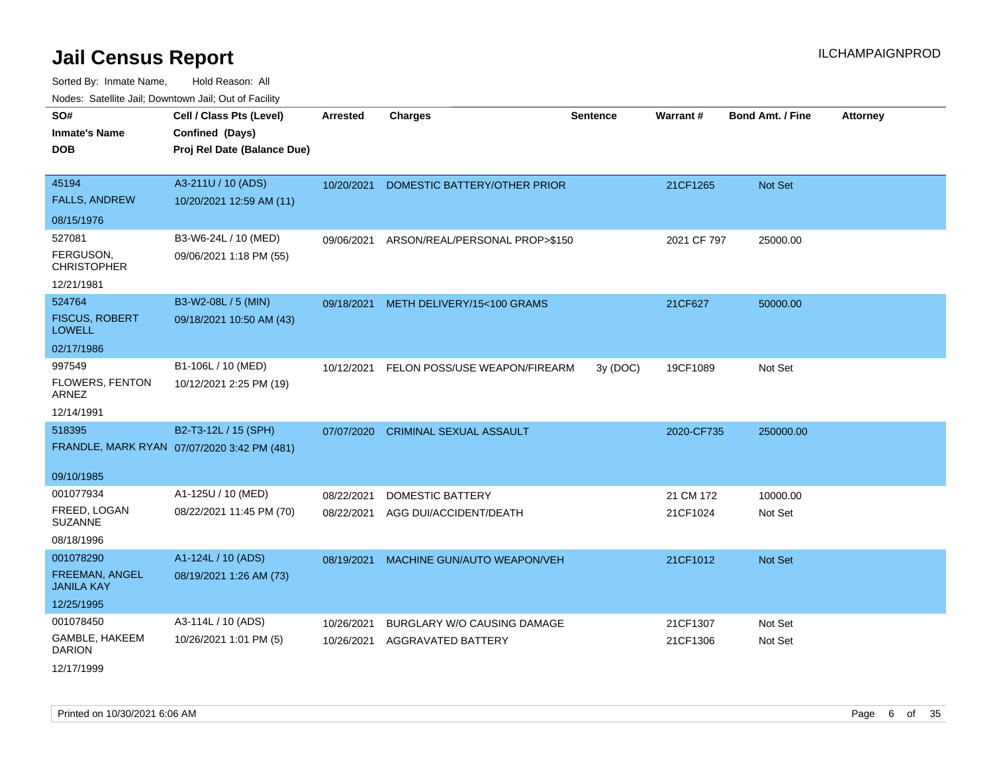| SO#                                    | Cell / Class Pts (Level)                    | <b>Arrested</b> | <b>Charges</b>                            | <b>Sentence</b> | Warrant#    | <b>Bond Amt. / Fine</b> | <b>Attorney</b> |
|----------------------------------------|---------------------------------------------|-----------------|-------------------------------------------|-----------------|-------------|-------------------------|-----------------|
| <b>Inmate's Name</b>                   | Confined (Days)                             |                 |                                           |                 |             |                         |                 |
| <b>DOB</b>                             | Proj Rel Date (Balance Due)                 |                 |                                           |                 |             |                         |                 |
|                                        |                                             |                 |                                           |                 |             |                         |                 |
| 45194                                  | A3-211U / 10 (ADS)                          | 10/20/2021      | DOMESTIC BATTERY/OTHER PRIOR              |                 | 21CF1265    | Not Set                 |                 |
| <b>FALLS, ANDREW</b>                   | 10/20/2021 12:59 AM (11)                    |                 |                                           |                 |             |                         |                 |
| 08/15/1976                             |                                             |                 |                                           |                 |             |                         |                 |
| 527081                                 | B3-W6-24L / 10 (MED)                        |                 | 09/06/2021 ARSON/REAL/PERSONAL PROP>\$150 |                 | 2021 CF 797 | 25000.00                |                 |
| FERGUSON.<br><b>CHRISTOPHER</b>        | 09/06/2021 1:18 PM (55)                     |                 |                                           |                 |             |                         |                 |
| 12/21/1981                             |                                             |                 |                                           |                 |             |                         |                 |
| 524764                                 | B3-W2-08L / 5 (MIN)                         | 09/18/2021      | METH DELIVERY/15<100 GRAMS                |                 | 21CF627     | 50000.00                |                 |
| <b>FISCUS, ROBERT</b><br><b>LOWELL</b> | 09/18/2021 10:50 AM (43)                    |                 |                                           |                 |             |                         |                 |
| 02/17/1986                             |                                             |                 |                                           |                 |             |                         |                 |
| 997549                                 | B1-106L / 10 (MED)                          | 10/12/2021      | FELON POSS/USE WEAPON/FIREARM             | 3y (DOC)        | 19CF1089    | Not Set                 |                 |
| FLOWERS, FENTON<br>ARNEZ               | 10/12/2021 2:25 PM (19)                     |                 |                                           |                 |             |                         |                 |
| 12/14/1991                             |                                             |                 |                                           |                 |             |                         |                 |
| 518395                                 | B2-T3-12L / 15 (SPH)                        | 07/07/2020      | <b>CRIMINAL SEXUAL ASSAULT</b>            |                 | 2020-CF735  | 250000.00               |                 |
|                                        | FRANDLE, MARK RYAN 07/07/2020 3:42 PM (481) |                 |                                           |                 |             |                         |                 |
| 09/10/1985                             |                                             |                 |                                           |                 |             |                         |                 |
| 001077934                              | A1-125U / 10 (MED)                          | 08/22/2021      | DOMESTIC BATTERY                          |                 | 21 CM 172   | 10000.00                |                 |
| FREED, LOGAN                           | 08/22/2021 11:45 PM (70)                    | 08/22/2021      | AGG DUI/ACCIDENT/DEATH                    |                 | 21CF1024    | Not Set                 |                 |
| <b>SUZANNE</b>                         |                                             |                 |                                           |                 |             |                         |                 |
| 08/18/1996                             |                                             |                 |                                           |                 |             |                         |                 |
| 001078290                              | A1-124L / 10 (ADS)                          | 08/19/2021      | MACHINE GUN/AUTO WEAPON/VEH               |                 | 21CF1012    | Not Set                 |                 |
| FREEMAN, ANGEL<br><b>JANILA KAY</b>    | 08/19/2021 1:26 AM (73)                     |                 |                                           |                 |             |                         |                 |
| 12/25/1995                             |                                             |                 |                                           |                 |             |                         |                 |
| 001078450                              | A3-114L / 10 (ADS)                          | 10/26/2021      | BURGLARY W/O CAUSING DAMAGE               |                 | 21CF1307    | Not Set                 |                 |
| GAMBLE, HAKEEM<br><b>DARION</b>        | 10/26/2021 1:01 PM (5)                      | 10/26/2021      | AGGRAVATED BATTERY                        |                 | 21CF1306    | Not Set                 |                 |
| 12/17/1999                             |                                             |                 |                                           |                 |             |                         |                 |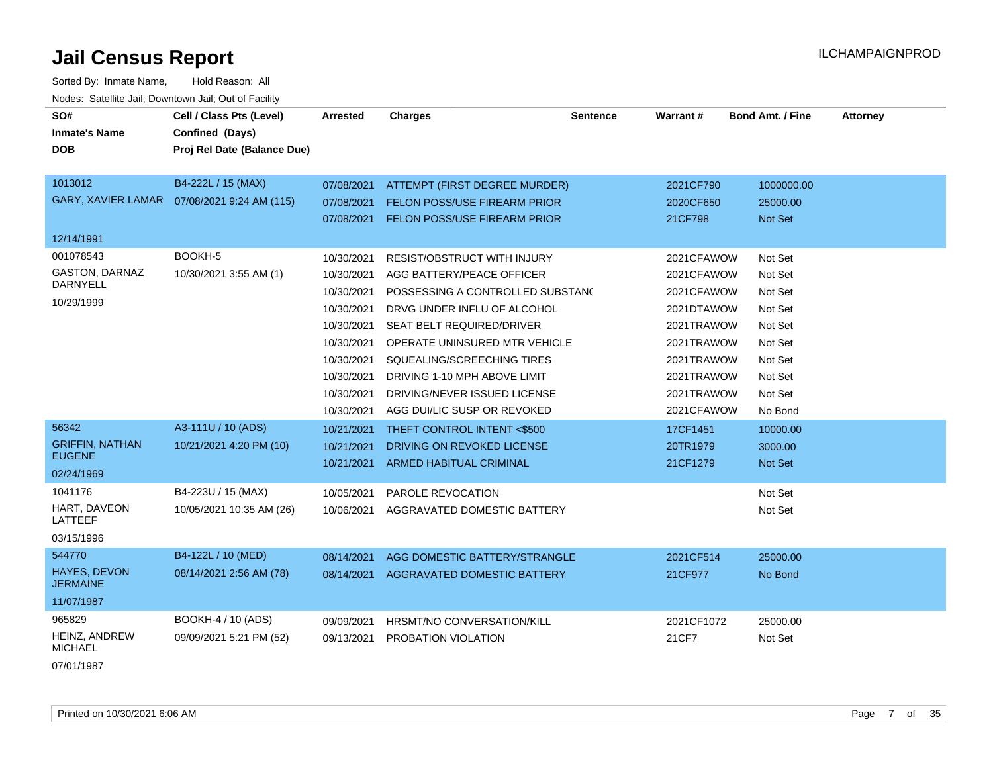| Sorted By: Inmate Name,                               | Hold Reason: All                             |                 |                                     |                 |            |                  |                 |
|-------------------------------------------------------|----------------------------------------------|-----------------|-------------------------------------|-----------------|------------|------------------|-----------------|
| Nodes: Satellite Jail; Downtown Jail; Out of Facility |                                              |                 |                                     |                 |            |                  |                 |
| SO#                                                   | Cell / Class Pts (Level)                     | <b>Arrested</b> | <b>Charges</b>                      | <b>Sentence</b> | Warrant#   | Bond Amt. / Fine | <b>Attorney</b> |
| <b>Inmate's Name</b>                                  | Confined (Days)                              |                 |                                     |                 |            |                  |                 |
| <b>DOB</b>                                            | Proj Rel Date (Balance Due)                  |                 |                                     |                 |            |                  |                 |
|                                                       |                                              |                 |                                     |                 |            |                  |                 |
| 1013012                                               | B4-222L / 15 (MAX)                           | 07/08/2021      | ATTEMPT (FIRST DEGREE MURDER)       |                 | 2021CF790  | 1000000.00       |                 |
|                                                       | GARY, XAVIER LAMAR  07/08/2021 9:24 AM (115) | 07/08/2021      | <b>FELON POSS/USE FIREARM PRIOR</b> |                 | 2020CF650  | 25000.00         |                 |
|                                                       |                                              | 07/08/2021      | FELON POSS/USE FIREARM PRIOR        |                 | 21CF798    | <b>Not Set</b>   |                 |
| 12/14/1991                                            |                                              |                 |                                     |                 |            |                  |                 |
| 001078543                                             | BOOKH-5                                      | 10/30/2021      | <b>RESIST/OBSTRUCT WITH INJURY</b>  |                 | 2021CFAWOW | Not Set          |                 |
| <b>GASTON, DARNAZ</b>                                 | 10/30/2021 3:55 AM (1)                       | 10/30/2021      | AGG BATTERY/PEACE OFFICER           |                 | 2021CFAWOW | Not Set          |                 |
| <b>DARNYELL</b>                                       |                                              | 10/30/2021      | POSSESSING A CONTROLLED SUBSTANC    |                 | 2021CFAWOW | Not Set          |                 |
| 10/29/1999                                            |                                              | 10/30/2021      | DRVG UNDER INFLU OF ALCOHOL         |                 | 2021DTAWOW | Not Set          |                 |
|                                                       |                                              | 10/30/2021      | SEAT BELT REQUIRED/DRIVER           |                 | 2021TRAWOW | Not Set          |                 |
|                                                       |                                              | 10/30/2021      | OPERATE UNINSURED MTR VEHICLE       |                 | 2021TRAWOW | Not Set          |                 |
|                                                       |                                              | 10/30/2021      | SQUEALING/SCREECHING TIRES          |                 | 2021TRAWOW | Not Set          |                 |
|                                                       |                                              | 10/30/2021      | DRIVING 1-10 MPH ABOVE LIMIT        |                 | 2021TRAWOW | Not Set          |                 |
|                                                       |                                              | 10/30/2021      | DRIVING/NEVER ISSUED LICENSE        |                 | 2021TRAWOW | Not Set          |                 |
|                                                       |                                              | 10/30/2021      | AGG DUI/LIC SUSP OR REVOKED         |                 | 2021CFAWOW | No Bond          |                 |
| 56342                                                 | A3-111U / 10 (ADS)                           |                 |                                     |                 |            |                  |                 |
| <b>GRIFFIN, NATHAN</b>                                |                                              | 10/21/2021      | THEFT CONTROL INTENT <\$500         |                 | 17CF1451   | 10000.00         |                 |
| <b>EUGENE</b>                                         | 10/21/2021 4:20 PM (10)                      | 10/21/2021      | DRIVING ON REVOKED LICENSE          |                 | 20TR1979   | 3000.00          |                 |
| 02/24/1969                                            |                                              | 10/21/2021      | <b>ARMED HABITUAL CRIMINAL</b>      |                 | 21CF1279   | Not Set          |                 |
| 1041176                                               | B4-223U / 15 (MAX)                           | 10/05/2021      | PAROLE REVOCATION                   |                 |            | Not Set          |                 |
| HART, DAVEON                                          | 10/05/2021 10:35 AM (26)                     | 10/06/2021      | AGGRAVATED DOMESTIC BATTERY         |                 |            | Not Set          |                 |
| LATTEEF                                               |                                              |                 |                                     |                 |            |                  |                 |
| 03/15/1996                                            |                                              |                 |                                     |                 |            |                  |                 |
| 544770                                                | B4-122L / 10 (MED)                           | 08/14/2021      | AGG DOMESTIC BATTERY/STRANGLE       |                 | 2021CF514  | 25000.00         |                 |
| <b>HAYES, DEVON</b>                                   | 08/14/2021 2:56 AM (78)                      | 08/14/2021      | AGGRAVATED DOMESTIC BATTERY         |                 | 21CF977    | No Bond          |                 |
| <b>JERMAINE</b>                                       |                                              |                 |                                     |                 |            |                  |                 |
| 11/07/1987                                            |                                              |                 |                                     |                 |            |                  |                 |
| 965829                                                | BOOKH-4 / 10 (ADS)                           | 09/09/2021      | HRSMT/NO CONVERSATION/KILL          |                 | 2021CF1072 | 25000.00         |                 |
| HEINZ, ANDREW<br><b>MICHAEL</b>                       | 09/09/2021 5:21 PM (52)                      | 09/13/2021      | PROBATION VIOLATION                 |                 | 21CF7      | Not Set          |                 |

07/01/1987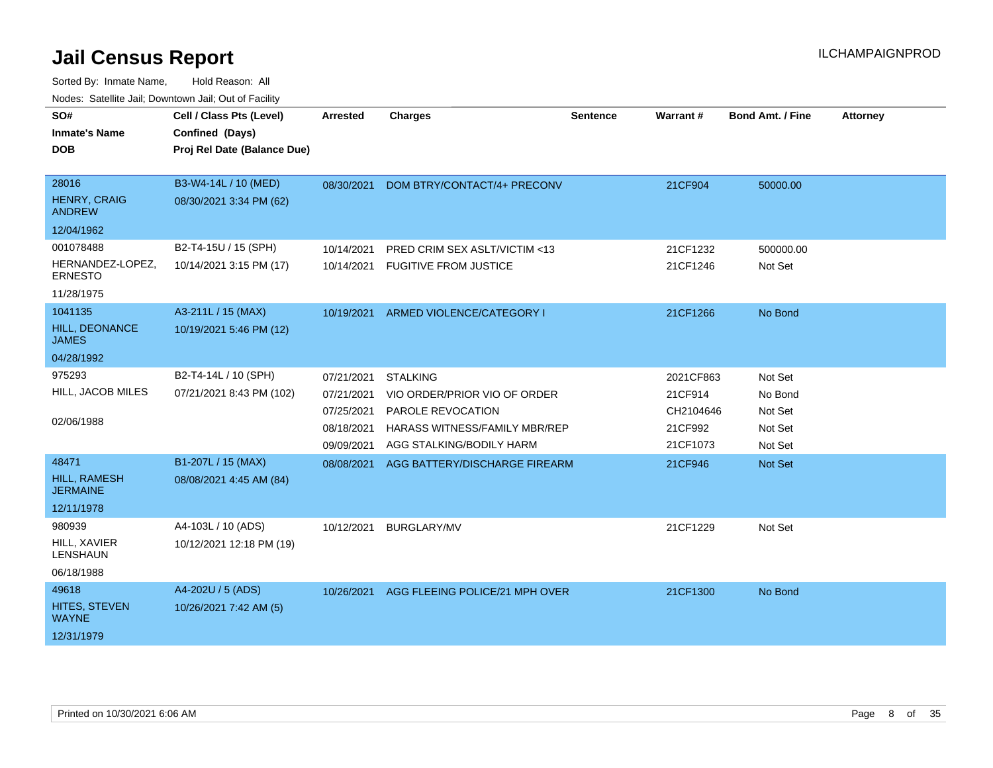| SO#                                    | Cell / Class Pts (Level)    | <b>Arrested</b> | <b>Charges</b>                          | <b>Sentence</b> | Warrant#  | <b>Bond Amt. / Fine</b> | <b>Attorney</b> |
|----------------------------------------|-----------------------------|-----------------|-----------------------------------------|-----------------|-----------|-------------------------|-----------------|
| <b>Inmate's Name</b>                   | Confined (Days)             |                 |                                         |                 |           |                         |                 |
| <b>DOB</b>                             | Proj Rel Date (Balance Due) |                 |                                         |                 |           |                         |                 |
|                                        |                             |                 |                                         |                 |           |                         |                 |
| 28016                                  | B3-W4-14L / 10 (MED)        | 08/30/2021      | DOM BTRY/CONTACT/4+ PRECONV             |                 | 21CF904   | 50000.00                |                 |
| <b>HENRY, CRAIG</b><br><b>ANDREW</b>   | 08/30/2021 3:34 PM (62)     |                 |                                         |                 |           |                         |                 |
| 12/04/1962                             |                             |                 |                                         |                 |           |                         |                 |
| 001078488                              | B2-T4-15U / 15 (SPH)        | 10/14/2021      | <b>PRED CRIM SEX ASLT/VICTIM &lt;13</b> |                 | 21CF1232  | 500000.00               |                 |
| HERNANDEZ-LOPEZ,<br><b>ERNESTO</b>     | 10/14/2021 3:15 PM (17)     | 10/14/2021      | <b>FUGITIVE FROM JUSTICE</b>            |                 | 21CF1246  | Not Set                 |                 |
| 11/28/1975                             |                             |                 |                                         |                 |           |                         |                 |
| 1041135                                | A3-211L / 15 (MAX)          | 10/19/2021      | ARMED VIOLENCE/CATEGORY I               |                 | 21CF1266  | No Bond                 |                 |
| HILL, DEONANCE<br><b>JAMES</b>         | 10/19/2021 5:46 PM (12)     |                 |                                         |                 |           |                         |                 |
| 04/28/1992                             |                             |                 |                                         |                 |           |                         |                 |
| 975293                                 | B2-T4-14L / 10 (SPH)        | 07/21/2021      | <b>STALKING</b>                         |                 | 2021CF863 | Not Set                 |                 |
| HILL, JACOB MILES                      | 07/21/2021 8:43 PM (102)    | 07/21/2021      | VIO ORDER/PRIOR VIO OF ORDER            |                 | 21CF914   | No Bond                 |                 |
|                                        |                             | 07/25/2021      | PAROLE REVOCATION                       |                 | CH2104646 | Not Set                 |                 |
| 02/06/1988                             |                             | 08/18/2021      | HARASS WITNESS/FAMILY MBR/REP           |                 | 21CF992   | Not Set                 |                 |
|                                        |                             | 09/09/2021      | AGG STALKING/BODILY HARM                |                 | 21CF1073  | Not Set                 |                 |
| 48471                                  | B1-207L / 15 (MAX)          | 08/08/2021      | AGG BATTERY/DISCHARGE FIREARM           |                 | 21CF946   | Not Set                 |                 |
| <b>HILL, RAMESH</b><br><b>JERMAINE</b> | 08/08/2021 4:45 AM (84)     |                 |                                         |                 |           |                         |                 |
| 12/11/1978                             |                             |                 |                                         |                 |           |                         |                 |
| 980939                                 | A4-103L / 10 (ADS)          | 10/12/2021      | <b>BURGLARY/MV</b>                      |                 | 21CF1229  | Not Set                 |                 |
| <b>HILL, XAVIER</b><br><b>LENSHAUN</b> | 10/12/2021 12:18 PM (19)    |                 |                                         |                 |           |                         |                 |
| 06/18/1988                             |                             |                 |                                         |                 |           |                         |                 |
| 49618                                  | A4-202U / 5 (ADS)           | 10/26/2021      | AGG FLEEING POLICE/21 MPH OVER          |                 | 21CF1300  | No Bond                 |                 |
| HITES, STEVEN<br><b>WAYNE</b>          | 10/26/2021 7:42 AM (5)      |                 |                                         |                 |           |                         |                 |
| 12/31/1979                             |                             |                 |                                         |                 |           |                         |                 |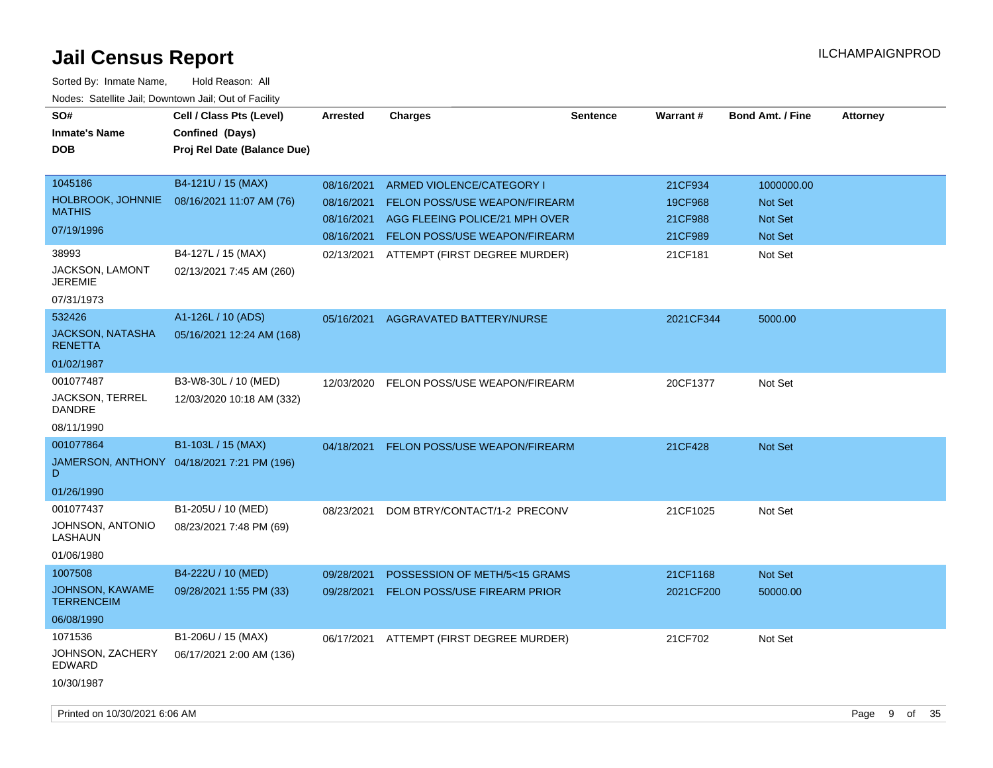| SO#<br><b>Inmate's Name</b><br><b>DOB</b>                                            | Cell / Class Pts (Level)<br>Confined (Days)<br>Proj Rel Date (Balance Due) | <b>Arrested</b>                                      | <b>Charges</b>                                                                                                                | <b>Sentence</b> | <b>Warrant#</b>                          | <b>Bond Amt. / Fine</b>                     | <b>Attorney</b> |          |
|--------------------------------------------------------------------------------------|----------------------------------------------------------------------------|------------------------------------------------------|-------------------------------------------------------------------------------------------------------------------------------|-----------------|------------------------------------------|---------------------------------------------|-----------------|----------|
| 1045186<br><b>HOLBROOK, JOHNNIE</b><br><b>MATHIS</b><br>07/19/1996                   | B4-121U / 15 (MAX)<br>08/16/2021 11:07 AM (76)                             | 08/16/2021<br>08/16/2021<br>08/16/2021<br>08/16/2021 | ARMED VIOLENCE/CATEGORY I<br>FELON POSS/USE WEAPON/FIREARM<br>AGG FLEEING POLICE/21 MPH OVER<br>FELON POSS/USE WEAPON/FIREARM |                 | 21CF934<br>19CF968<br>21CF988<br>21CF989 | 1000000.00<br>Not Set<br>Not Set<br>Not Set |                 |          |
| 38993<br>JACKSON, LAMONT<br><b>JEREMIE</b><br>07/31/1973                             | B4-127L / 15 (MAX)<br>02/13/2021 7:45 AM (260)                             | 02/13/2021                                           | ATTEMPT (FIRST DEGREE MURDER)                                                                                                 |                 | 21CF181                                  | Not Set                                     |                 |          |
| 532426<br><b>JACKSON, NATASHA</b><br><b>RENETTA</b><br>01/02/1987                    | A1-126L / 10 (ADS)<br>05/16/2021 12:24 AM (168)                            |                                                      | 05/16/2021 AGGRAVATED BATTERY/NURSE                                                                                           |                 | 2021CF344                                | 5000.00                                     |                 |          |
| 001077487<br>JACKSON, TERREL<br><b>DANDRE</b><br>08/11/1990                          | B3-W8-30L / 10 (MED)<br>12/03/2020 10:18 AM (332)                          |                                                      | 12/03/2020 FELON POSS/USE WEAPON/FIREARM                                                                                      |                 | 20CF1377                                 | Not Set                                     |                 |          |
| 001077864<br>D.<br>01/26/1990                                                        | B1-103L / 15 (MAX)<br>JAMERSON, ANTHONY 04/18/2021 7:21 PM (196)           |                                                      | 04/18/2021 FELON POSS/USE WEAPON/FIREARM                                                                                      |                 | 21CF428                                  | <b>Not Set</b>                              |                 |          |
| 001077437<br>JOHNSON, ANTONIO<br>LASHAUN<br>01/06/1980                               | B1-205U / 10 (MED)<br>08/23/2021 7:48 PM (69)                              | 08/23/2021                                           | DOM BTRY/CONTACT/1-2 PRECONV                                                                                                  |                 | 21CF1025                                 | Not Set                                     |                 |          |
| 1007508<br><b>JOHNSON, KAWAME</b><br><b>TERRENCEIM</b><br>06/08/1990                 | B4-222U / 10 (MED)<br>09/28/2021 1:55 PM (33)                              | 09/28/2021<br>09/28/2021                             | POSSESSION OF METH/5<15 GRAMS<br>FELON POSS/USE FIREARM PRIOR                                                                 |                 | 21CF1168<br>2021CF200                    | Not Set<br>50000.00                         |                 |          |
| 1071536<br>JOHNSON, ZACHERY<br>EDWARD<br>10/30/1987<br>Printed on 10/30/2021 6:06 AM | B1-206U / 15 (MAX)<br>06/17/2021 2:00 AM (136)                             |                                                      | 06/17/2021 ATTEMPT (FIRST DEGREE MURDER)                                                                                      |                 | 21CF702                                  | Not Set                                     | Page<br>9       | of<br>35 |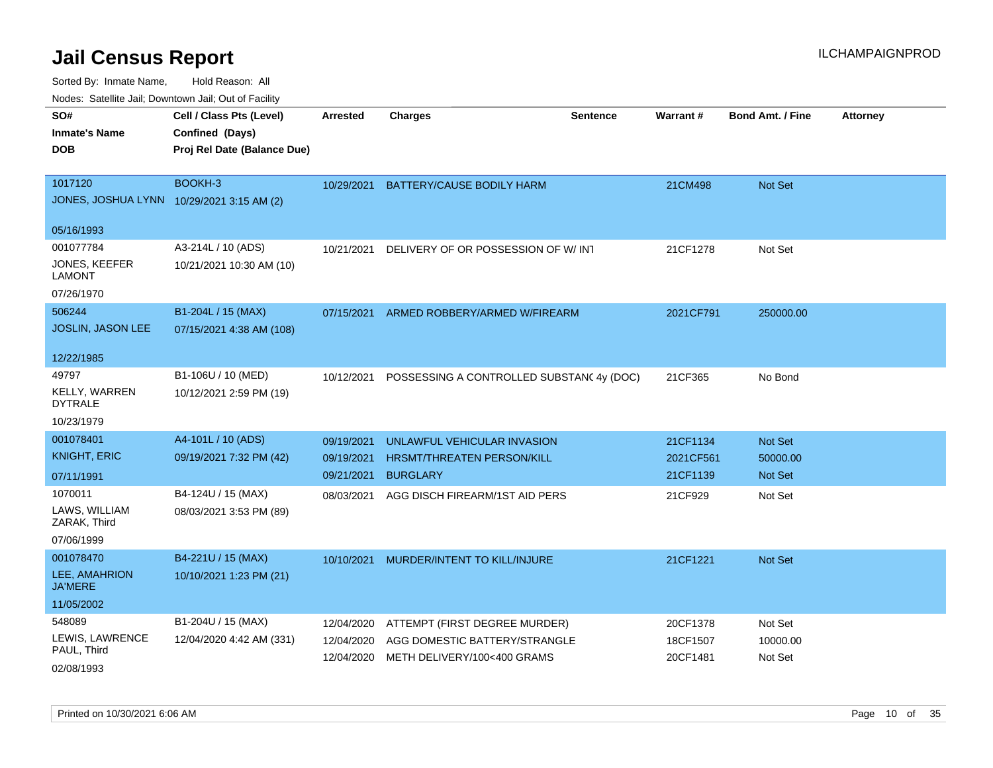| rouco. Calcillo Jali, Downtown Jali, Out of Facility |                             |                 |                                           |                 |                 |                         |                 |
|------------------------------------------------------|-----------------------------|-----------------|-------------------------------------------|-----------------|-----------------|-------------------------|-----------------|
| SO#                                                  | Cell / Class Pts (Level)    | <b>Arrested</b> | <b>Charges</b>                            | <b>Sentence</b> | <b>Warrant#</b> | <b>Bond Amt. / Fine</b> | <b>Attorney</b> |
| <b>Inmate's Name</b>                                 | Confined (Days)             |                 |                                           |                 |                 |                         |                 |
| DOB                                                  | Proj Rel Date (Balance Due) |                 |                                           |                 |                 |                         |                 |
|                                                      |                             |                 |                                           |                 |                 |                         |                 |
| 1017120                                              | BOOKH-3                     | 10/29/2021      | BATTERY/CAUSE BODILY HARM                 |                 | 21CM498         | Not Set                 |                 |
| JONES, JOSHUA LYNN 10/29/2021 3:15 AM (2)            |                             |                 |                                           |                 |                 |                         |                 |
| 05/16/1993                                           |                             |                 |                                           |                 |                 |                         |                 |
| 001077784                                            | A3-214L / 10 (ADS)          | 10/21/2021      | DELIVERY OF OR POSSESSION OF W/ INT       |                 | 21CF1278        | Not Set                 |                 |
| <b>JONES, KEEFER</b><br>LAMONT                       | 10/21/2021 10:30 AM (10)    |                 |                                           |                 |                 |                         |                 |
| 07/26/1970                                           |                             |                 |                                           |                 |                 |                         |                 |
| 506244                                               | B1-204L / 15 (MAX)          | 07/15/2021      | ARMED ROBBERY/ARMED W/FIREARM             |                 | 2021CF791       | 250000.00               |                 |
| JOSLIN, JASON LEE                                    | 07/15/2021 4:38 AM (108)    |                 |                                           |                 |                 |                         |                 |
|                                                      |                             |                 |                                           |                 |                 |                         |                 |
| 12/22/1985                                           |                             |                 |                                           |                 |                 |                         |                 |
| 49797                                                | B1-106U / 10 (MED)          | 10/12/2021      | POSSESSING A CONTROLLED SUBSTANC 4y (DOC) |                 | 21CF365         | No Bond                 |                 |
| <b>KELLY, WARREN</b><br><b>DYTRALE</b>               | 10/12/2021 2:59 PM (19)     |                 |                                           |                 |                 |                         |                 |
| 10/23/1979                                           |                             |                 |                                           |                 |                 |                         |                 |
| 001078401                                            | A4-101L / 10 (ADS)          | 09/19/2021      | UNLAWFUL VEHICULAR INVASION               |                 | 21CF1134        | <b>Not Set</b>          |                 |
| <b>KNIGHT, ERIC</b>                                  | 09/19/2021 7:32 PM (42)     | 09/19/2021      | <b>HRSMT/THREATEN PERSON/KILL</b>         |                 | 2021CF561       | 50000.00                |                 |
| 07/11/1991                                           |                             | 09/21/2021      | <b>BURGLARY</b>                           |                 | 21CF1139        | Not Set                 |                 |
| 1070011                                              | B4-124U / 15 (MAX)          | 08/03/2021      | AGG DISCH FIREARM/1ST AID PERS            |                 | 21CF929         | Not Set                 |                 |
| LAWS, WILLIAM<br>ZARAK, Third                        | 08/03/2021 3:53 PM (89)     |                 |                                           |                 |                 |                         |                 |
| 07/06/1999                                           |                             |                 |                                           |                 |                 |                         |                 |
| 001078470                                            | B4-221U / 15 (MAX)          | 10/10/2021      | MURDER/INTENT TO KILL/INJURE              |                 | 21CF1221        | <b>Not Set</b>          |                 |
| LEE, AMAHRION<br><b>JA'MERE</b>                      | 10/10/2021 1:23 PM (21)     |                 |                                           |                 |                 |                         |                 |
| 11/05/2002                                           |                             |                 |                                           |                 |                 |                         |                 |
| 548089                                               | B1-204U / 15 (MAX)          | 12/04/2020      | ATTEMPT (FIRST DEGREE MURDER)             |                 | 20CF1378        | Not Set                 |                 |
| LEWIS, LAWRENCE                                      | 12/04/2020 4:42 AM (331)    | 12/04/2020      | AGG DOMESTIC BATTERY/STRANGLE             |                 | 18CF1507        | 10000.00                |                 |
| PAUL, Third<br>02/08/1993                            |                             | 12/04/2020      | METH DELIVERY/100<400 GRAMS               |                 | 20CF1481        | Not Set                 |                 |
|                                                      |                             |                 |                                           |                 |                 |                         |                 |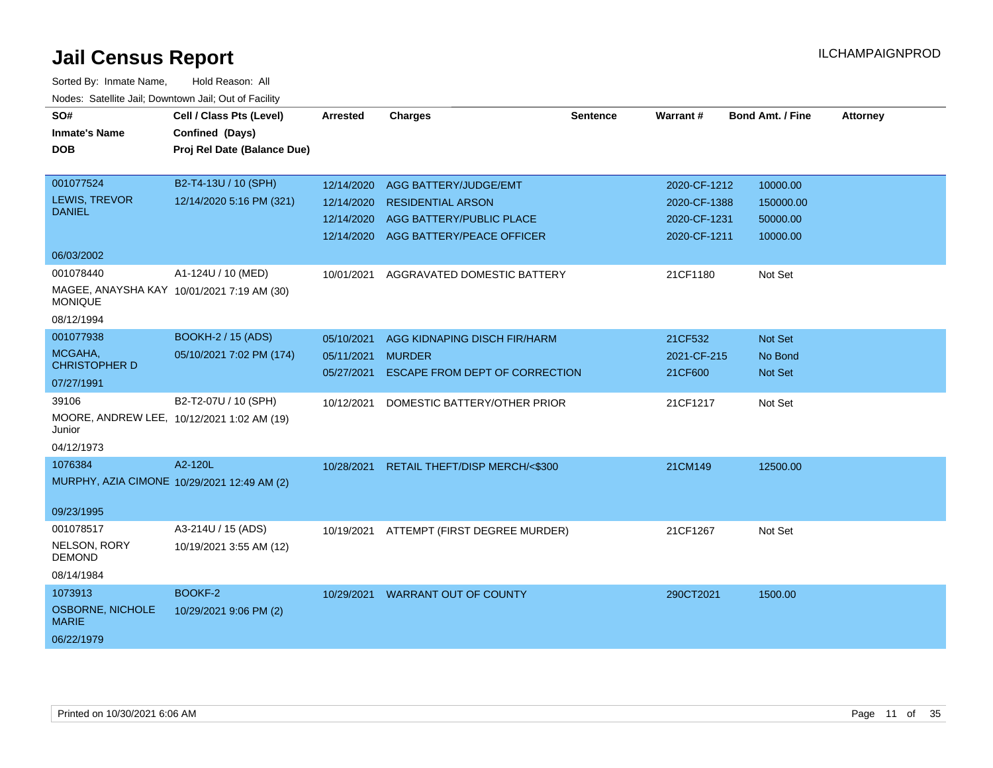| SO#                              | Cell / Class Pts (Level)                    | <b>Arrested</b>   | <b>Charges</b>                            | <b>Sentence</b> | Warrant#     | <b>Bond Amt. / Fine</b> | <b>Attorney</b> |
|----------------------------------|---------------------------------------------|-------------------|-------------------------------------------|-----------------|--------------|-------------------------|-----------------|
|                                  |                                             |                   |                                           |                 |              |                         |                 |
| <b>Inmate's Name</b>             | Confined (Days)                             |                   |                                           |                 |              |                         |                 |
| <b>DOB</b>                       | Proj Rel Date (Balance Due)                 |                   |                                           |                 |              |                         |                 |
|                                  |                                             |                   |                                           |                 |              |                         |                 |
| 001077524                        | B2-T4-13U / 10 (SPH)                        | 12/14/2020        | AGG BATTERY/JUDGE/EMT                     |                 | 2020-CF-1212 | 10000.00                |                 |
| LEWIS, TREVOR                    | 12/14/2020 5:16 PM (321)                    | 12/14/2020        | <b>RESIDENTIAL ARSON</b>                  |                 | 2020-CF-1388 | 150000.00               |                 |
| <b>DANIEL</b>                    |                                             | 12/14/2020        | AGG BATTERY/PUBLIC PLACE                  |                 | 2020-CF-1231 | 50000.00                |                 |
|                                  |                                             |                   | 12/14/2020 AGG BATTERY/PEACE OFFICER      |                 | 2020-CF-1211 | 10000.00                |                 |
| 06/03/2002                       |                                             |                   |                                           |                 |              |                         |                 |
| 001078440                        | A1-124U / 10 (MED)                          | 10/01/2021        | AGGRAVATED DOMESTIC BATTERY               |                 | 21CF1180     | Not Set                 |                 |
| <b>MONIQUE</b>                   | MAGEE, ANAYSHA KAY 10/01/2021 7:19 AM (30)  |                   |                                           |                 |              |                         |                 |
| 08/12/1994                       |                                             |                   |                                           |                 |              |                         |                 |
| 001077938                        | BOOKH-2 / 15 (ADS)                          | 05/10/2021        | AGG KIDNAPING DISCH FIR/HARM              |                 | 21CF532      | Not Set                 |                 |
| MCGAHA,                          | 05/10/2021 7:02 PM (174)                    | 05/11/2021 MURDER |                                           |                 | 2021-CF-215  | No Bond                 |                 |
| <b>CHRISTOPHER D</b>             |                                             | 05/27/2021        | <b>ESCAPE FROM DEPT OF CORRECTION</b>     |                 | 21CF600      | Not Set                 |                 |
| 07/27/1991                       |                                             |                   |                                           |                 |              |                         |                 |
| 39106                            | B2-T2-07U / 10 (SPH)                        | 10/12/2021        | DOMESTIC BATTERY/OTHER PRIOR              |                 | 21CF1217     | Not Set                 |                 |
| Junior                           | MOORE, ANDREW LEE, 10/12/2021 1:02 AM (19)  |                   |                                           |                 |              |                         |                 |
| 04/12/1973                       |                                             |                   |                                           |                 |              |                         |                 |
| 1076384                          | A2-120L                                     |                   | 10/28/2021 RETAIL THEFT/DISP MERCH/<\$300 |                 | 21CM149      | 12500.00                |                 |
|                                  | MURPHY, AZIA CIMONE 10/29/2021 12:49 AM (2) |                   |                                           |                 |              |                         |                 |
|                                  |                                             |                   |                                           |                 |              |                         |                 |
| 09/23/1995                       |                                             |                   |                                           |                 |              |                         |                 |
| 001078517                        | A3-214U / 15 (ADS)                          | 10/19/2021        | ATTEMPT (FIRST DEGREE MURDER)             |                 | 21CF1267     | Not Set                 |                 |
| NELSON, RORY<br><b>DEMOND</b>    | 10/19/2021 3:55 AM (12)                     |                   |                                           |                 |              |                         |                 |
| 08/14/1984                       |                                             |                   |                                           |                 |              |                         |                 |
| 1073913                          | BOOKF-2                                     |                   | 10/29/2021 WARRANT OUT OF COUNTY          |                 | 290CT2021    | 1500.00                 |                 |
| OSBORNE, NICHOLE<br><b>MARIE</b> | 10/29/2021 9:06 PM (2)                      |                   |                                           |                 |              |                         |                 |
| 06/22/1979                       |                                             |                   |                                           |                 |              |                         |                 |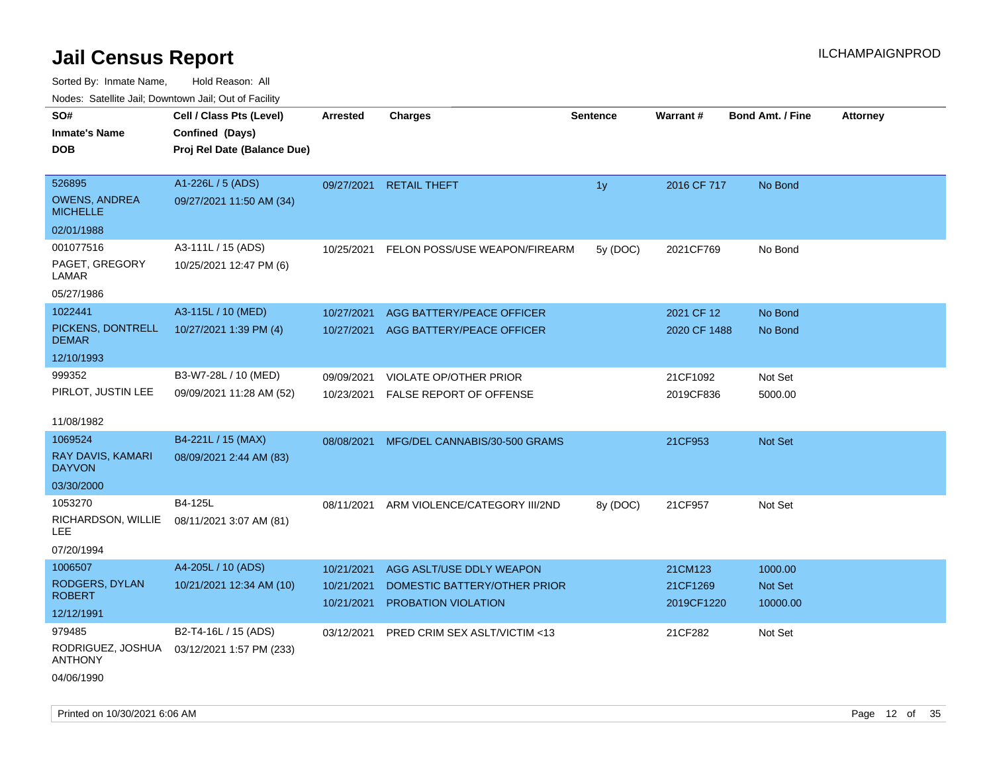| ivuutos. Saltiilit Jali, Duwilluwii Jali, Oul of Facility |                             |                          |                                                     |                 |                        |                            |                 |
|-----------------------------------------------------------|-----------------------------|--------------------------|-----------------------------------------------------|-----------------|------------------------|----------------------------|-----------------|
| SO#                                                       | Cell / Class Pts (Level)    | Arrested                 | <b>Charges</b>                                      | <b>Sentence</b> | <b>Warrant#</b>        | <b>Bond Amt. / Fine</b>    | <b>Attorney</b> |
| <b>Inmate's Name</b>                                      | Confined (Days)             |                          |                                                     |                 |                        |                            |                 |
| <b>DOB</b>                                                | Proj Rel Date (Balance Due) |                          |                                                     |                 |                        |                            |                 |
|                                                           |                             |                          |                                                     |                 |                        |                            |                 |
| 526895                                                    | A1-226L / 5 (ADS)           | 09/27/2021               | <b>RETAIL THEFT</b>                                 | 1 <sub>y</sub>  | 2016 CF 717            | No Bond                    |                 |
| <b>OWENS, ANDREA</b><br><b>MICHELLE</b>                   | 09/27/2021 11:50 AM (34)    |                          |                                                     |                 |                        |                            |                 |
| 02/01/1988                                                |                             |                          |                                                     |                 |                        |                            |                 |
| 001077516                                                 | A3-111L / 15 (ADS)          | 10/25/2021               | FELON POSS/USE WEAPON/FIREARM                       | 5y (DOC)        | 2021CF769              | No Bond                    |                 |
| PAGET, GREGORY<br>LAMAR                                   | 10/25/2021 12:47 PM (6)     |                          |                                                     |                 |                        |                            |                 |
| 05/27/1986                                                |                             |                          |                                                     |                 |                        |                            |                 |
| 1022441                                                   | A3-115L / 10 (MED)          | 10/27/2021               | AGG BATTERY/PEACE OFFICER                           |                 | 2021 CF 12             | No Bond                    |                 |
| PICKENS, DONTRELL<br><b>DEMAR</b>                         | 10/27/2021 1:39 PM (4)      | 10/27/2021               | AGG BATTERY/PEACE OFFICER                           |                 | 2020 CF 1488           | No Bond                    |                 |
| 12/10/1993                                                |                             |                          |                                                     |                 |                        |                            |                 |
| 999352                                                    | B3-W7-28L / 10 (MED)        | 09/09/2021               | VIOLATE OP/OTHER PRIOR                              |                 | 21CF1092               | Not Set                    |                 |
| PIRLOT, JUSTIN LEE                                        | 09/09/2021 11:28 AM (52)    | 10/23/2021               | <b>FALSE REPORT OF OFFENSE</b>                      |                 | 2019CF836              | 5000.00                    |                 |
|                                                           |                             |                          |                                                     |                 |                        |                            |                 |
| 11/08/1982                                                |                             |                          |                                                     |                 |                        |                            |                 |
| 1069524                                                   | B4-221L / 15 (MAX)          | 08/08/2021               | MFG/DEL CANNABIS/30-500 GRAMS                       |                 | 21CF953                | Not Set                    |                 |
| RAY DAVIS, KAMARI<br><b>DAYVON</b>                        | 08/09/2021 2:44 AM (83)     |                          |                                                     |                 |                        |                            |                 |
| 03/30/2000                                                |                             |                          |                                                     |                 |                        |                            |                 |
| 1053270                                                   | B4-125L                     | 08/11/2021               | ARM VIOLENCE/CATEGORY III/2ND                       | 8y (DOC)        | 21CF957                | Not Set                    |                 |
| RICHARDSON, WILLIE<br>LEE.                                | 08/11/2021 3:07 AM (81)     |                          |                                                     |                 |                        |                            |                 |
| 07/20/1994                                                |                             |                          |                                                     |                 |                        |                            |                 |
| 1006507                                                   | A4-205L / 10 (ADS)          | 10/21/2021               | AGG ASLT/USE DDLY WEAPON                            |                 | 21CM123                | 1000.00                    |                 |
| RODGERS, DYLAN<br><b>ROBERT</b>                           | 10/21/2021 12:34 AM (10)    | 10/21/2021<br>10/21/2021 | DOMESTIC BATTERY/OTHER PRIOR<br>PROBATION VIOLATION |                 | 21CF1269<br>2019CF1220 | <b>Not Set</b><br>10000.00 |                 |
| 12/12/1991                                                |                             |                          |                                                     |                 |                        |                            |                 |
| 979485                                                    | B2-T4-16L / 15 (ADS)        | 03/12/2021               | PRED CRIM SEX ASLT/VICTIM <13                       |                 | 21CF282                | Not Set                    |                 |
| RODRIGUEZ, JOSHUA<br><b>ANTHONY</b>                       | 03/12/2021 1:57 PM (233)    |                          |                                                     |                 |                        |                            |                 |
| 04/06/1990                                                |                             |                          |                                                     |                 |                        |                            |                 |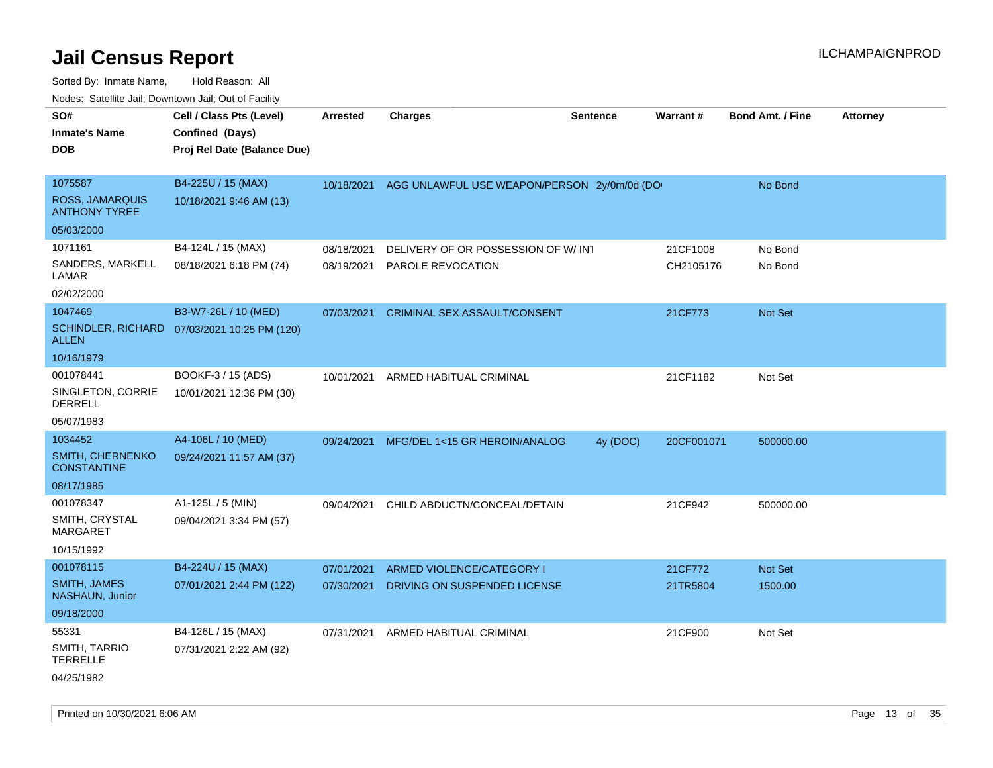| SO#                                            | Cell / Class Pts (Level)                     | <b>Arrested</b> | <b>Charges</b>                              | <b>Sentence</b> | <b>Warrant#</b> | <b>Bond Amt. / Fine</b> | <b>Attorney</b> |
|------------------------------------------------|----------------------------------------------|-----------------|---------------------------------------------|-----------------|-----------------|-------------------------|-----------------|
| <b>Inmate's Name</b>                           | Confined (Days)                              |                 |                                             |                 |                 |                         |                 |
| <b>DOB</b>                                     | Proj Rel Date (Balance Due)                  |                 |                                             |                 |                 |                         |                 |
|                                                |                                              |                 |                                             |                 |                 |                         |                 |
| 1075587                                        | B4-225U / 15 (MAX)                           | 10/18/2021      | AGG UNLAWFUL USE WEAPON/PERSON 2y/0m/0d (DO |                 |                 | No Bond                 |                 |
| <b>ROSS, JAMARQUIS</b><br><b>ANTHONY TYREE</b> | 10/18/2021 9:46 AM (13)                      |                 |                                             |                 |                 |                         |                 |
| 05/03/2000                                     |                                              |                 |                                             |                 |                 |                         |                 |
| 1071161                                        | B4-124L / 15 (MAX)                           | 08/18/2021      | DELIVERY OF OR POSSESSION OF W/INT          |                 | 21CF1008        | No Bond                 |                 |
| SANDERS, MARKELL<br>LAMAR                      | 08/18/2021 6:18 PM (74)                      | 08/19/2021      | PAROLE REVOCATION                           |                 | CH2105176       | No Bond                 |                 |
| 02/02/2000                                     |                                              |                 |                                             |                 |                 |                         |                 |
| 1047469                                        | B3-W7-26L / 10 (MED)                         | 07/03/2021      | CRIMINAL SEX ASSAULT/CONSENT                |                 | 21CF773         | Not Set                 |                 |
| <b>ALLEN</b>                                   | SCHINDLER, RICHARD 07/03/2021 10:25 PM (120) |                 |                                             |                 |                 |                         |                 |
| 10/16/1979                                     |                                              |                 |                                             |                 |                 |                         |                 |
| 001078441                                      | BOOKF-3 / 15 (ADS)                           | 10/01/2021      | ARMED HABITUAL CRIMINAL                     |                 | 21CF1182        | Not Set                 |                 |
| SINGLETON, CORRIE<br><b>DERRELL</b>            | 10/01/2021 12:36 PM (30)                     |                 |                                             |                 |                 |                         |                 |
| 05/07/1983                                     |                                              |                 |                                             |                 |                 |                         |                 |
| 1034452                                        | A4-106L / 10 (MED)                           | 09/24/2021      | MFG/DEL 1<15 GR HEROIN/ANALOG               | 4y (DOC)        | 20CF001071      | 500000.00               |                 |
| SMITH, CHERNENKO<br><b>CONSTANTINE</b>         | 09/24/2021 11:57 AM (37)                     |                 |                                             |                 |                 |                         |                 |
| 08/17/1985                                     |                                              |                 |                                             |                 |                 |                         |                 |
| 001078347                                      | A1-125L / 5 (MIN)                            | 09/04/2021      | CHILD ABDUCTN/CONCEAL/DETAIN                |                 | 21CF942         | 500000.00               |                 |
| SMITH, CRYSTAL<br><b>MARGARET</b>              | 09/04/2021 3:34 PM (57)                      |                 |                                             |                 |                 |                         |                 |
| 10/15/1992                                     |                                              |                 |                                             |                 |                 |                         |                 |
| 001078115                                      | B4-224U / 15 (MAX)                           | 07/01/2021      | ARMED VIOLENCE/CATEGORY I                   |                 | 21CF772         | <b>Not Set</b>          |                 |
| <b>SMITH, JAMES</b><br><b>NASHAUN, Junior</b>  | 07/01/2021 2:44 PM (122)                     | 07/30/2021      | DRIVING ON SUSPENDED LICENSE                |                 | 21TR5804        | 1500.00                 |                 |
| 09/18/2000                                     |                                              |                 |                                             |                 |                 |                         |                 |
| 55331                                          | B4-126L / 15 (MAX)                           | 07/31/2021      | ARMED HABITUAL CRIMINAL                     |                 | 21CF900         | Not Set                 |                 |
| <b>SMITH, TARRIO</b><br><b>TERRELLE</b>        | 07/31/2021 2:22 AM (92)                      |                 |                                             |                 |                 |                         |                 |
| 04/25/1982                                     |                                              |                 |                                             |                 |                 |                         |                 |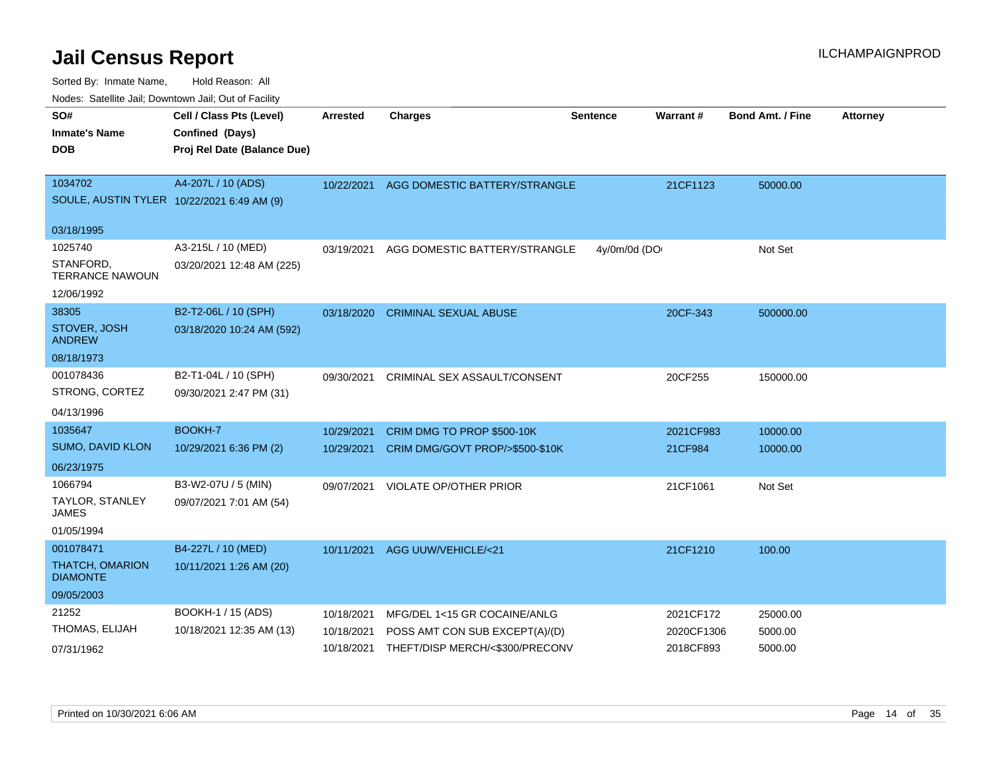Sorted By: Inmate Name, Hold Reason: All

Nodes: Satellite Jail; Downtown Jail; Out of Facility

| SO#<br><b>Inmate's Name</b><br><b>DOB</b>             | Cell / Class Pts (Level)<br>Confined (Days)<br>Proj Rel Date (Balance Due) | <b>Arrested</b> | <b>Charges</b>                           | Sentence     | Warrant#   | <b>Bond Amt. / Fine</b> | <b>Attorney</b> |
|-------------------------------------------------------|----------------------------------------------------------------------------|-----------------|------------------------------------------|--------------|------------|-------------------------|-----------------|
| 1034702<br>SOULE, AUSTIN TYLER 10/22/2021 6:49 AM (9) | A4-207L / 10 (ADS)                                                         |                 | 10/22/2021 AGG DOMESTIC BATTERY/STRANGLE |              | 21CF1123   | 50000.00                |                 |
| 03/18/1995                                            |                                                                            |                 |                                          |              |            |                         |                 |
| 1025740                                               | A3-215L / 10 (MED)                                                         | 03/19/2021      | AGG DOMESTIC BATTERY/STRANGLE            | 4y/0m/0d (DO |            | Not Set                 |                 |
| STANFORD,<br><b>TERRANCE NAWOUN</b>                   | 03/20/2021 12:48 AM (225)                                                  |                 |                                          |              |            |                         |                 |
| 12/06/1992                                            |                                                                            |                 |                                          |              |            |                         |                 |
| 38305                                                 | B2-T2-06L / 10 (SPH)                                                       | 03/18/2020      | <b>CRIMINAL SEXUAL ABUSE</b>             |              | 20CF-343   | 500000.00               |                 |
| STOVER, JOSH<br><b>ANDREW</b>                         | 03/18/2020 10:24 AM (592)                                                  |                 |                                          |              |            |                         |                 |
| 08/18/1973                                            |                                                                            |                 |                                          |              |            |                         |                 |
| 001078436                                             | B2-T1-04L / 10 (SPH)                                                       | 09/30/2021      | CRIMINAL SEX ASSAULT/CONSENT             |              | 20CF255    | 150000.00               |                 |
| STRONG, CORTEZ                                        | 09/30/2021 2:47 PM (31)                                                    |                 |                                          |              |            |                         |                 |
| 04/13/1996                                            |                                                                            |                 |                                          |              |            |                         |                 |
| 1035647                                               | BOOKH-7                                                                    | 10/29/2021      | CRIM DMG TO PROP \$500-10K               |              | 2021CF983  | 10000.00                |                 |
| SUMO, DAVID KLON                                      | 10/29/2021 6:36 PM (2)                                                     | 10/29/2021      | CRIM DMG/GOVT PROP/>\$500-\$10K          |              | 21CF984    | 10000.00                |                 |
| 06/23/1975                                            |                                                                            |                 |                                          |              |            |                         |                 |
| 1066794                                               | B3-W2-07U / 5 (MIN)                                                        | 09/07/2021      | <b>VIOLATE OP/OTHER PRIOR</b>            |              | 21CF1061   | Not Set                 |                 |
| TAYLOR, STANLEY<br><b>JAMES</b>                       | 09/07/2021 7:01 AM (54)                                                    |                 |                                          |              |            |                         |                 |
| 01/05/1994                                            |                                                                            |                 |                                          |              |            |                         |                 |
| 001078471                                             | B4-227L / 10 (MED)                                                         |                 | 10/11/2021 AGG UUW/VEHICLE/<21           |              | 21CF1210   | 100.00                  |                 |
| THATCH, OMARION<br><b>DIAMONTE</b>                    | 10/11/2021 1:26 AM (20)                                                    |                 |                                          |              |            |                         |                 |
| 09/05/2003                                            |                                                                            |                 |                                          |              |            |                         |                 |
| 21252                                                 | BOOKH-1 / 15 (ADS)                                                         | 10/18/2021      | MFG/DEL 1<15 GR COCAINE/ANLG             |              | 2021CF172  | 25000.00                |                 |
| THOMAS, ELIJAH                                        | 10/18/2021 12:35 AM (13)                                                   | 10/18/2021      | POSS AMT CON SUB EXCEPT(A)/(D)           |              | 2020CF1306 | 5000.00                 |                 |
| 07/31/1962                                            |                                                                            | 10/18/2021      | THEFT/DISP MERCH/<\$300/PRECONV          |              | 2018CF893  | 5000.00                 |                 |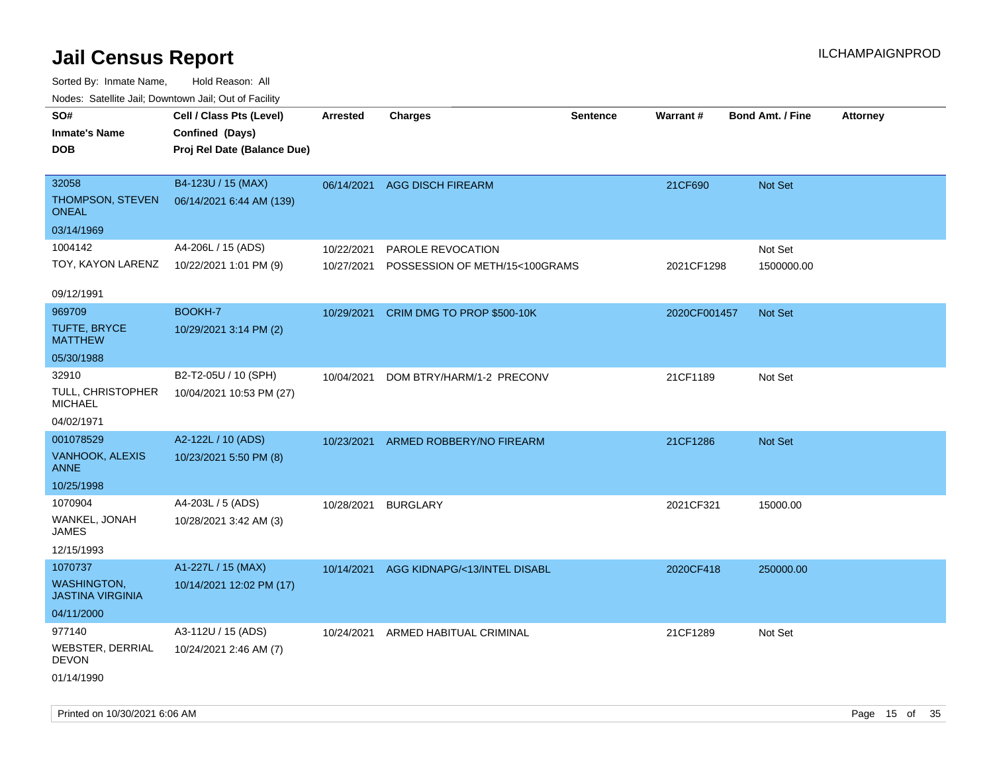Sorted By: Inmate Name, Hold Reason: All Nodes: Satellite Jail; Downtown Jail; Out of Facility

| ivodes. Satellite Jali, Downtown Jali, Out of Facility |                             |            |                                |                 |              |                         |                 |
|--------------------------------------------------------|-----------------------------|------------|--------------------------------|-----------------|--------------|-------------------------|-----------------|
| SO#                                                    | Cell / Class Pts (Level)    | Arrested   | <b>Charges</b>                 | <b>Sentence</b> | Warrant#     | <b>Bond Amt. / Fine</b> | <b>Attorney</b> |
| <b>Inmate's Name</b>                                   | Confined (Days)             |            |                                |                 |              |                         |                 |
| <b>DOB</b>                                             | Proj Rel Date (Balance Due) |            |                                |                 |              |                         |                 |
|                                                        |                             |            |                                |                 |              |                         |                 |
| 32058                                                  | B4-123U / 15 (MAX)          |            | 06/14/2021 AGG DISCH FIREARM   |                 | 21CF690      | <b>Not Set</b>          |                 |
| THOMPSON, STEVEN<br>ONEAL                              | 06/14/2021 6:44 AM (139)    |            |                                |                 |              |                         |                 |
| 03/14/1969                                             |                             |            |                                |                 |              |                         |                 |
| 1004142                                                | A4-206L / 15 (ADS)          | 10/22/2021 | PAROLE REVOCATION              |                 |              | Not Set                 |                 |
| TOY, KAYON LARENZ                                      | 10/22/2021 1:01 PM (9)      | 10/27/2021 | POSSESSION OF METH/15<100GRAMS |                 | 2021CF1298   | 1500000.00              |                 |
| 09/12/1991                                             |                             |            |                                |                 |              |                         |                 |
| 969709                                                 | BOOKH-7                     | 10/29/2021 | CRIM DMG TO PROP \$500-10K     |                 | 2020CF001457 | <b>Not Set</b>          |                 |
| TUFTE, BRYCE<br><b>MATTHEW</b>                         | 10/29/2021 3:14 PM (2)      |            |                                |                 |              |                         |                 |
| 05/30/1988                                             |                             |            |                                |                 |              |                         |                 |
| 32910                                                  | B2-T2-05U / 10 (SPH)        | 10/04/2021 | DOM BTRY/HARM/1-2 PRECONV      |                 | 21CF1189     | Not Set                 |                 |
| TULL, CHRISTOPHER<br><b>MICHAEL</b>                    | 10/04/2021 10:53 PM (27)    |            |                                |                 |              |                         |                 |
| 04/02/1971                                             |                             |            |                                |                 |              |                         |                 |
| 001078529                                              | A2-122L / 10 (ADS)          | 10/23/2021 | ARMED ROBBERY/NO FIREARM       |                 | 21CF1286     | <b>Not Set</b>          |                 |
| <b>VANHOOK, ALEXIS</b><br>ANNE                         | 10/23/2021 5:50 PM (8)      |            |                                |                 |              |                         |                 |
| 10/25/1998                                             |                             |            |                                |                 |              |                         |                 |
| 1070904                                                | A4-203L / 5 (ADS)           | 10/28/2021 | <b>BURGLARY</b>                |                 | 2021CF321    | 15000.00                |                 |
| WANKEL, JONAH<br>JAMES                                 | 10/28/2021 3:42 AM (3)      |            |                                |                 |              |                         |                 |
| 12/15/1993                                             |                             |            |                                |                 |              |                         |                 |
| 1070737                                                | A1-227L / 15 (MAX)          | 10/14/2021 | AGG KIDNAPG/<13/INTEL DISABL   |                 | 2020CF418    | 250000.00               |                 |
| <b>WASHINGTON,</b><br><b>JASTINA VIRGINIA</b>          | 10/14/2021 12:02 PM (17)    |            |                                |                 |              |                         |                 |
| 04/11/2000                                             |                             |            |                                |                 |              |                         |                 |
| 977140                                                 | A3-112U / 15 (ADS)          | 10/24/2021 | ARMED HABITUAL CRIMINAL        |                 | 21CF1289     | Not Set                 |                 |
| WEBSTER, DERRIAL<br><b>DEVON</b>                       | 10/24/2021 2:46 AM (7)      |            |                                |                 |              |                         |                 |
| 01/14/1990                                             |                             |            |                                |                 |              |                         |                 |

Printed on 10/30/2021 6:06 AM Page 15 of 35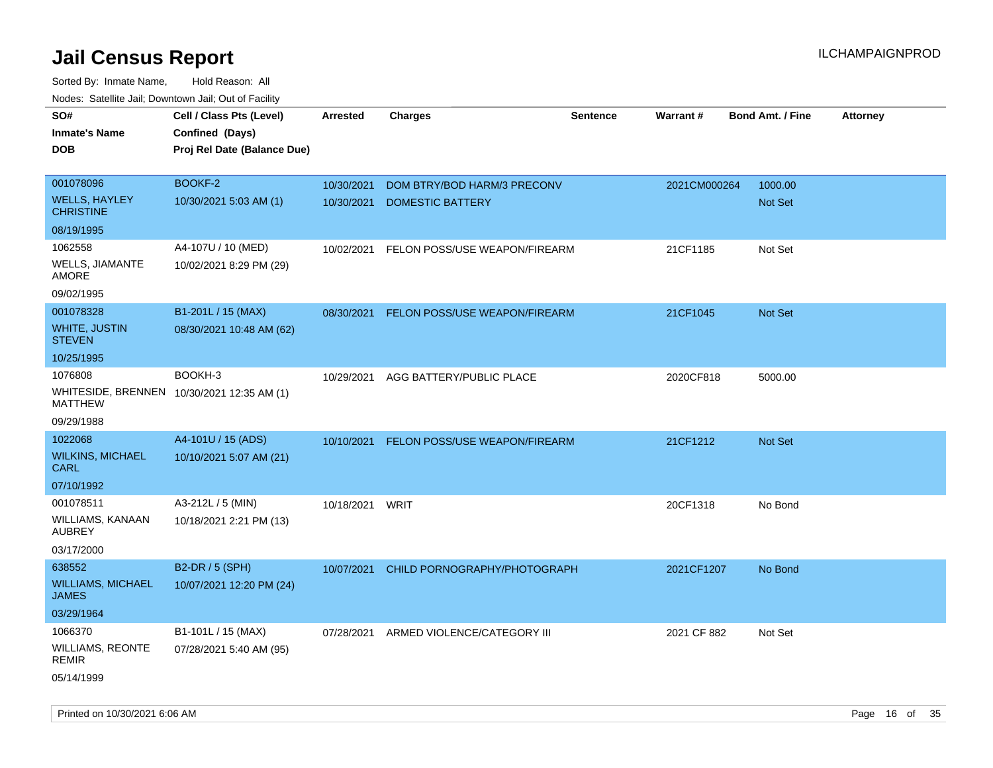| House. Sale into sail, Bowmonn sail, Sal of Fability<br>SO#<br><b>Inmate's Name</b><br><b>DOB</b> | Cell / Class Pts (Level)<br>Confined (Days)<br>Proj Rel Date (Balance Due) | <b>Arrested</b> | <b>Charges</b>                         | <b>Sentence</b> | Warrant#     | <b>Bond Amt. / Fine</b> | <b>Attorney</b> |
|---------------------------------------------------------------------------------------------------|----------------------------------------------------------------------------|-----------------|----------------------------------------|-----------------|--------------|-------------------------|-----------------|
|                                                                                                   |                                                                            |                 |                                        |                 |              |                         |                 |
| 001078096                                                                                         | BOOKF-2                                                                    | 10/30/2021      | DOM BTRY/BOD HARM/3 PRECONV            |                 | 2021CM000264 | 1000.00                 |                 |
| <b>WELLS, HAYLEY</b><br><b>CHRISTINE</b>                                                          | 10/30/2021 5:03 AM (1)                                                     | 10/30/2021      | <b>DOMESTIC BATTERY</b>                |                 |              | Not Set                 |                 |
| 08/19/1995                                                                                        |                                                                            |                 |                                        |                 |              |                         |                 |
| 1062558                                                                                           | A4-107U / 10 (MED)                                                         | 10/02/2021      | FELON POSS/USE WEAPON/FIREARM          |                 | 21CF1185     | Not Set                 |                 |
| <b>WELLS, JIAMANTE</b><br>AMORE                                                                   | 10/02/2021 8:29 PM (29)                                                    |                 |                                        |                 |              |                         |                 |
| 09/02/1995                                                                                        |                                                                            |                 |                                        |                 |              |                         |                 |
| 001078328                                                                                         | B1-201L / 15 (MAX)                                                         | 08/30/2021      | FELON POSS/USE WEAPON/FIREARM          |                 | 21CF1045     | <b>Not Set</b>          |                 |
| <b>WHITE, JUSTIN</b><br><b>STEVEN</b>                                                             | 08/30/2021 10:48 AM (62)                                                   |                 |                                        |                 |              |                         |                 |
| 10/25/1995                                                                                        |                                                                            |                 |                                        |                 |              |                         |                 |
| 1076808                                                                                           | BOOKH-3                                                                    |                 | 10/29/2021 AGG BATTERY/PUBLIC PLACE    |                 | 2020CF818    | 5000.00                 |                 |
| WHITESIDE, BRENNEN 10/30/2021 12:35 AM (1)<br><b>MATTHEW</b>                                      |                                                                            |                 |                                        |                 |              |                         |                 |
| 09/29/1988                                                                                        |                                                                            |                 |                                        |                 |              |                         |                 |
| 1022068                                                                                           | A4-101U / 15 (ADS)                                                         | 10/10/2021      | FELON POSS/USE WEAPON/FIREARM          |                 | 21CF1212     | Not Set                 |                 |
| <b>WILKINS, MICHAEL</b><br>CARL                                                                   | 10/10/2021 5:07 AM (21)                                                    |                 |                                        |                 |              |                         |                 |
| 07/10/1992                                                                                        |                                                                            |                 |                                        |                 |              |                         |                 |
| 001078511                                                                                         | A3-212L / 5 (MIN)                                                          | 10/18/2021      | WRIT                                   |                 | 20CF1318     | No Bond                 |                 |
| WILLIAMS, KANAAN<br><b>AUBREY</b>                                                                 | 10/18/2021 2:21 PM (13)                                                    |                 |                                        |                 |              |                         |                 |
| 03/17/2000                                                                                        |                                                                            |                 |                                        |                 |              |                         |                 |
| 638552                                                                                            | B2-DR / 5 (SPH)                                                            | 10/07/2021      | CHILD PORNOGRAPHY/PHOTOGRAPH           |                 | 2021CF1207   | No Bond                 |                 |
| <b>WILLIAMS, MICHAEL</b><br><b>JAMES</b>                                                          | 10/07/2021 12:20 PM (24)                                                   |                 |                                        |                 |              |                         |                 |
| 03/29/1964                                                                                        |                                                                            |                 |                                        |                 |              |                         |                 |
| 1066370                                                                                           | B1-101L / 15 (MAX)                                                         |                 | 07/28/2021 ARMED VIOLENCE/CATEGORY III |                 | 2021 CF 882  | Not Set                 |                 |
| <b>WILLIAMS, REONTE</b><br><b>REMIR</b>                                                           | 07/28/2021 5:40 AM (95)                                                    |                 |                                        |                 |              |                         |                 |
| 05/14/1999                                                                                        |                                                                            |                 |                                        |                 |              |                         |                 |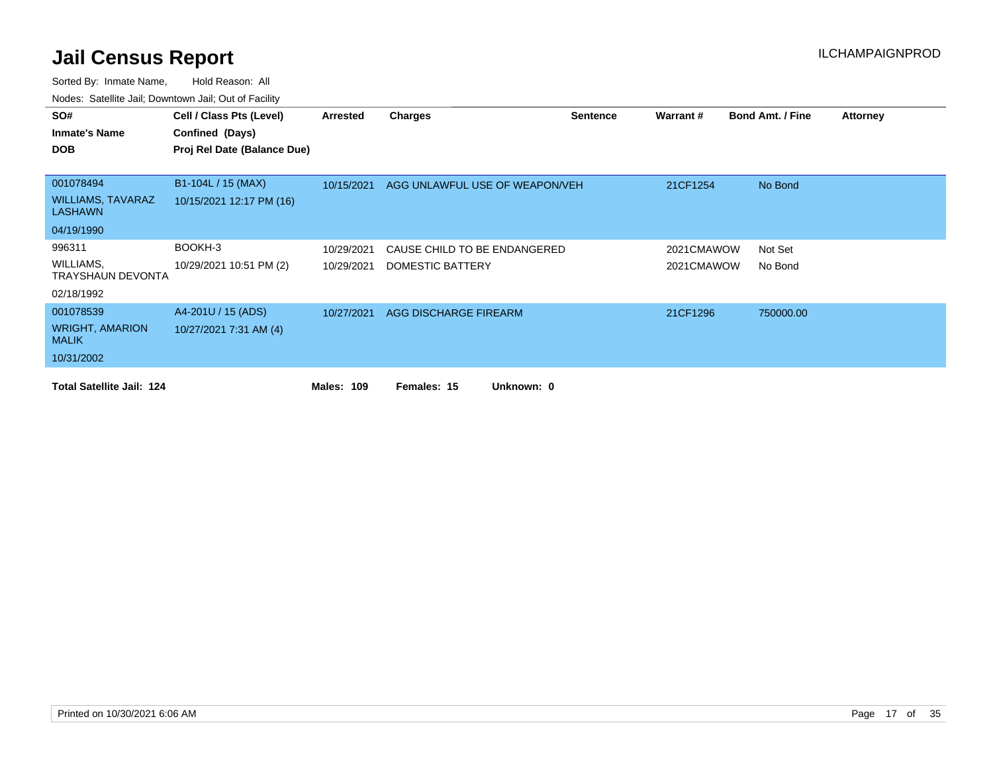| SO#                                    | Cell / Class Pts (Level)    | Arrested          | <b>Charges</b>                 | <b>Sentence</b> | <b>Warrant#</b> | <b>Bond Amt. / Fine</b> | <b>Attorney</b> |
|----------------------------------------|-----------------------------|-------------------|--------------------------------|-----------------|-----------------|-------------------------|-----------------|
| <b>Inmate's Name</b>                   | Confined (Days)             |                   |                                |                 |                 |                         |                 |
| <b>DOB</b>                             | Proj Rel Date (Balance Due) |                   |                                |                 |                 |                         |                 |
|                                        |                             |                   |                                |                 |                 |                         |                 |
| 001078494                              | B1-104L / 15 (MAX)          | 10/15/2021        | AGG UNLAWFUL USE OF WEAPON/VEH |                 | 21CF1254        | No Bond                 |                 |
| WILLIAMS, TAVARAZ<br><b>LASHAWN</b>    | 10/15/2021 12:17 PM (16)    |                   |                                |                 |                 |                         |                 |
| 04/19/1990                             |                             |                   |                                |                 |                 |                         |                 |
| 996311                                 | BOOKH-3                     | 10/29/2021        | CAUSE CHILD TO BE ENDANGERED   |                 | 2021CMAWOW      | Not Set                 |                 |
| WILLIAMS,<br><b>TRAYSHAUN DEVONTA</b>  | 10/29/2021 10:51 PM (2)     | 10/29/2021        | DOMESTIC BATTERY               |                 | 2021CMAWOW      | No Bond                 |                 |
| 02/18/1992                             |                             |                   |                                |                 |                 |                         |                 |
| 001078539                              | A4-201U / 15 (ADS)          | 10/27/2021        | AGG DISCHARGE FIREARM          |                 | 21CF1296        | 750000.00               |                 |
| <b>WRIGHT, AMARION</b><br><b>MALIK</b> | 10/27/2021 7:31 AM (4)      |                   |                                |                 |                 |                         |                 |
| 10/31/2002                             |                             |                   |                                |                 |                 |                         |                 |
| <b>Total Satellite Jail: 124</b>       |                             | <b>Males: 109</b> | Females: 15<br>Unknown: 0      |                 |                 |                         |                 |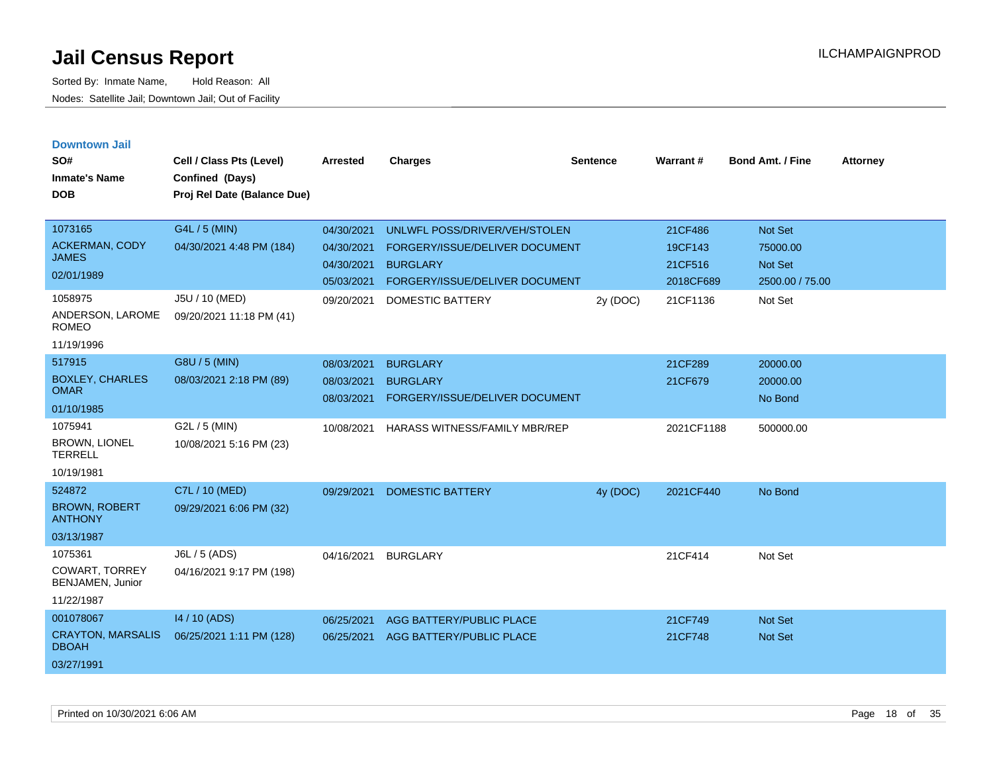Sorted By: Inmate Name, Hold Reason: All Nodes: Satellite Jail; Downtown Jail; Out of Facility

| <b>Downtown Jail</b><br>SO#<br><b>Inmate's Name</b>                | Cell / Class Pts (Level)<br>Confined (Days) | <b>Arrested</b>                                      | <b>Charges</b>                                                                                                       | <b>Sentence</b> | Warrant#                                   | <b>Bond Amt. / Fine</b>                           | <b>Attorney</b> |
|--------------------------------------------------------------------|---------------------------------------------|------------------------------------------------------|----------------------------------------------------------------------------------------------------------------------|-----------------|--------------------------------------------|---------------------------------------------------|-----------------|
| <b>DOB</b>                                                         | Proj Rel Date (Balance Due)                 |                                                      |                                                                                                                      |                 |                                            |                                                   |                 |
| 1073165<br>ACKERMAN, CODY<br><b>JAMES</b><br>02/01/1989            | G4L / 5 (MIN)<br>04/30/2021 4:48 PM (184)   | 04/30/2021<br>04/30/2021<br>04/30/2021<br>05/03/2021 | UNLWFL POSS/DRIVER/VEH/STOLEN<br>FORGERY/ISSUE/DELIVER DOCUMENT<br><b>BURGLARY</b><br>FORGERY/ISSUE/DELIVER DOCUMENT |                 | 21CF486<br>19CF143<br>21CF516<br>2018CF689 | Not Set<br>75000.00<br>Not Set<br>2500.00 / 75.00 |                 |
| 1058975<br>ANDERSON, LAROME<br><b>ROMEO</b><br>11/19/1996          | J5U / 10 (MED)<br>09/20/2021 11:18 PM (41)  | 09/20/2021                                           | <b>DOMESTIC BATTERY</b>                                                                                              | 2y (DOC)        | 21CF1136                                   | Not Set                                           |                 |
| 517915<br><b>BOXLEY, CHARLES</b><br><b>OMAR</b><br>01/10/1985      | G8U / 5 (MIN)<br>08/03/2021 2:18 PM (89)    | 08/03/2021<br>08/03/2021<br>08/03/2021               | <b>BURGLARY</b><br><b>BURGLARY</b><br>FORGERY/ISSUE/DELIVER DOCUMENT                                                 |                 | 21CF289<br>21CF679                         | 20000.00<br>20000.00<br>No Bond                   |                 |
| 1075941<br><b>BROWN, LIONEL</b><br><b>TERRELL</b><br>10/19/1981    | G2L / 5 (MIN)<br>10/08/2021 5:16 PM (23)    | 10/08/2021                                           | <b>HARASS WITNESS/FAMILY MBR/REP</b>                                                                                 |                 | 2021CF1188                                 | 500000.00                                         |                 |
| 524872<br><b>BROWN, ROBERT</b><br><b>ANTHONY</b><br>03/13/1987     | C7L / 10 (MED)<br>09/29/2021 6:06 PM (32)   | 09/29/2021                                           | <b>DOMESTIC BATTERY</b>                                                                                              | 4y (DOC)        | 2021CF440                                  | No Bond                                           |                 |
| 1075361<br><b>COWART, TORREY</b><br>BENJAMEN, Junior<br>11/22/1987 | J6L / 5 (ADS)<br>04/16/2021 9:17 PM (198)   | 04/16/2021                                           | <b>BURGLARY</b>                                                                                                      |                 | 21CF414                                    | Not Set                                           |                 |
| 001078067<br><b>CRAYTON, MARSALIS</b>                              | 14 / 10 (ADS)<br>06/25/2021 1:11 PM (128)   | 06/25/2021<br>06/25/2021                             | <b>AGG BATTERY/PUBLIC PLACE</b><br>AGG BATTERY/PUBLIC PLACE                                                          |                 | 21CF749<br>21CF748                         | <b>Not Set</b><br>Not Set                         |                 |

DBOAH 03/27/1991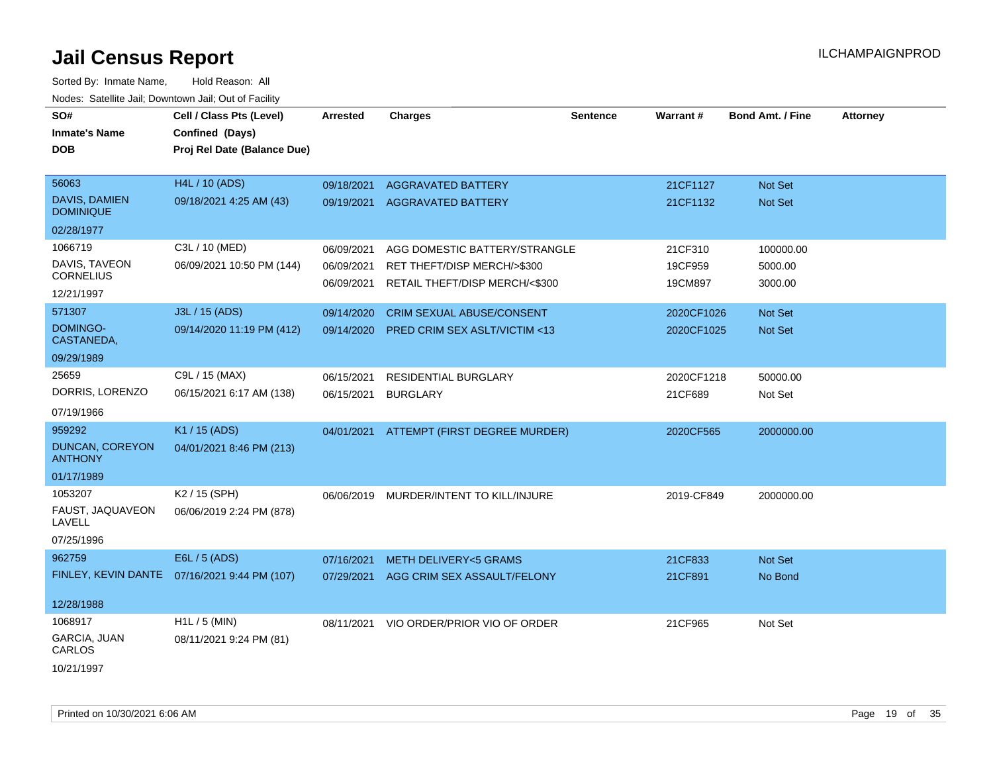| roaco. Catolino cali, Downtown cali, Out of Fability |                                               |                 |                                  |                 |            |                         |                 |
|------------------------------------------------------|-----------------------------------------------|-----------------|----------------------------------|-----------------|------------|-------------------------|-----------------|
| SO#                                                  | Cell / Class Pts (Level)                      | <b>Arrested</b> | <b>Charges</b>                   | <b>Sentence</b> | Warrant#   | <b>Bond Amt. / Fine</b> | <b>Attorney</b> |
| <b>Inmate's Name</b>                                 | Confined (Days)                               |                 |                                  |                 |            |                         |                 |
| <b>DOB</b>                                           | Proj Rel Date (Balance Due)                   |                 |                                  |                 |            |                         |                 |
|                                                      |                                               |                 |                                  |                 |            |                         |                 |
| 56063                                                | <b>H4L / 10 (ADS)</b>                         | 09/18/2021      | <b>AGGRAVATED BATTERY</b>        |                 | 21CF1127   | Not Set                 |                 |
| DAVIS, DAMIEN<br><b>DOMINIQUE</b>                    | 09/18/2021 4:25 AM (43)                       | 09/19/2021      | <b>AGGRAVATED BATTERY</b>        |                 | 21CF1132   | Not Set                 |                 |
| 02/28/1977                                           |                                               |                 |                                  |                 |            |                         |                 |
| 1066719                                              | C3L / 10 (MED)                                | 06/09/2021      | AGG DOMESTIC BATTERY/STRANGLE    |                 | 21CF310    | 100000.00               |                 |
| DAVIS, TAVEON                                        | 06/09/2021 10:50 PM (144)                     | 06/09/2021      | RET THEFT/DISP MERCH/>\$300      |                 | 19CF959    | 5000.00                 |                 |
| <b>CORNELIUS</b>                                     |                                               | 06/09/2021      | RETAIL THEFT/DISP MERCH/<\$300   |                 | 19CM897    | 3000.00                 |                 |
| 12/21/1997                                           |                                               |                 |                                  |                 |            |                         |                 |
| 571307                                               | J3L / 15 (ADS)                                | 09/14/2020      | <b>CRIM SEXUAL ABUSE/CONSENT</b> |                 | 2020CF1026 | Not Set                 |                 |
| DOMINGO-<br>CASTANEDA,                               | 09/14/2020 11:19 PM (412)                     | 09/14/2020      | PRED CRIM SEX ASLT/VICTIM <13    |                 | 2020CF1025 | Not Set                 |                 |
| 09/29/1989                                           |                                               |                 |                                  |                 |            |                         |                 |
| 25659                                                | C9L / 15 (MAX)                                | 06/15/2021      | RESIDENTIAL BURGLARY             |                 | 2020CF1218 | 50000.00                |                 |
| DORRIS, LORENZO                                      | 06/15/2021 6:17 AM (138)                      | 06/15/2021      | <b>BURGLARY</b>                  |                 | 21CF689    | Not Set                 |                 |
| 07/19/1966                                           |                                               |                 |                                  |                 |            |                         |                 |
| 959292                                               | K1 / 15 (ADS)                                 | 04/01/2021      | ATTEMPT (FIRST DEGREE MURDER)    |                 | 2020CF565  | 2000000.00              |                 |
| DUNCAN, COREYON<br><b>ANTHONY</b>                    | 04/01/2021 8:46 PM (213)                      |                 |                                  |                 |            |                         |                 |
| 01/17/1989                                           |                                               |                 |                                  |                 |            |                         |                 |
| 1053207                                              | K <sub>2</sub> / 15 (SPH)                     | 06/06/2019      | MURDER/INTENT TO KILL/INJURE     |                 | 2019-CF849 | 2000000.00              |                 |
| FAUST, JAQUAVEON<br>LAVELL                           | 06/06/2019 2:24 PM (878)                      |                 |                                  |                 |            |                         |                 |
| 07/25/1996                                           |                                               |                 |                                  |                 |            |                         |                 |
| 962759                                               | E6L / 5 (ADS)                                 | 07/16/2021      | <b>METH DELIVERY&lt;5 GRAMS</b>  |                 | 21CF833    | Not Set                 |                 |
|                                                      | FINLEY, KEVIN DANTE  07/16/2021 9:44 PM (107) | 07/29/2021      | AGG CRIM SEX ASSAULT/FELONY      |                 | 21CF891    | No Bond                 |                 |
|                                                      |                                               |                 |                                  |                 |            |                         |                 |
| 12/28/1988                                           |                                               |                 |                                  |                 |            |                         |                 |
| 1068917                                              | $H1L / 5$ (MIN)                               | 08/11/2021      | VIO ORDER/PRIOR VIO OF ORDER     |                 | 21CF965    | Not Set                 |                 |
| GARCIA, JUAN<br>CARLOS                               | 08/11/2021 9:24 PM (81)                       |                 |                                  |                 |            |                         |                 |
| 10/21/1997                                           |                                               |                 |                                  |                 |            |                         |                 |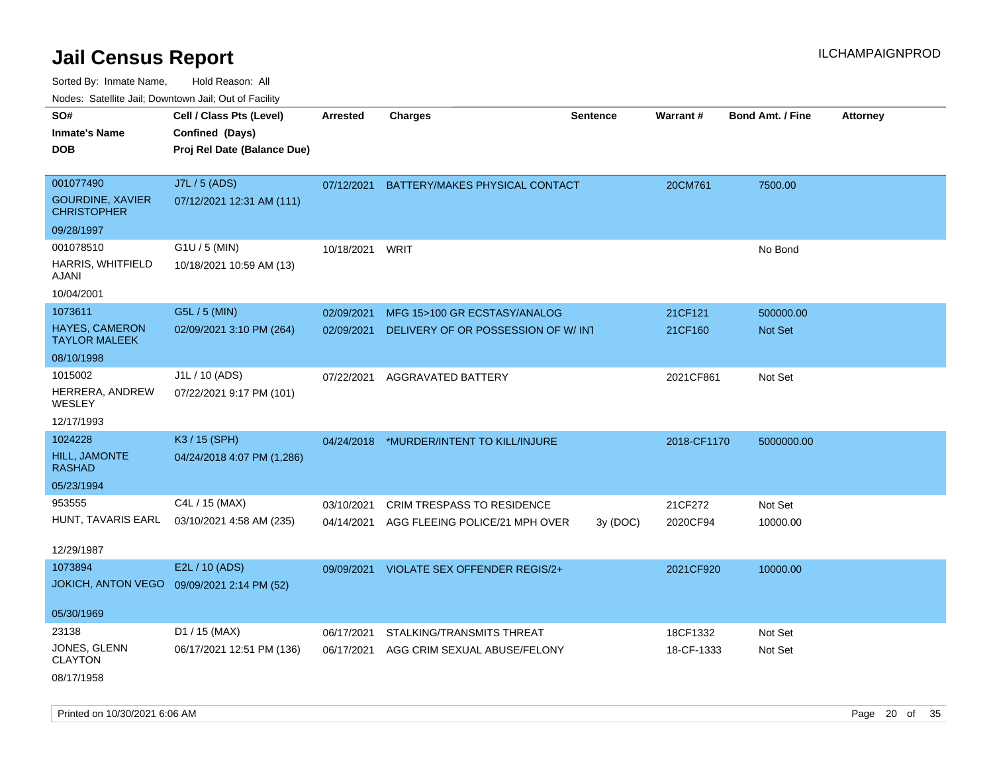Sorted By: Inmate Name, Hold Reason: All

Nodes: Satellite Jail; Downtown Jail; Out of Facility

| SO#<br><b>Inmate's Name</b><br><b>DOB</b>     | Cell / Class Pts (Level)<br>Confined (Days)<br>Proj Rel Date (Balance Due) | <b>Arrested</b> | <b>Charges</b>                       | <b>Sentence</b> | Warrant#    | <b>Bond Amt. / Fine</b> | <b>Attorney</b> |
|-----------------------------------------------|----------------------------------------------------------------------------|-----------------|--------------------------------------|-----------------|-------------|-------------------------|-----------------|
|                                               |                                                                            |                 |                                      |                 |             |                         |                 |
| 001077490                                     | J7L / 5 (ADS)                                                              | 07/12/2021      | BATTERY/MAKES PHYSICAL CONTACT       |                 | 20CM761     | 7500.00                 |                 |
| <b>GOURDINE, XAVIER</b><br><b>CHRISTOPHER</b> | 07/12/2021 12:31 AM (111)                                                  |                 |                                      |                 |             |                         |                 |
| 09/28/1997                                    |                                                                            |                 |                                      |                 |             |                         |                 |
| 001078510                                     | G1U / 5 (MIN)                                                              | 10/18/2021      | WRIT                                 |                 |             | No Bond                 |                 |
| HARRIS, WHITFIELD<br>AJANI                    | 10/18/2021 10:59 AM (13)                                                   |                 |                                      |                 |             |                         |                 |
| 10/04/2001                                    |                                                                            |                 |                                      |                 |             |                         |                 |
| 1073611                                       | G5L / 5 (MIN)                                                              | 02/09/2021      | MFG 15>100 GR ECSTASY/ANALOG         |                 | 21CF121     | 500000.00               |                 |
| <b>HAYES, CAMERON</b><br><b>TAYLOR MALEEK</b> | 02/09/2021 3:10 PM (264)                                                   | 02/09/2021      | DELIVERY OF OR POSSESSION OF W/INT   |                 | 21CF160     | <b>Not Set</b>          |                 |
| 08/10/1998                                    |                                                                            |                 |                                      |                 |             |                         |                 |
| 1015002                                       | J1L / 10 (ADS)                                                             | 07/22/2021      | AGGRAVATED BATTERY                   |                 | 2021CF861   | Not Set                 |                 |
| HERRERA, ANDREW<br>WESLEY                     | 07/22/2021 9:17 PM (101)                                                   |                 |                                      |                 |             |                         |                 |
| 12/17/1993                                    |                                                                            |                 |                                      |                 |             |                         |                 |
| 1024228                                       | K3 / 15 (SPH)                                                              | 04/24/2018      | *MURDER/INTENT TO KILL/INJURE        |                 | 2018-CF1170 | 5000000.00              |                 |
| <b>HILL, JAMONTE</b><br><b>RASHAD</b>         | 04/24/2018 4:07 PM (1,286)                                                 |                 |                                      |                 |             |                         |                 |
| 05/23/1994                                    |                                                                            |                 |                                      |                 |             |                         |                 |
| 953555                                        | C4L / 15 (MAX)                                                             | 03/10/2021      | <b>CRIM TRESPASS TO RESIDENCE</b>    |                 | 21CF272     | Not Set                 |                 |
| HUNT, TAVARIS EARL                            | 03/10/2021 4:58 AM (235)                                                   | 04/14/2021      | AGG FLEEING POLICE/21 MPH OVER       | 3y(DOC)         | 2020CF94    | 10000.00                |                 |
| 12/29/1987                                    |                                                                            |                 |                                      |                 |             |                         |                 |
| 1073894                                       | E2L / 10 (ADS)                                                             | 09/09/2021      | <b>VIOLATE SEX OFFENDER REGIS/2+</b> |                 | 2021CF920   | 10000.00                |                 |
| <b>JOKICH, ANTON VEGO</b>                     | 09/09/2021 2:14 PM (52)                                                    |                 |                                      |                 |             |                         |                 |
| 05/30/1969                                    |                                                                            |                 |                                      |                 |             |                         |                 |
| 23138                                         | D1 / 15 (MAX)                                                              | 06/17/2021      | STALKING/TRANSMITS THREAT            |                 | 18CF1332    | Not Set                 |                 |
| JONES, GLENN<br><b>CLAYTON</b>                | 06/17/2021 12:51 PM (136)                                                  | 06/17/2021      | AGG CRIM SEXUAL ABUSE/FELONY         |                 | 18-CF-1333  | Not Set                 |                 |
| 08/17/1958                                    |                                                                            |                 |                                      |                 |             |                         |                 |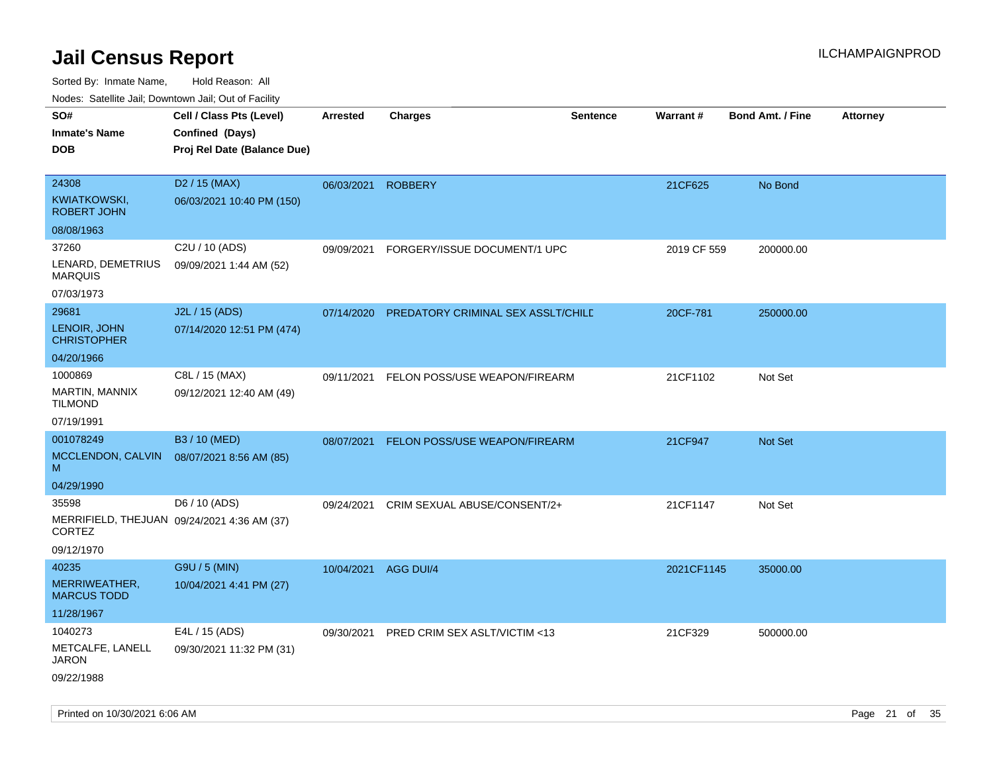| <b>Nouro:</b> Catoline Jan, Downtown Jan, Out of Fability                    |                                                                            |            |                                    |                 |             |                         |                 |
|------------------------------------------------------------------------------|----------------------------------------------------------------------------|------------|------------------------------------|-----------------|-------------|-------------------------|-----------------|
| SO#<br><b>Inmate's Name</b><br><b>DOB</b>                                    | Cell / Class Pts (Level)<br>Confined (Days)<br>Proj Rel Date (Balance Due) | Arrested   | <b>Charges</b>                     | <b>Sentence</b> | Warrant#    | <b>Bond Amt. / Fine</b> | <b>Attorney</b> |
| 24308<br>KWIATKOWSKI,<br><b>ROBERT JOHN</b>                                  | D <sub>2</sub> / 15 (MAX)<br>06/03/2021 10:40 PM (150)                     | 06/03/2021 | <b>ROBBERY</b>                     |                 | 21CF625     | No Bond                 |                 |
| 08/08/1963                                                                   |                                                                            |            |                                    |                 |             |                         |                 |
| 37260<br>LENARD, DEMETRIUS<br><b>MARQUIS</b><br>07/03/1973                   | C2U / 10 (ADS)<br>09/09/2021 1:44 AM (52)                                  | 09/09/2021 | FORGERY/ISSUE DOCUMENT/1 UPC       |                 | 2019 CF 559 | 200000.00               |                 |
|                                                                              |                                                                            |            |                                    |                 |             |                         |                 |
| 29681<br>LENOIR, JOHN<br><b>CHRISTOPHER</b>                                  | J2L / 15 (ADS)<br>07/14/2020 12:51 PM (474)                                | 07/14/2020 | PREDATORY CRIMINAL SEX ASSLT/CHILD |                 | 20CF-781    | 250000.00               |                 |
| 04/20/1966                                                                   |                                                                            |            |                                    |                 |             |                         |                 |
| 1000869<br>MARTIN, MANNIX<br><b>TILMOND</b>                                  | C8L / 15 (MAX)<br>09/12/2021 12:40 AM (49)                                 | 09/11/2021 | FELON POSS/USE WEAPON/FIREARM      |                 | 21CF1102    | Not Set                 |                 |
| 07/19/1991                                                                   |                                                                            |            |                                    |                 |             |                         |                 |
| 001078249<br>MCCLENDON, CALVIN<br>M                                          | B3 / 10 (MED)<br>08/07/2021 8:56 AM (85)                                   | 08/07/2021 | FELON POSS/USE WEAPON/FIREARM      |                 | 21CF947     | Not Set                 |                 |
| 04/29/1990                                                                   |                                                                            |            |                                    |                 |             |                         |                 |
| 35598<br>MERRIFIELD, THEJUAN 09/24/2021 4:36 AM (37)<br>CORTEZ<br>09/12/1970 | D6 / 10 (ADS)                                                              | 09/24/2021 | CRIM SEXUAL ABUSE/CONSENT/2+       |                 | 21CF1147    | Not Set                 |                 |
| 40235                                                                        | G9U / 5 (MIN)                                                              | 10/04/2021 | AGG DUI/4                          |                 | 2021CF1145  | 35000.00                |                 |
| MERRIWEATHER,<br><b>MARCUS TODD</b>                                          | 10/04/2021 4:41 PM (27)                                                    |            |                                    |                 |             |                         |                 |
| 11/28/1967                                                                   |                                                                            |            |                                    |                 |             |                         |                 |
| 1040273                                                                      | E4L / 15 (ADS)                                                             | 09/30/2021 | PRED CRIM SEX ASLT/VICTIM <13      |                 | 21CF329     | 500000.00               |                 |
| METCALFE, LANELL<br><b>JARON</b><br>09/22/1988                               | 09/30/2021 11:32 PM (31)                                                   |            |                                    |                 |             |                         |                 |
|                                                                              |                                                                            |            |                                    |                 |             |                         |                 |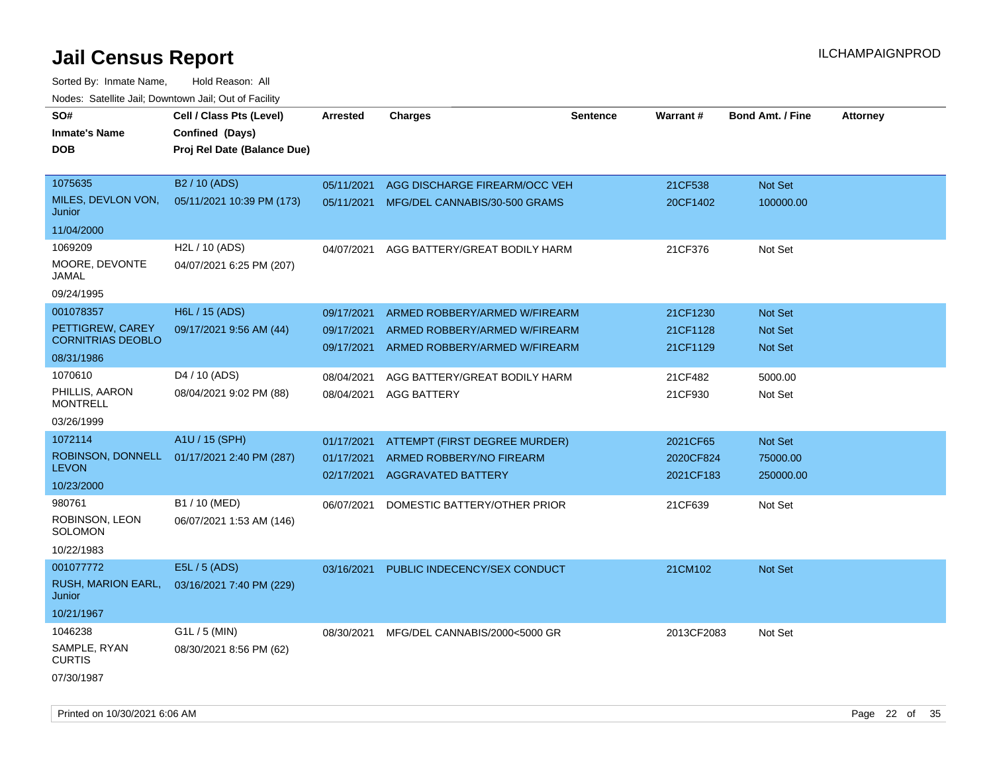| SO#<br><b>Inmate's Name</b><br><b>DOB</b>                               | Cell / Class Pts (Level)<br>Confined (Days)<br>Proj Rel Date (Balance Due) | Arrested                               | <b>Charges</b>                                                                                  | <b>Sentence</b> | Warrant #                          | <b>Bond Amt. / Fine</b>              | <b>Attorney</b> |
|-------------------------------------------------------------------------|----------------------------------------------------------------------------|----------------------------------------|-------------------------------------------------------------------------------------------------|-----------------|------------------------------------|--------------------------------------|-----------------|
| 1075635<br>MILES, DEVLON VON,<br>Junior<br>11/04/2000                   | B <sub>2</sub> / 10 (AD <sub>S</sub> )<br>05/11/2021 10:39 PM (173)        | 05/11/2021                             | AGG DISCHARGE FIREARM/OCC VEH<br>05/11/2021 MFG/DEL CANNABIS/30-500 GRAMS                       |                 | 21CF538<br>20CF1402                | Not Set<br>100000.00                 |                 |
| 1069209<br>MOORE, DEVONTE<br>JAMAL<br>09/24/1995                        | H2L / 10 (ADS)<br>04/07/2021 6:25 PM (207)                                 | 04/07/2021                             | AGG BATTERY/GREAT BODILY HARM                                                                   |                 | 21CF376                            | Not Set                              |                 |
| 001078357<br>PETTIGREW, CAREY<br><b>CORNITRIAS DEOBLO</b><br>08/31/1986 | H6L / 15 (ADS)<br>09/17/2021 9:56 AM (44)                                  | 09/17/2021<br>09/17/2021<br>09/17/2021 | ARMED ROBBERY/ARMED W/FIREARM<br>ARMED ROBBERY/ARMED W/FIREARM<br>ARMED ROBBERY/ARMED W/FIREARM |                 | 21CF1230<br>21CF1128<br>21CF1129   | Not Set<br>Not Set<br><b>Not Set</b> |                 |
| 1070610<br>PHILLIS, AARON<br><b>MONTRELL</b><br>03/26/1999              | D4 / 10 (ADS)<br>08/04/2021 9:02 PM (88)                                   | 08/04/2021<br>08/04/2021               | AGG BATTERY/GREAT BODILY HARM<br><b>AGG BATTERY</b>                                             |                 | 21CF482<br>21CF930                 | 5000.00<br>Not Set                   |                 |
| 1072114<br>ROBINSON, DONNELL<br><b>LEVON</b><br>10/23/2000              | A1U / 15 (SPH)<br>01/17/2021 2:40 PM (287)                                 | 01/17/2021<br>01/17/2021<br>02/17/2021 | <b>ATTEMPT (FIRST DEGREE MURDER)</b><br>ARMED ROBBERY/NO FIREARM<br><b>AGGRAVATED BATTERY</b>   |                 | 2021CF65<br>2020CF824<br>2021CF183 | Not Set<br>75000.00<br>250000.00     |                 |
| 980761<br>ROBINSON, LEON<br><b>SOLOMON</b><br>10/22/1983                | B1 / 10 (MED)<br>06/07/2021 1:53 AM (146)                                  | 06/07/2021                             | DOMESTIC BATTERY/OTHER PRIOR                                                                    |                 | 21CF639                            | Not Set                              |                 |
| 001077772<br>RUSH, MARION EARL,<br>Junior<br>10/21/1967                 | E5L / 5 (ADS)<br>03/16/2021 7:40 PM (229)                                  | 03/16/2021                             | PUBLIC INDECENCY/SEX CONDUCT                                                                    |                 | 21CM102                            | Not Set                              |                 |
| 1046238<br>SAMPLE, RYAN<br><b>CURTIS</b><br>07/30/1987                  | $G1L / 5$ (MIN)<br>08/30/2021 8:56 PM (62)                                 | 08/30/2021                             | MFG/DEL CANNABIS/2000<5000 GR                                                                   |                 | 2013CF2083                         | Not Set                              |                 |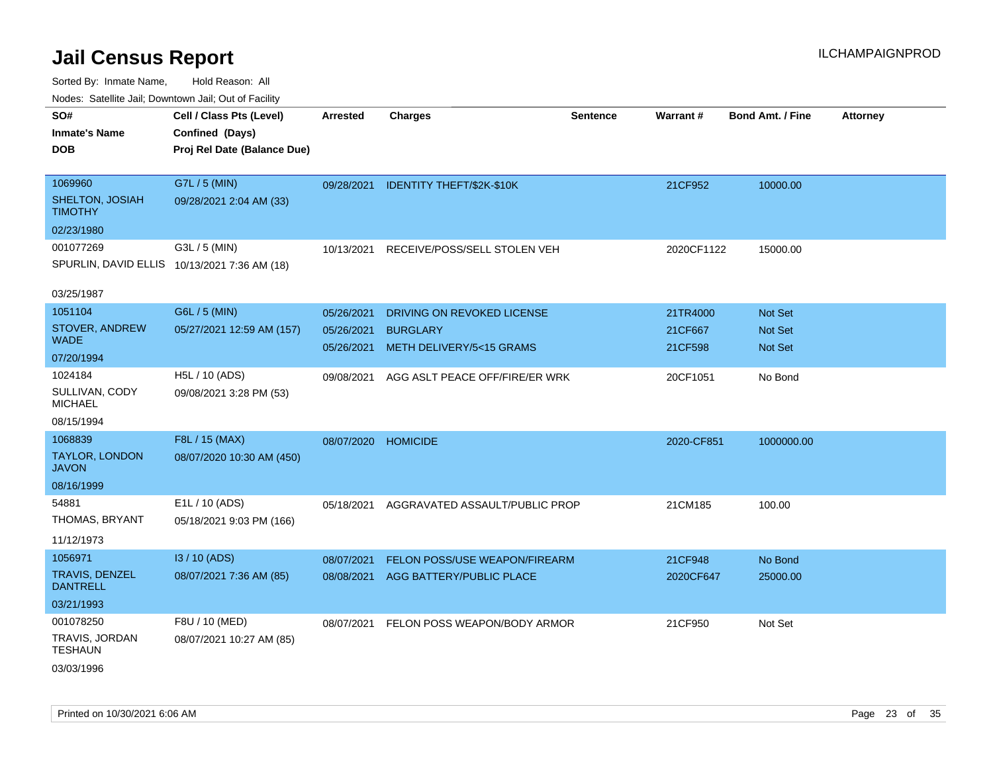| Nudes. Satellite Jali, Downtown Jali, Out of Facility |                                              |                 |                                      |                 |            |                         |                 |
|-------------------------------------------------------|----------------------------------------------|-----------------|--------------------------------------|-----------------|------------|-------------------------|-----------------|
| SO#                                                   | Cell / Class Pts (Level)                     | <b>Arrested</b> | <b>Charges</b>                       | <b>Sentence</b> | Warrant#   | <b>Bond Amt. / Fine</b> | <b>Attorney</b> |
| <b>Inmate's Name</b>                                  | Confined (Days)                              |                 |                                      |                 |            |                         |                 |
| DOB                                                   | Proj Rel Date (Balance Due)                  |                 |                                      |                 |            |                         |                 |
|                                                       |                                              |                 |                                      |                 |            |                         |                 |
| 1069960                                               | G7L / 5 (MIN)                                |                 | 09/28/2021 IDENTITY THEFT/\$2K-\$10K |                 | 21CF952    | 10000.00                |                 |
| SHELTON, JOSIAH<br>TIMOTHY                            | 09/28/2021 2:04 AM (33)                      |                 |                                      |                 |            |                         |                 |
| 02/23/1980                                            |                                              |                 |                                      |                 |            |                         |                 |
| 001077269                                             | G3L / 5 (MIN)                                | 10/13/2021      | RECEIVE/POSS/SELL STOLEN VEH         |                 | 2020CF1122 | 15000.00                |                 |
|                                                       | SPURLIN, DAVID ELLIS 10/13/2021 7:36 AM (18) |                 |                                      |                 |            |                         |                 |
|                                                       |                                              |                 |                                      |                 |            |                         |                 |
| 03/25/1987                                            |                                              |                 |                                      |                 |            |                         |                 |
| 1051104                                               | G6L / 5 (MIN)                                | 05/26/2021      | DRIVING ON REVOKED LICENSE           |                 | 21TR4000   | <b>Not Set</b>          |                 |
| STOVER, ANDREW<br>WADE                                | 05/27/2021 12:59 AM (157)                    | 05/26/2021      | <b>BURGLARY</b>                      |                 | 21CF667    | <b>Not Set</b>          |                 |
|                                                       |                                              | 05/26/2021      | METH DELIVERY/5<15 GRAMS             |                 | 21CF598    | <b>Not Set</b>          |                 |
| 07/20/1994                                            |                                              |                 |                                      |                 |            |                         |                 |
| 1024184<br>SULLIVAN, CODY                             | H5L / 10 (ADS)                               | 09/08/2021      | AGG ASLT PEACE OFF/FIRE/ER WRK       |                 | 20CF1051   | No Bond                 |                 |
| MICHAEL                                               | 09/08/2021 3:28 PM (53)                      |                 |                                      |                 |            |                         |                 |
| 08/15/1994                                            |                                              |                 |                                      |                 |            |                         |                 |
| 1068839                                               | F8L / 15 (MAX)                               | 08/07/2020      | <b>HOMICIDE</b>                      |                 | 2020-CF851 | 1000000.00              |                 |
| TAYLOR, LONDON<br>JAVON                               | 08/07/2020 10:30 AM (450)                    |                 |                                      |                 |            |                         |                 |
| 08/16/1999                                            |                                              |                 |                                      |                 |            |                         |                 |
| 54881                                                 | E1L / 10 (ADS)                               | 05/18/2021      | AGGRAVATED ASSAULT/PUBLIC PROP       |                 | 21CM185    | 100.00                  |                 |
| THOMAS, BRYANT                                        | 05/18/2021 9:03 PM (166)                     |                 |                                      |                 |            |                         |                 |
|                                                       |                                              |                 |                                      |                 |            |                         |                 |
| 11/12/1973                                            |                                              |                 |                                      |                 |            |                         |                 |
| 1056971                                               | I3 / 10 (ADS)                                | 08/07/2021      | FELON POSS/USE WEAPON/FIREARM        |                 | 21CF948    | No Bond                 |                 |
| TRAVIS, DENZEL<br><b>DANTRELL</b>                     | 08/07/2021 7:36 AM (85)                      |                 | 08/08/2021 AGG BATTERY/PUBLIC PLACE  |                 | 2020CF647  | 25000.00                |                 |
| 03/21/1993                                            |                                              |                 |                                      |                 |            |                         |                 |
| 001078250                                             | F8U / 10 (MED)                               | 08/07/2021      | FELON POSS WEAPON/BODY ARMOR         |                 | 21CF950    | Not Set                 |                 |
| TRAVIS, JORDAN                                        | 08/07/2021 10:27 AM (85)                     |                 |                                      |                 |            |                         |                 |
| TESHAUN                                               |                                              |                 |                                      |                 |            |                         |                 |
| 03/03/1996                                            |                                              |                 |                                      |                 |            |                         |                 |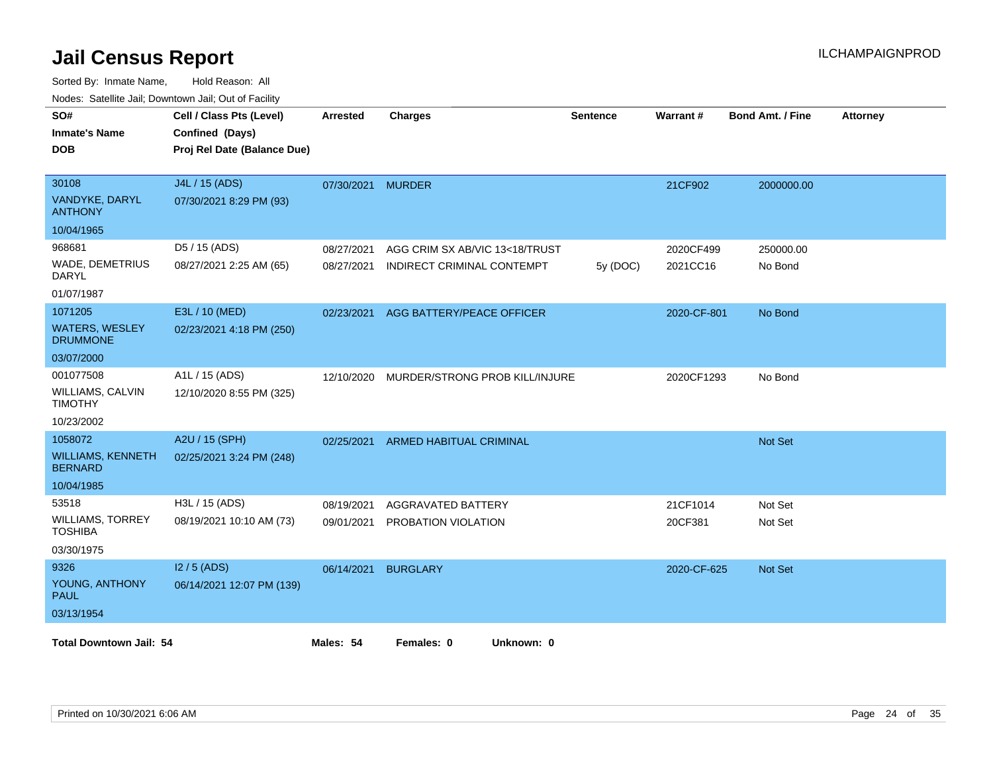| SO#                                        | Cell / Class Pts (Level)    | <b>Arrested</b>   | <b>Charges</b>                 | Sentence | Warrant#    | <b>Bond Amt. / Fine</b> | <b>Attorney</b> |
|--------------------------------------------|-----------------------------|-------------------|--------------------------------|----------|-------------|-------------------------|-----------------|
| <b>Inmate's Name</b>                       | Confined (Days)             |                   |                                |          |             |                         |                 |
| <b>DOB</b>                                 | Proj Rel Date (Balance Due) |                   |                                |          |             |                         |                 |
|                                            |                             |                   |                                |          |             |                         |                 |
| 30108                                      | J4L / 15 (ADS)              | 07/30/2021 MURDER |                                |          | 21CF902     | 2000000.00              |                 |
| VANDYKE, DARYL<br><b>ANTHONY</b>           | 07/30/2021 8:29 PM (93)     |                   |                                |          |             |                         |                 |
| 10/04/1965                                 |                             |                   |                                |          |             |                         |                 |
| 968681                                     | D5 / 15 (ADS)               | 08/27/2021        | AGG CRIM SX AB/VIC 13<18/TRUST |          | 2020CF499   | 250000.00               |                 |
| WADE, DEMETRIUS<br>DARYL                   | 08/27/2021 2:25 AM (65)     | 08/27/2021        | INDIRECT CRIMINAL CONTEMPT     | 5y(DOC)  | 2021CC16    | No Bond                 |                 |
| 01/07/1987                                 |                             |                   |                                |          |             |                         |                 |
| 1071205                                    | E3L / 10 (MED)              | 02/23/2021        | AGG BATTERY/PEACE OFFICER      |          | 2020-CF-801 | No Bond                 |                 |
| <b>WATERS, WESLEY</b><br><b>DRUMMONE</b>   | 02/23/2021 4:18 PM (250)    |                   |                                |          |             |                         |                 |
| 03/07/2000                                 |                             |                   |                                |          |             |                         |                 |
| 001077508                                  | A1L / 15 (ADS)              | 12/10/2020        | MURDER/STRONG PROB KILL/INJURE |          | 2020CF1293  | No Bond                 |                 |
| WILLIAMS, CALVIN<br><b>TIMOTHY</b>         | 12/10/2020 8:55 PM (325)    |                   |                                |          |             |                         |                 |
| 10/23/2002                                 |                             |                   |                                |          |             |                         |                 |
| 1058072                                    | A2U / 15 (SPH)              | 02/25/2021        | <b>ARMED HABITUAL CRIMINAL</b> |          |             | Not Set                 |                 |
| <b>WILLIAMS, KENNETH</b><br><b>BERNARD</b> | 02/25/2021 3:24 PM (248)    |                   |                                |          |             |                         |                 |
| 10/04/1985                                 |                             |                   |                                |          |             |                         |                 |
| 53518                                      | H3L / 15 (ADS)              | 08/19/2021        | AGGRAVATED BATTERY             |          | 21CF1014    | Not Set                 |                 |
| <b>WILLIAMS, TORREY</b><br><b>TOSHIBA</b>  | 08/19/2021 10:10 AM (73)    | 09/01/2021        | PROBATION VIOLATION            |          | 20CF381     | Not Set                 |                 |
| 03/30/1975                                 |                             |                   |                                |          |             |                         |                 |
| 9326                                       | $12/5$ (ADS)                | 06/14/2021        | <b>BURGLARY</b>                |          | 2020-CF-625 | Not Set                 |                 |
| YOUNG, ANTHONY<br><b>PAUL</b>              | 06/14/2021 12:07 PM (139)   |                   |                                |          |             |                         |                 |
| 03/13/1954                                 |                             |                   |                                |          |             |                         |                 |
| <b>Total Downtown Jail: 54</b>             |                             | Males: 54         | Unknown: 0<br>Females: 0       |          |             |                         |                 |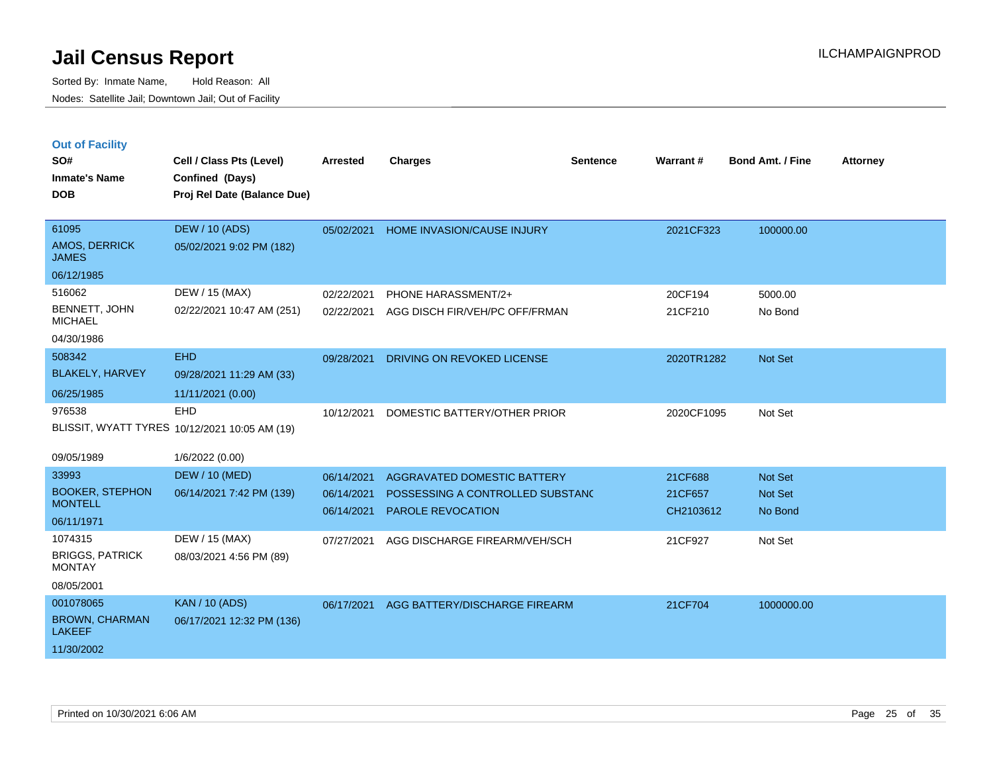|  | <b>Out of Facility</b> |  |
|--|------------------------|--|

| SO#<br><b>Inmate's Name</b><br><b>DOB</b>                         | Cell / Class Pts (Level)<br>Confined (Days)<br>Proj Rel Date (Balance Due)     | Arrested                               | <b>Charges</b>                                                                              | <b>Sentence</b> | Warrant#                        | <b>Bond Amt. / Fine</b>              | <b>Attorney</b> |
|-------------------------------------------------------------------|--------------------------------------------------------------------------------|----------------------------------------|---------------------------------------------------------------------------------------------|-----------------|---------------------------------|--------------------------------------|-----------------|
| 61095<br>AMOS, DERRICK<br><b>JAMES</b><br>06/12/1985              | <b>DEW / 10 (ADS)</b><br>05/02/2021 9:02 PM (182)                              |                                        | 05/02/2021 HOME INVASION/CAUSE INJURY                                                       |                 | 2021CF323                       | 100000.00                            |                 |
| 516062<br>BENNETT, JOHN<br><b>MICHAEL</b><br>04/30/1986           | DEW / 15 (MAX)<br>02/22/2021 10:47 AM (251)                                    | 02/22/2021<br>02/22/2021               | PHONE HARASSMENT/2+<br>AGG DISCH FIR/VEH/PC OFF/FRMAN                                       |                 | 20CF194<br>21CF210              | 5000.00<br>No Bond                   |                 |
| 508342<br><b>BLAKELY, HARVEY</b><br>06/25/1985                    | <b>EHD</b><br>09/28/2021 11:29 AM (33)<br>11/11/2021 (0.00)                    | 09/28/2021                             | DRIVING ON REVOKED LICENSE                                                                  |                 | 2020TR1282                      | <b>Not Set</b>                       |                 |
| 976538<br>09/05/1989                                              | <b>EHD</b><br>BLISSIT, WYATT TYRES 10/12/2021 10:05 AM (19)<br>1/6/2022 (0.00) | 10/12/2021                             | DOMESTIC BATTERY/OTHER PRIOR                                                                |                 | 2020CF1095                      | Not Set                              |                 |
| 33993<br><b>BOOKER, STEPHON</b><br><b>MONTELL</b><br>06/11/1971   | <b>DEW / 10 (MED)</b><br>06/14/2021 7:42 PM (139)                              | 06/14/2021<br>06/14/2021<br>06/14/2021 | AGGRAVATED DOMESTIC BATTERY<br>POSSESSING A CONTROLLED SUBSTANC<br><b>PAROLE REVOCATION</b> |                 | 21CF688<br>21CF657<br>CH2103612 | Not Set<br><b>Not Set</b><br>No Bond |                 |
| 1074315<br><b>BRIGGS, PATRICK</b><br><b>MONTAY</b><br>08/05/2001  | DEW / 15 (MAX)<br>08/03/2021 4:56 PM (89)                                      | 07/27/2021                             | AGG DISCHARGE FIREARM/VEH/SCH                                                               |                 | 21CF927                         | Not Set                              |                 |
| 001078065<br><b>BROWN, CHARMAN</b><br><b>LAKEEF</b><br>11/30/2002 | <b>KAN / 10 (ADS)</b><br>06/17/2021 12:32 PM (136)                             | 06/17/2021                             | AGG BATTERY/DISCHARGE FIREARM                                                               |                 | 21CF704                         | 1000000.00                           |                 |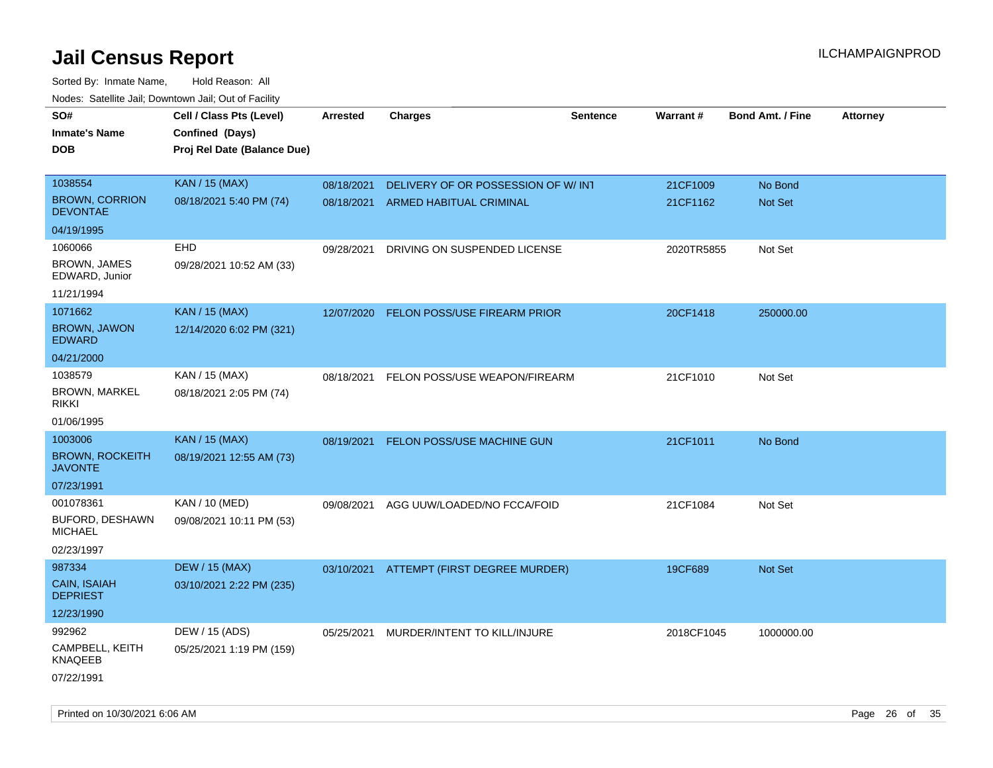| roaco. Catolino cali, Downtown cali, Out of Fability |                             |                 |                                     |                 |            |                         |                 |
|------------------------------------------------------|-----------------------------|-----------------|-------------------------------------|-----------------|------------|-------------------------|-----------------|
| SO#                                                  | Cell / Class Pts (Level)    | <b>Arrested</b> | <b>Charges</b>                      | <b>Sentence</b> | Warrant#   | <b>Bond Amt. / Fine</b> | <b>Attorney</b> |
| <b>Inmate's Name</b>                                 | Confined (Days)             |                 |                                     |                 |            |                         |                 |
| DOB                                                  | Proj Rel Date (Balance Due) |                 |                                     |                 |            |                         |                 |
|                                                      |                             |                 |                                     |                 |            |                         |                 |
| 1038554                                              | <b>KAN / 15 (MAX)</b>       | 08/18/2021      | DELIVERY OF OR POSSESSION OF W/INT  |                 | 21CF1009   | No Bond                 |                 |
| <b>BROWN, CORRION</b><br><b>DEVONTAE</b>             | 08/18/2021 5:40 PM (74)     | 08/18/2021      | ARMED HABITUAL CRIMINAL             |                 | 21CF1162   | Not Set                 |                 |
| 04/19/1995                                           |                             |                 |                                     |                 |            |                         |                 |
| 1060066                                              | <b>EHD</b>                  | 09/28/2021      | DRIVING ON SUSPENDED LICENSE        |                 | 2020TR5855 | Not Set                 |                 |
| <b>BROWN, JAMES</b><br>EDWARD, Junior                | 09/28/2021 10:52 AM (33)    |                 |                                     |                 |            |                         |                 |
| 11/21/1994                                           |                             |                 |                                     |                 |            |                         |                 |
| 1071662                                              | <b>KAN / 15 (MAX)</b>       | 12/07/2020      | <b>FELON POSS/USE FIREARM PRIOR</b> |                 | 20CF1418   | 250000.00               |                 |
| <b>BROWN, JAWON</b><br><b>EDWARD</b>                 | 12/14/2020 6:02 PM (321)    |                 |                                     |                 |            |                         |                 |
| 04/21/2000                                           |                             |                 |                                     |                 |            |                         |                 |
| 1038579                                              | KAN / 15 (MAX)              | 08/18/2021      | FELON POSS/USE WEAPON/FIREARM       |                 | 21CF1010   | Not Set                 |                 |
| <b>BROWN, MARKEL</b><br>rikki                        | 08/18/2021 2:05 PM (74)     |                 |                                     |                 |            |                         |                 |
| 01/06/1995                                           |                             |                 |                                     |                 |            |                         |                 |
| 1003006                                              | <b>KAN / 15 (MAX)</b>       | 08/19/2021      | FELON POSS/USE MACHINE GUN          |                 | 21CF1011   | No Bond                 |                 |
| <b>BROWN, ROCKEITH</b><br><b>JAVONTE</b>             | 08/19/2021 12:55 AM (73)    |                 |                                     |                 |            |                         |                 |
| 07/23/1991                                           |                             |                 |                                     |                 |            |                         |                 |
| 001078361                                            | KAN / 10 (MED)              | 09/08/2021      | AGG UUW/LOADED/NO FCCA/FOID         |                 | 21CF1084   | Not Set                 |                 |
| BUFORD, DESHAWN<br><b>MICHAEL</b>                    | 09/08/2021 10:11 PM (53)    |                 |                                     |                 |            |                         |                 |
| 02/23/1997                                           |                             |                 |                                     |                 |            |                         |                 |
| 987334                                               | <b>DEW / 15 (MAX)</b>       | 03/10/2021      | ATTEMPT (FIRST DEGREE MURDER)       |                 | 19CF689    | <b>Not Set</b>          |                 |
| CAIN, ISAIAH<br><b>DEPRIEST</b>                      | 03/10/2021 2:22 PM (235)    |                 |                                     |                 |            |                         |                 |
| 12/23/1990                                           |                             |                 |                                     |                 |            |                         |                 |
| 992962                                               | DEW / 15 (ADS)              | 05/25/2021      | MURDER/INTENT TO KILL/INJURE        |                 | 2018CF1045 | 1000000.00              |                 |
| CAMPBELL, KEITH<br><b>KNAQEEB</b>                    | 05/25/2021 1:19 PM (159)    |                 |                                     |                 |            |                         |                 |
| 07/22/1991                                           |                             |                 |                                     |                 |            |                         |                 |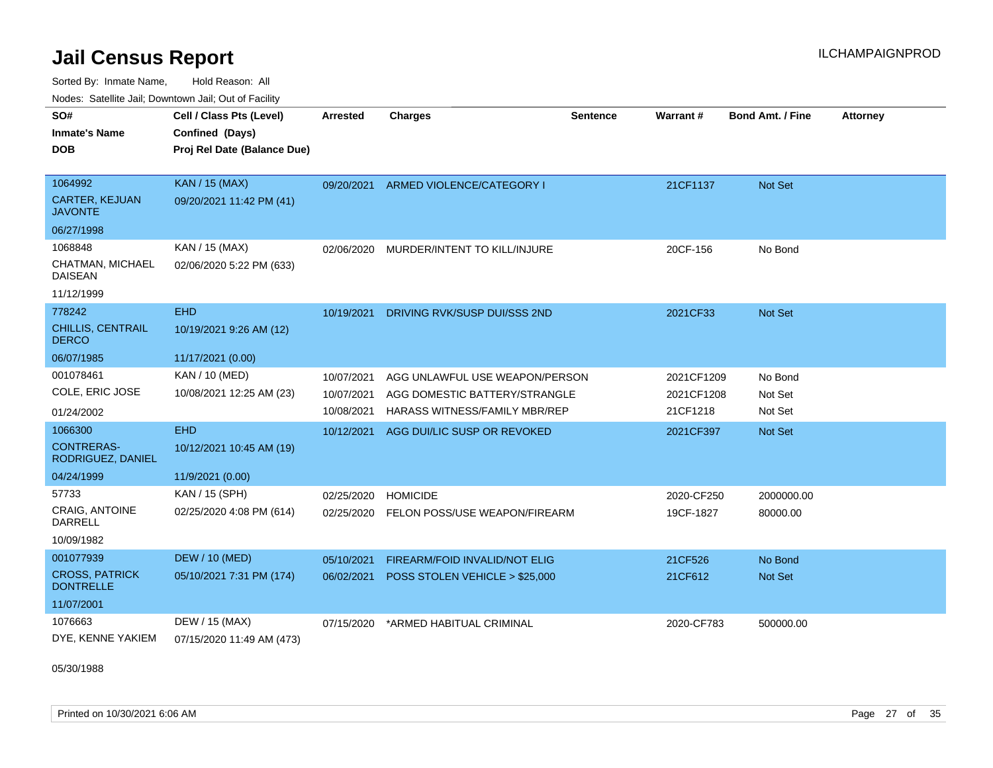Sorted By: Inmate Name, Hold Reason: All Nodes: Satellite Jail; Downtown Jail; Out of Facility

| SO#<br><b>Inmate's Name</b><br>DOB        | Cell / Class Pts (Level)<br>Confined (Days)<br>Proj Rel Date (Balance Due) | <b>Arrested</b> | <b>Charges</b>                 | <b>Sentence</b> | Warrant#   | <b>Bond Amt. / Fine</b> | <b>Attorney</b> |
|-------------------------------------------|----------------------------------------------------------------------------|-----------------|--------------------------------|-----------------|------------|-------------------------|-----------------|
|                                           |                                                                            |                 |                                |                 |            |                         |                 |
| 1064992                                   | <b>KAN / 15 (MAX)</b>                                                      | 09/20/2021      | ARMED VIOLENCE/CATEGORY I      |                 | 21CF1137   | Not Set                 |                 |
| <b>CARTER, KEJUAN</b><br><b>JAVONTE</b>   | 09/20/2021 11:42 PM (41)                                                   |                 |                                |                 |            |                         |                 |
| 06/27/1998                                |                                                                            |                 |                                |                 |            |                         |                 |
| 1068848                                   | KAN / 15 (MAX)                                                             | 02/06/2020      | MURDER/INTENT TO KILL/INJURE   |                 | 20CF-156   | No Bond                 |                 |
| CHATMAN, MICHAEL<br><b>DAISEAN</b>        | 02/06/2020 5:22 PM (633)                                                   |                 |                                |                 |            |                         |                 |
| 11/12/1999                                |                                                                            |                 |                                |                 |            |                         |                 |
| 778242                                    | <b>EHD</b>                                                                 | 10/19/2021      | DRIVING RVK/SUSP DUI/SSS 2ND   |                 | 2021CF33   | <b>Not Set</b>          |                 |
| CHILLIS, CENTRAIL<br><b>DERCO</b>         | 10/19/2021 9:26 AM (12)                                                    |                 |                                |                 |            |                         |                 |
| 06/07/1985                                | 11/17/2021 (0.00)                                                          |                 |                                |                 |            |                         |                 |
| 001078461                                 | <b>KAN / 10 (MED)</b>                                                      | 10/07/2021      | AGG UNLAWFUL USE WEAPON/PERSON |                 | 2021CF1209 | No Bond                 |                 |
| COLE, ERIC JOSE                           | 10/08/2021 12:25 AM (23)                                                   | 10/07/2021      | AGG DOMESTIC BATTERY/STRANGLE  |                 | 2021CF1208 | Not Set                 |                 |
| 01/24/2002                                |                                                                            | 10/08/2021      | HARASS WITNESS/FAMILY MBR/REP  |                 | 21CF1218   | Not Set                 |                 |
| 1066300                                   | <b>EHD</b>                                                                 | 10/12/2021      | AGG DUI/LIC SUSP OR REVOKED    |                 | 2021CF397  | Not Set                 |                 |
| <b>CONTRERAS-</b><br>RODRIGUEZ, DANIEL    | 10/12/2021 10:45 AM (19)                                                   |                 |                                |                 |            |                         |                 |
| 04/24/1999                                | 11/9/2021 (0.00)                                                           |                 |                                |                 |            |                         |                 |
| 57733                                     | KAN / 15 (SPH)                                                             | 02/25/2020      | <b>HOMICIDE</b>                |                 | 2020-CF250 | 2000000.00              |                 |
| <b>CRAIG, ANTOINE</b><br>DARRELL          | 02/25/2020 4:08 PM (614)                                                   | 02/25/2020      | FELON POSS/USE WEAPON/FIREARM  |                 | 19CF-1827  | 80000.00                |                 |
| 10/09/1982                                |                                                                            |                 |                                |                 |            |                         |                 |
| 001077939                                 | <b>DEW / 10 (MED)</b>                                                      | 05/10/2021      | FIREARM/FOID INVALID/NOT ELIG  |                 | 21CF526    | No Bond                 |                 |
| <b>CROSS, PATRICK</b><br><b>DONTRELLE</b> | 05/10/2021 7:31 PM (174)                                                   | 06/02/2021      | POSS STOLEN VEHICLE > \$25,000 |                 | 21CF612    | Not Set                 |                 |
| 11/07/2001                                |                                                                            |                 |                                |                 |            |                         |                 |
| 1076663                                   | DEW / 15 (MAX)                                                             | 07/15/2020      | *ARMED HABITUAL CRIMINAL       |                 | 2020-CF783 | 500000.00               |                 |
| DYE, KENNE YAKIEM                         | 07/15/2020 11:49 AM (473)                                                  |                 |                                |                 |            |                         |                 |

05/30/1988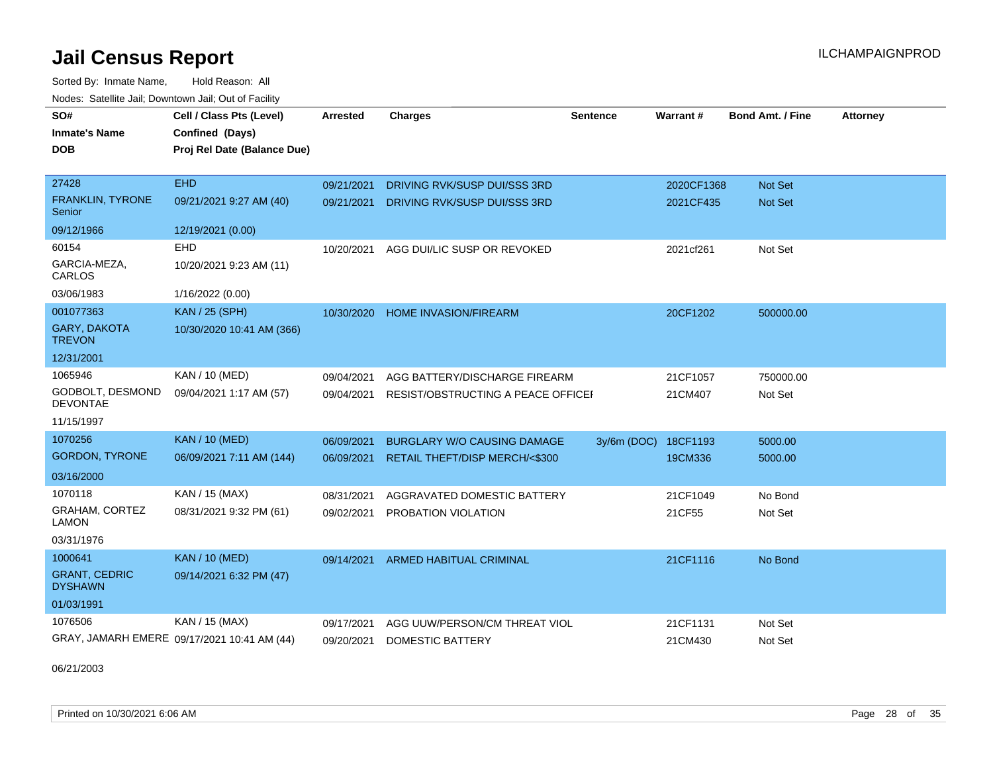Sorted By: Inmate Name, Hold Reason: All Nodes: Satellite Jail; Downtown Jail; Out of Facility

| SO#                                    | Cell / Class Pts (Level)<br>Confined (Days) | Arrested   | <b>Charges</b>                     | <b>Sentence</b> | Warrant#   | <b>Bond Amt. / Fine</b> | <b>Attorney</b> |
|----------------------------------------|---------------------------------------------|------------|------------------------------------|-----------------|------------|-------------------------|-----------------|
| <b>Inmate's Name</b><br><b>DOB</b>     | Proj Rel Date (Balance Due)                 |            |                                    |                 |            |                         |                 |
|                                        |                                             |            |                                    |                 |            |                         |                 |
| 27428                                  | <b>EHD</b>                                  | 09/21/2021 | DRIVING RVK/SUSP DUI/SSS 3RD       |                 | 2020CF1368 | <b>Not Set</b>          |                 |
| <b>FRANKLIN, TYRONE</b><br>Senior      | 09/21/2021 9:27 AM (40)                     | 09/21/2021 | DRIVING RVK/SUSP DUI/SSS 3RD       |                 | 2021CF435  | <b>Not Set</b>          |                 |
| 09/12/1966                             | 12/19/2021 (0.00)                           |            |                                    |                 |            |                         |                 |
| 60154                                  | <b>EHD</b>                                  | 10/20/2021 | AGG DUI/LIC SUSP OR REVOKED        |                 | 2021cf261  | Not Set                 |                 |
| GARCIA-MEZA,<br>CARLOS                 | 10/20/2021 9:23 AM (11)                     |            |                                    |                 |            |                         |                 |
| 03/06/1983                             | 1/16/2022 (0.00)                            |            |                                    |                 |            |                         |                 |
| 001077363                              | <b>KAN / 25 (SPH)</b>                       | 10/30/2020 | <b>HOME INVASION/FIREARM</b>       |                 | 20CF1202   | 500000.00               |                 |
| GARY, DAKOTA<br><b>TREVON</b>          | 10/30/2020 10:41 AM (366)                   |            |                                    |                 |            |                         |                 |
| 12/31/2001                             |                                             |            |                                    |                 |            |                         |                 |
| 1065946                                | KAN / 10 (MED)                              | 09/04/2021 | AGG BATTERY/DISCHARGE FIREARM      |                 | 21CF1057   | 750000.00               |                 |
| GODBOLT, DESMOND<br><b>DEVONTAE</b>    | 09/04/2021 1:17 AM (57)                     | 09/04/2021 | RESIST/OBSTRUCTING A PEACE OFFICEI |                 | 21CM407    | Not Set                 |                 |
| 11/15/1997                             |                                             |            |                                    |                 |            |                         |                 |
| 1070256                                | <b>KAN / 10 (MED)</b>                       | 06/09/2021 | <b>BURGLARY W/O CAUSING DAMAGE</b> | 3y/6m (DOC)     | 18CF1193   | 5000.00                 |                 |
| <b>GORDON, TYRONE</b>                  | 06/09/2021 7:11 AM (144)                    | 06/09/2021 | RETAIL THEFT/DISP MERCH/<\$300     |                 | 19CM336    | 5000.00                 |                 |
| 03/16/2000                             |                                             |            |                                    |                 |            |                         |                 |
| 1070118                                | KAN / 15 (MAX)                              | 08/31/2021 | AGGRAVATED DOMESTIC BATTERY        |                 | 21CF1049   | No Bond                 |                 |
| <b>GRAHAM, CORTEZ</b><br><b>LAMON</b>  | 08/31/2021 9:32 PM (61)                     | 09/02/2021 | PROBATION VIOLATION                |                 | 21CF55     | Not Set                 |                 |
| 03/31/1976                             |                                             |            |                                    |                 |            |                         |                 |
| 1000641                                | <b>KAN / 10 (MED)</b>                       | 09/14/2021 | ARMED HABITUAL CRIMINAL            |                 | 21CF1116   | No Bond                 |                 |
| <b>GRANT, CEDRIC</b><br><b>DYSHAWN</b> | 09/14/2021 6:32 PM (47)                     |            |                                    |                 |            |                         |                 |
| 01/03/1991                             |                                             |            |                                    |                 |            |                         |                 |
| 1076506                                | KAN / 15 (MAX)                              | 09/17/2021 | AGG UUW/PERSON/CM THREAT VIOL      |                 | 21CF1131   | Not Set                 |                 |
|                                        | GRAY, JAMARH EMERE 09/17/2021 10:41 AM (44) | 09/20/2021 | <b>DOMESTIC BATTERY</b>            |                 | 21CM430    | Not Set                 |                 |

06/21/2003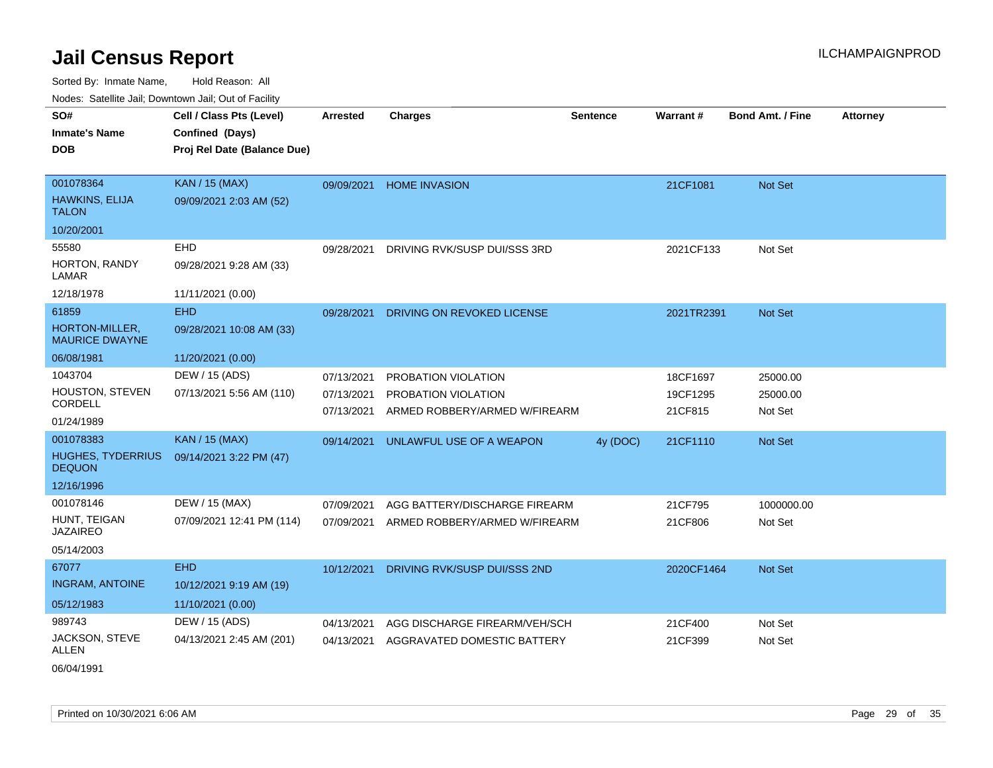| SO#                                       | Cell / Class Pts (Level)    | <b>Arrested</b> | <b>Charges</b>                | <b>Sentence</b> | Warrant#   | <b>Bond Amt. / Fine</b> | <b>Attorney</b> |
|-------------------------------------------|-----------------------------|-----------------|-------------------------------|-----------------|------------|-------------------------|-----------------|
| <b>Inmate's Name</b>                      | Confined (Days)             |                 |                               |                 |            |                         |                 |
| <b>DOB</b>                                | Proj Rel Date (Balance Due) |                 |                               |                 |            |                         |                 |
|                                           |                             |                 |                               |                 |            |                         |                 |
| 001078364                                 | <b>KAN / 15 (MAX)</b>       | 09/09/2021      | <b>HOME INVASION</b>          |                 | 21CF1081   | Not Set                 |                 |
| HAWKINS, ELIJA<br><b>TALON</b>            | 09/09/2021 2:03 AM (52)     |                 |                               |                 |            |                         |                 |
| 10/20/2001                                |                             |                 |                               |                 |            |                         |                 |
| 55580                                     | EHD                         | 09/28/2021      | DRIVING RVK/SUSP DUI/SSS 3RD  |                 | 2021CF133  | Not Set                 |                 |
| HORTON, RANDY<br>LAMAR                    | 09/28/2021 9:28 AM (33)     |                 |                               |                 |            |                         |                 |
| 12/18/1978                                | 11/11/2021 (0.00)           |                 |                               |                 |            |                         |                 |
| 61859                                     | <b>EHD</b>                  | 09/28/2021      | DRIVING ON REVOKED LICENSE    |                 | 2021TR2391 | Not Set                 |                 |
| HORTON-MILLER,<br><b>MAURICE DWAYNE</b>   | 09/28/2021 10:08 AM (33)    |                 |                               |                 |            |                         |                 |
| 06/08/1981                                | 11/20/2021 (0.00)           |                 |                               |                 |            |                         |                 |
| 1043704                                   | DEW / 15 (ADS)              | 07/13/2021      | PROBATION VIOLATION           |                 | 18CF1697   | 25000.00                |                 |
| HOUSTON, STEVEN                           | 07/13/2021 5:56 AM (110)    | 07/13/2021      | PROBATION VIOLATION           |                 | 19CF1295   | 25000.00                |                 |
| CORDELL                                   |                             | 07/13/2021      | ARMED ROBBERY/ARMED W/FIREARM |                 | 21CF815    | Not Set                 |                 |
| 01/24/1989                                |                             |                 |                               |                 |            |                         |                 |
| 001078383                                 | <b>KAN / 15 (MAX)</b>       | 09/14/2021      | UNLAWFUL USE OF A WEAPON      | 4y (DOC)        | 21CF1110   | Not Set                 |                 |
| <b>HUGHES, TYDERRIUS</b><br><b>DEQUON</b> | 09/14/2021 3:22 PM (47)     |                 |                               |                 |            |                         |                 |
| 12/16/1996                                |                             |                 |                               |                 |            |                         |                 |
| 001078146                                 | DEW / 15 (MAX)              | 07/09/2021      | AGG BATTERY/DISCHARGE FIREARM |                 | 21CF795    | 1000000.00              |                 |
| HUNT, TEIGAN<br><b>JAZAIREO</b>           | 07/09/2021 12:41 PM (114)   | 07/09/2021      | ARMED ROBBERY/ARMED W/FIREARM |                 | 21CF806    | Not Set                 |                 |
| 05/14/2003                                |                             |                 |                               |                 |            |                         |                 |
| 67077                                     | <b>EHD</b>                  | 10/12/2021      | DRIVING RVK/SUSP DUI/SSS 2ND  |                 | 2020CF1464 | Not Set                 |                 |
| <b>INGRAM, ANTOINE</b>                    | 10/12/2021 9:19 AM (19)     |                 |                               |                 |            |                         |                 |
| 05/12/1983                                | 11/10/2021 (0.00)           |                 |                               |                 |            |                         |                 |
| 989743                                    | DEW / 15 (ADS)              | 04/13/2021      | AGG DISCHARGE FIREARM/VEH/SCH |                 | 21CF400    | Not Set                 |                 |
| JACKSON, STEVE<br>ALLEN                   | 04/13/2021 2:45 AM (201)    | 04/13/2021      | AGGRAVATED DOMESTIC BATTERY   |                 | 21CF399    | Not Set                 |                 |
| 06/04/1991                                |                             |                 |                               |                 |            |                         |                 |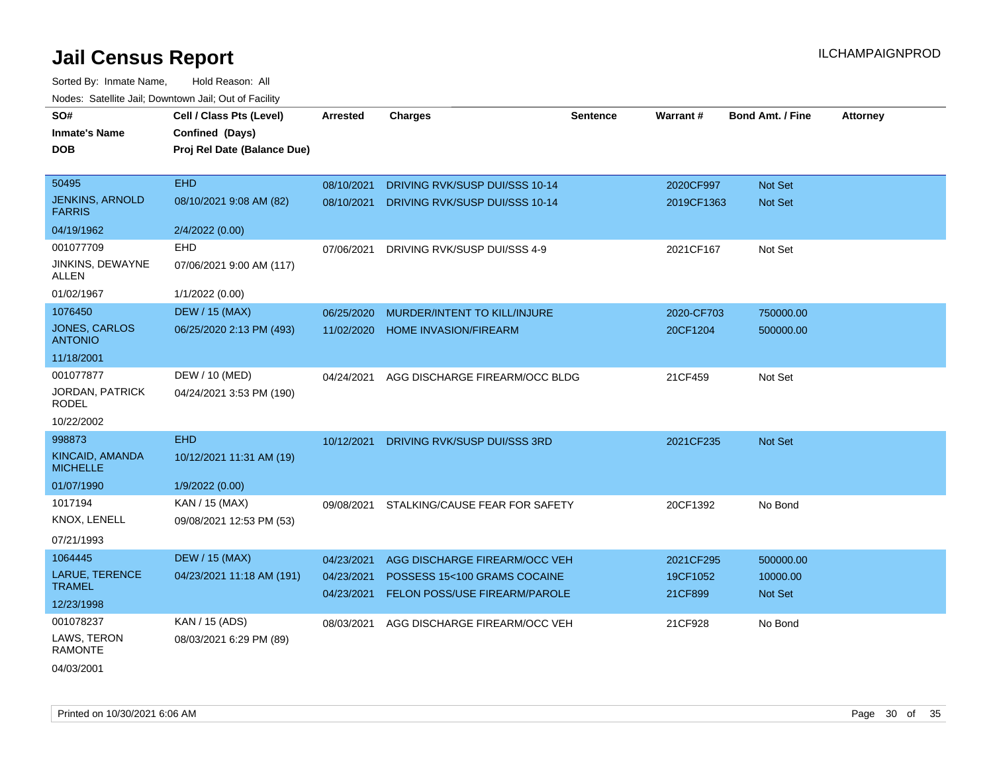| SO#                                     | Cell / Class Pts (Level)    | Arrested   | <b>Charges</b>                                                | <b>Sentence</b> | Warrant#            | <b>Bond Amt. / Fine</b> | <b>Attorney</b> |
|-----------------------------------------|-----------------------------|------------|---------------------------------------------------------------|-----------------|---------------------|-------------------------|-----------------|
| <b>Inmate's Name</b>                    | Confined (Days)             |            |                                                               |                 |                     |                         |                 |
| <b>DOB</b>                              | Proj Rel Date (Balance Due) |            |                                                               |                 |                     |                         |                 |
|                                         |                             |            |                                                               |                 |                     |                         |                 |
| 50495                                   | <b>EHD</b>                  | 08/10/2021 | DRIVING RVK/SUSP DUI/SSS 10-14                                |                 | 2020CF997           | Not Set                 |                 |
| <b>JENKINS, ARNOLD</b><br><b>FARRIS</b> | 08/10/2021 9:08 AM (82)     | 08/10/2021 | DRIVING RVK/SUSP DUI/SSS 10-14                                |                 | 2019CF1363          | Not Set                 |                 |
| 04/19/1962                              | 2/4/2022 (0.00)             |            |                                                               |                 |                     |                         |                 |
| 001077709                               | EHD                         | 07/06/2021 | DRIVING RVK/SUSP DUI/SSS 4-9                                  |                 | 2021CF167           | Not Set                 |                 |
| JINKINS, DEWAYNE<br><b>ALLEN</b>        | 07/06/2021 9:00 AM (117)    |            |                                                               |                 |                     |                         |                 |
| 01/02/1967                              | 1/1/2022 (0.00)             |            |                                                               |                 |                     |                         |                 |
| 1076450                                 | <b>DEW / 15 (MAX)</b>       | 06/25/2020 | MURDER/INTENT TO KILL/INJURE                                  |                 | 2020-CF703          | 750000.00               |                 |
| JONES, CARLOS<br><b>ANTONIO</b>         | 06/25/2020 2:13 PM (493)    | 11/02/2020 | <b>HOME INVASION/FIREARM</b>                                  |                 | 20CF1204            | 500000.00               |                 |
| 11/18/2001                              |                             |            |                                                               |                 |                     |                         |                 |
| 001077877                               | DEW / 10 (MED)              | 04/24/2021 | AGG DISCHARGE FIREARM/OCC BLDG                                |                 | 21CF459             | Not Set                 |                 |
| <b>JORDAN, PATRICK</b><br><b>RODEL</b>  | 04/24/2021 3:53 PM (190)    |            |                                                               |                 |                     |                         |                 |
| 10/22/2002                              |                             |            |                                                               |                 |                     |                         |                 |
| 998873                                  | <b>EHD</b>                  | 10/12/2021 | DRIVING RVK/SUSP DUI/SSS 3RD                                  |                 | 2021CF235           | Not Set                 |                 |
| KINCAID, AMANDA<br><b>MICHELLE</b>      | 10/12/2021 11:31 AM (19)    |            |                                                               |                 |                     |                         |                 |
| 01/07/1990                              | 1/9/2022 (0.00)             |            |                                                               |                 |                     |                         |                 |
| 1017194                                 | KAN / 15 (MAX)              | 09/08/2021 | STALKING/CAUSE FEAR FOR SAFETY                                |                 | 20CF1392            | No Bond                 |                 |
| KNOX, LENELL                            | 09/08/2021 12:53 PM (53)    |            |                                                               |                 |                     |                         |                 |
| 07/21/1993                              |                             |            |                                                               |                 |                     |                         |                 |
| 1064445                                 | <b>DEW / 15 (MAX)</b>       | 04/23/2021 | AGG DISCHARGE FIREARM/OCC VEH                                 |                 | 2021CF295           | 500000.00               |                 |
| LARUE, TERENCE<br><b>TRAMEL</b>         | 04/23/2021 11:18 AM (191)   | 04/23/2021 | POSSESS 15<100 GRAMS COCAINE<br>FELON POSS/USE FIREARM/PAROLE |                 | 19CF1052<br>21CF899 | 10000.00                |                 |
| 12/23/1998                              |                             | 04/23/2021 |                                                               |                 |                     | Not Set                 |                 |
| 001078237                               | KAN / 15 (ADS)              | 08/03/2021 | AGG DISCHARGE FIREARM/OCC VEH                                 |                 | 21CF928             | No Bond                 |                 |
| LAWS, TERON<br><b>RAMONTE</b>           | 08/03/2021 6:29 PM (89)     |            |                                                               |                 |                     |                         |                 |
| 04/03/2001                              |                             |            |                                                               |                 |                     |                         |                 |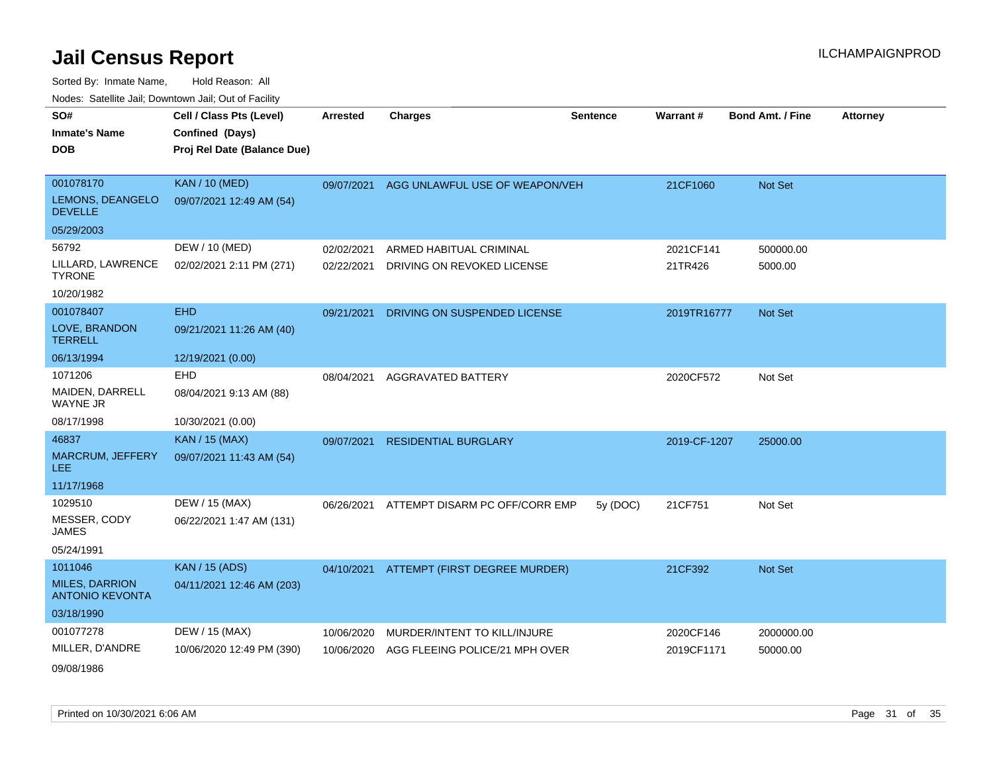| SO#                                             | Cell / Class Pts (Level)    | <b>Arrested</b> | <b>Charges</b>                            | <b>Sentence</b> | Warrant#     | <b>Bond Amt. / Fine</b> | <b>Attorney</b> |
|-------------------------------------------------|-----------------------------|-----------------|-------------------------------------------|-----------------|--------------|-------------------------|-----------------|
| <b>Inmate's Name</b>                            | Confined (Days)             |                 |                                           |                 |              |                         |                 |
| <b>DOB</b>                                      | Proj Rel Date (Balance Due) |                 |                                           |                 |              |                         |                 |
|                                                 |                             |                 |                                           |                 |              |                         |                 |
| 001078170                                       | <b>KAN / 10 (MED)</b>       |                 | 09/07/2021 AGG UNLAWFUL USE OF WEAPON/VEH |                 | 21CF1060     | Not Set                 |                 |
| LEMONS, DEANGELO<br><b>DEVELLE</b>              | 09/07/2021 12:49 AM (54)    |                 |                                           |                 |              |                         |                 |
| 05/29/2003                                      |                             |                 |                                           |                 |              |                         |                 |
| 56792                                           | DEW / 10 (MED)              | 02/02/2021      | ARMED HABITUAL CRIMINAL                   |                 | 2021CF141    | 500000.00               |                 |
| LILLARD, LAWRENCE<br><b>TYRONE</b>              | 02/02/2021 2:11 PM (271)    | 02/22/2021      | DRIVING ON REVOKED LICENSE                |                 | 21TR426      | 5000.00                 |                 |
| 10/20/1982                                      |                             |                 |                                           |                 |              |                         |                 |
| 001078407                                       | <b>EHD</b>                  | 09/21/2021      | DRIVING ON SUSPENDED LICENSE              |                 | 2019TR16777  | Not Set                 |                 |
| LOVE, BRANDON<br><b>TERRELL</b>                 | 09/21/2021 11:26 AM (40)    |                 |                                           |                 |              |                         |                 |
| 06/13/1994                                      | 12/19/2021 (0.00)           |                 |                                           |                 |              |                         |                 |
| 1071206                                         | <b>EHD</b>                  | 08/04/2021      | <b>AGGRAVATED BATTERY</b>                 |                 | 2020CF572    | Not Set                 |                 |
| MAIDEN, DARRELL<br><b>WAYNE JR</b>              | 08/04/2021 9:13 AM (88)     |                 |                                           |                 |              |                         |                 |
| 08/17/1998                                      | 10/30/2021 (0.00)           |                 |                                           |                 |              |                         |                 |
| 46837                                           | <b>KAN / 15 (MAX)</b>       | 09/07/2021      | <b>RESIDENTIAL BURGLARY</b>               |                 | 2019-CF-1207 | 25000.00                |                 |
| <b>MARCRUM, JEFFERY</b><br>LEE.                 | 09/07/2021 11:43 AM (54)    |                 |                                           |                 |              |                         |                 |
| 11/17/1968                                      |                             |                 |                                           |                 |              |                         |                 |
| 1029510                                         | DEW / 15 (MAX)              | 06/26/2021      | ATTEMPT DISARM PC OFF/CORR EMP            | 5y (DOC)        | 21CF751      | Not Set                 |                 |
| MESSER, CODY<br><b>JAMES</b>                    | 06/22/2021 1:47 AM (131)    |                 |                                           |                 |              |                         |                 |
| 05/24/1991                                      |                             |                 |                                           |                 |              |                         |                 |
| 1011046                                         | <b>KAN</b> / 15 (ADS)       |                 | 04/10/2021 ATTEMPT (FIRST DEGREE MURDER)  |                 | 21CF392      | Not Set                 |                 |
| <b>MILES, DARRION</b><br><b>ANTONIO KEVONTA</b> | 04/11/2021 12:46 AM (203)   |                 |                                           |                 |              |                         |                 |
| 03/18/1990                                      |                             |                 |                                           |                 |              |                         |                 |
| 001077278                                       | DEW / 15 (MAX)              | 10/06/2020      | MURDER/INTENT TO KILL/INJURE              |                 | 2020CF146    | 2000000.00              |                 |
| MILLER, D'ANDRE                                 | 10/06/2020 12:49 PM (390)   | 10/06/2020      | AGG FLEEING POLICE/21 MPH OVER            |                 | 2019CF1171   | 50000.00                |                 |
| 09/08/1986                                      |                             |                 |                                           |                 |              |                         |                 |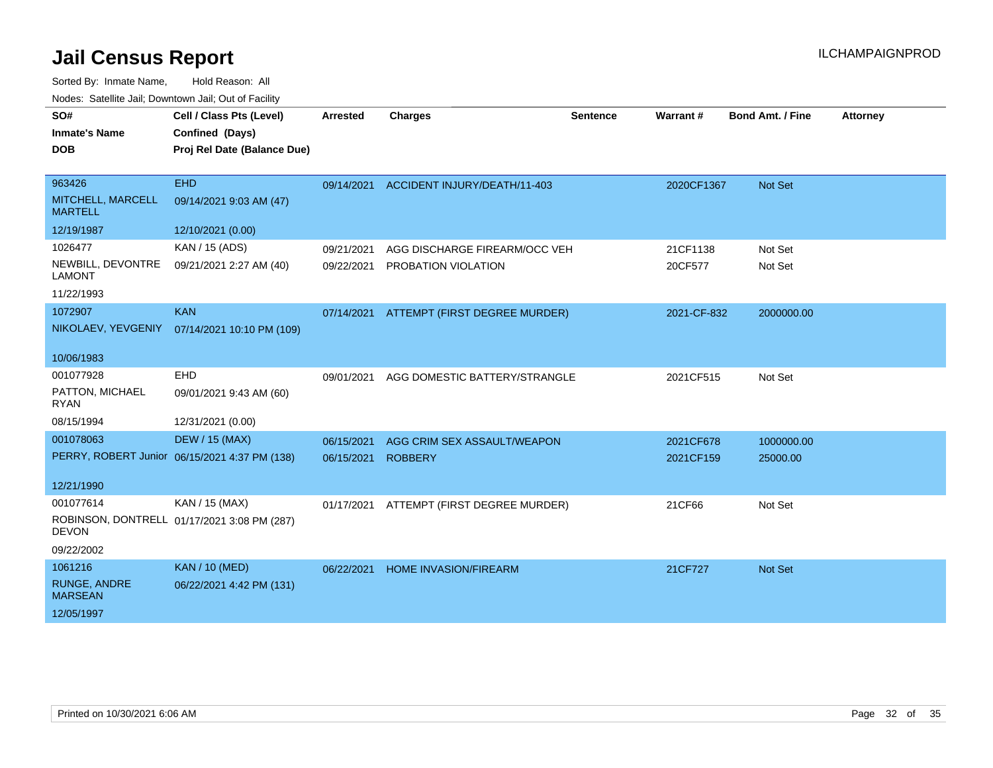| SO#                                   | Cell / Class Pts (Level)                      | <b>Arrested</b> | <b>Charges</b>                | <b>Sentence</b> | Warrant#    | <b>Bond Amt. / Fine</b> | <b>Attorney</b> |
|---------------------------------------|-----------------------------------------------|-----------------|-------------------------------|-----------------|-------------|-------------------------|-----------------|
| <b>Inmate's Name</b>                  | Confined (Days)                               |                 |                               |                 |             |                         |                 |
| <b>DOB</b>                            | Proj Rel Date (Balance Due)                   |                 |                               |                 |             |                         |                 |
|                                       |                                               |                 |                               |                 |             |                         |                 |
| 963426                                | <b>EHD</b>                                    | 09/14/2021      | ACCIDENT INJURY/DEATH/11-403  |                 | 2020CF1367  | Not Set                 |                 |
| MITCHELL, MARCELL<br><b>MARTELL</b>   | 09/14/2021 9:03 AM (47)                       |                 |                               |                 |             |                         |                 |
| 12/19/1987                            | 12/10/2021 (0.00)                             |                 |                               |                 |             |                         |                 |
| 1026477                               | KAN / 15 (ADS)                                | 09/21/2021      | AGG DISCHARGE FIREARM/OCC VEH |                 | 21CF1138    | Not Set                 |                 |
| NEWBILL, DEVONTRE<br><b>LAMONT</b>    | 09/21/2021 2:27 AM (40)                       | 09/22/2021      | PROBATION VIOLATION           |                 | 20CF577     | Not Set                 |                 |
| 11/22/1993                            |                                               |                 |                               |                 |             |                         |                 |
| 1072907                               | <b>KAN</b>                                    | 07/14/2021      | ATTEMPT (FIRST DEGREE MURDER) |                 | 2021-CF-832 | 2000000.00              |                 |
|                                       | NIKOLAEV, YEVGENIY 07/14/2021 10:10 PM (109)  |                 |                               |                 |             |                         |                 |
| 10/06/1983                            |                                               |                 |                               |                 |             |                         |                 |
| 001077928                             | EHD                                           | 09/01/2021      | AGG DOMESTIC BATTERY/STRANGLE |                 | 2021CF515   | Not Set                 |                 |
| PATTON, MICHAEL<br><b>RYAN</b>        | 09/01/2021 9:43 AM (60)                       |                 |                               |                 |             |                         |                 |
| 08/15/1994                            | 12/31/2021 (0.00)                             |                 |                               |                 |             |                         |                 |
| 001078063                             | <b>DEW / 15 (MAX)</b>                         | 06/15/2021      | AGG CRIM SEX ASSAULT/WEAPON   |                 | 2021CF678   | 1000000.00              |                 |
|                                       | PERRY, ROBERT Junior 06/15/2021 4:37 PM (138) | 06/15/2021      | <b>ROBBERY</b>                |                 | 2021CF159   | 25000.00                |                 |
|                                       |                                               |                 |                               |                 |             |                         |                 |
| 12/21/1990                            |                                               |                 |                               |                 |             |                         |                 |
| 001077614                             | KAN / 15 (MAX)                                | 01/17/2021      | ATTEMPT (FIRST DEGREE MURDER) |                 | 21CF66      | Not Set                 |                 |
| <b>DEVON</b>                          | ROBINSON, DONTRELL 01/17/2021 3:08 PM (287)   |                 |                               |                 |             |                         |                 |
| 09/22/2002                            |                                               |                 |                               |                 |             |                         |                 |
| 1061216                               | <b>KAN / 10 (MED)</b>                         | 06/22/2021      | <b>HOME INVASION/FIREARM</b>  |                 | 21CF727     | Not Set                 |                 |
| <b>RUNGE, ANDRE</b><br><b>MARSEAN</b> | 06/22/2021 4:42 PM (131)                      |                 |                               |                 |             |                         |                 |
| 12/05/1997                            |                                               |                 |                               |                 |             |                         |                 |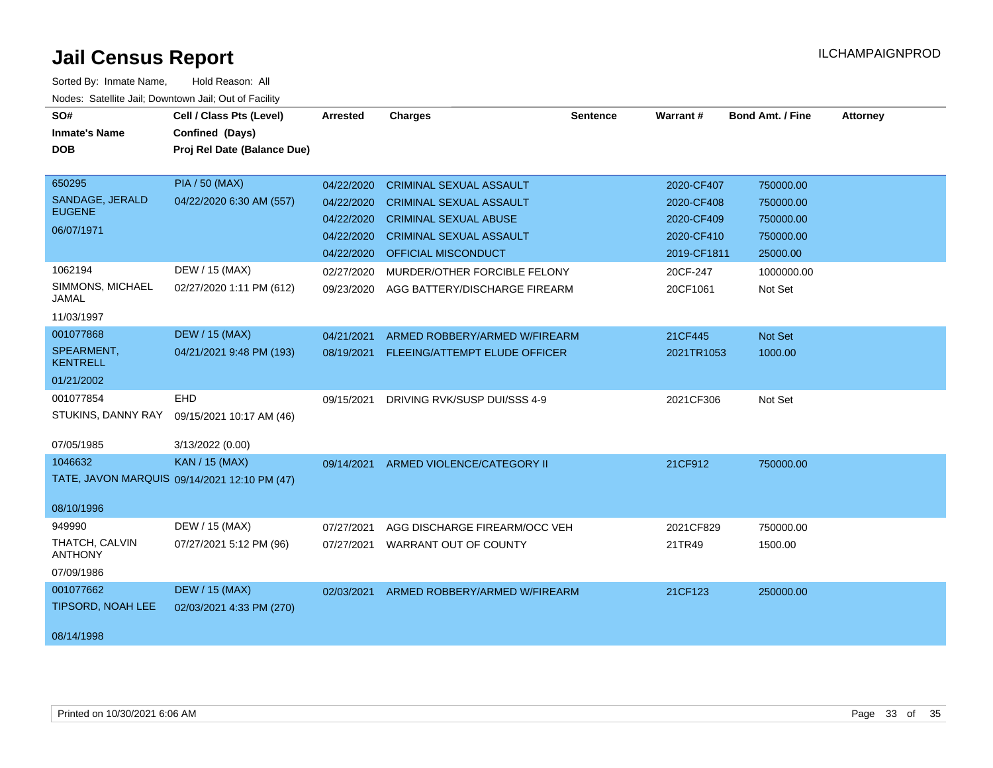| SO#<br><b>Inmate's Name</b><br><b>DOB</b>                                                               | Cell / Class Pts (Level)<br>Confined (Days)<br>Proj Rel Date (Balance Due)                      | <b>Arrested</b>                                                                                | <b>Charges</b>                                                                                                                                                                                                             | <b>Sentence</b> | Warrant#                                                                                    | <b>Bond Amt. / Fine</b>                                                               | <b>Attorney</b> |
|---------------------------------------------------------------------------------------------------------|-------------------------------------------------------------------------------------------------|------------------------------------------------------------------------------------------------|----------------------------------------------------------------------------------------------------------------------------------------------------------------------------------------------------------------------------|-----------------|---------------------------------------------------------------------------------------------|---------------------------------------------------------------------------------------|-----------------|
| 650295<br>SANDAGE, JERALD<br><b>EUGENE</b><br>06/07/1971<br>1062194<br>SIMMONS, MICHAEL<br><b>JAMAL</b> | <b>PIA / 50 (MAX)</b><br>04/22/2020 6:30 AM (557)<br>DEW / 15 (MAX)<br>02/27/2020 1:11 PM (612) | 04/22/2020<br>04/22/2020<br>04/22/2020<br>04/22/2020<br>04/22/2020<br>02/27/2020<br>09/23/2020 | <b>CRIMINAL SEXUAL ASSAULT</b><br><b>CRIMINAL SEXUAL ASSAULT</b><br><b>CRIMINAL SEXUAL ABUSE</b><br><b>CRIMINAL SEXUAL ASSAULT</b><br>OFFICIAL MISCONDUCT<br>MURDER/OTHER FORCIBLE FELONY<br>AGG BATTERY/DISCHARGE FIREARM |                 | 2020-CF407<br>2020-CF408<br>2020-CF409<br>2020-CF410<br>2019-CF1811<br>20CF-247<br>20CF1061 | 750000.00<br>750000.00<br>750000.00<br>750000.00<br>25000.00<br>1000000.00<br>Not Set |                 |
| 11/03/1997<br>001077868<br>SPEARMENT,<br><b>KENTRELL</b><br>01/21/2002                                  | <b>DEW / 15 (MAX)</b><br>04/21/2021 9:48 PM (193)                                               | 04/21/2021<br>08/19/2021                                                                       | ARMED ROBBERY/ARMED W/FIREARM<br>FLEEING/ATTEMPT ELUDE OFFICER                                                                                                                                                             |                 | 21CF445<br>2021TR1053                                                                       | Not Set<br>1000.00                                                                    |                 |
| 001077854<br>STUKINS, DANNY RAY<br>07/05/1985                                                           | <b>EHD</b><br>09/15/2021 10:17 AM (46)<br>3/13/2022 (0.00)                                      | 09/15/2021                                                                                     | DRIVING RVK/SUSP DUI/SSS 4-9                                                                                                                                                                                               |                 | 2021CF306                                                                                   | Not Set                                                                               |                 |
| 1046632<br>08/10/1996                                                                                   | <b>KAN / 15 (MAX)</b><br>TATE, JAVON MARQUIS 09/14/2021 12:10 PM (47)                           |                                                                                                | 09/14/2021 ARMED VIOLENCE/CATEGORY II                                                                                                                                                                                      |                 | 21CF912                                                                                     | 750000.00                                                                             |                 |
| 949990<br>THATCH, CALVIN<br><b>ANTHONY</b><br>07/09/1986                                                | DEW / 15 (MAX)<br>07/27/2021 5:12 PM (96)                                                       | 07/27/2021<br>07/27/2021                                                                       | AGG DISCHARGE FIREARM/OCC VEH<br>WARRANT OUT OF COUNTY                                                                                                                                                                     |                 | 2021CF829<br>21TR49                                                                         | 750000.00<br>1500.00                                                                  |                 |
| 001077662<br><b>TIPSORD, NOAH LEE</b><br>08/14/1998                                                     | <b>DEW / 15 (MAX)</b><br>02/03/2021 4:33 PM (270)                                               | 02/03/2021                                                                                     | ARMED ROBBERY/ARMED W/FIREARM                                                                                                                                                                                              |                 | 21CF123                                                                                     | 250000.00                                                                             |                 |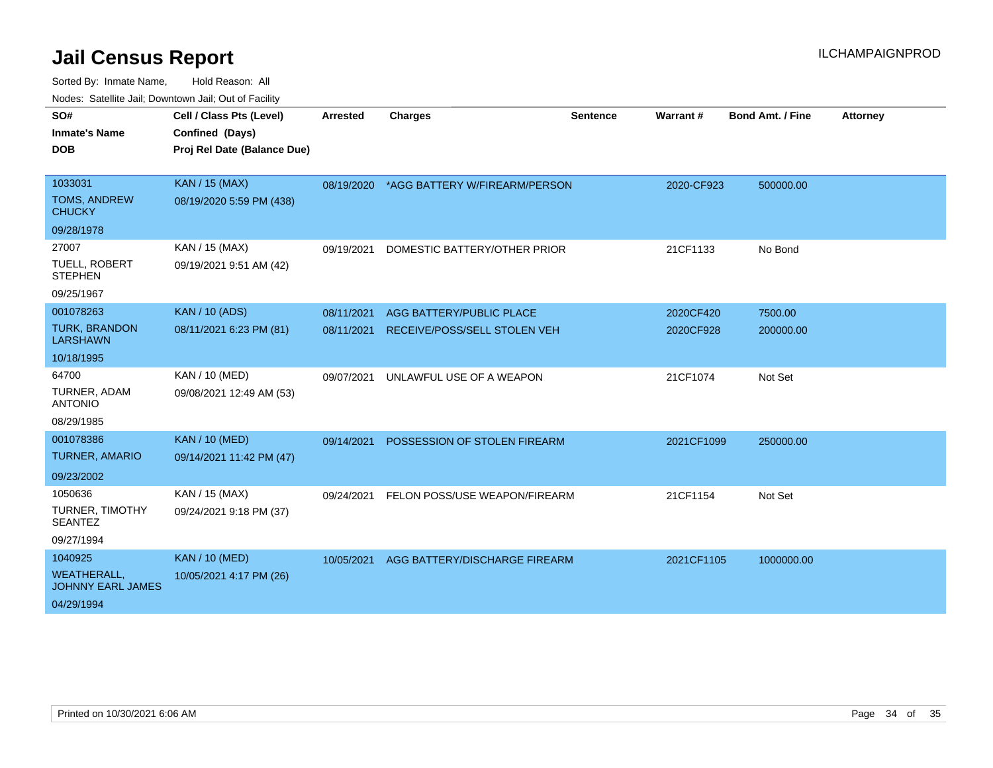| SO#                                            | Cell / Class Pts (Level)    | <b>Arrested</b> | <b>Charges</b>                  | <b>Sentence</b> | Warrant#   | <b>Bond Amt. / Fine</b> | <b>Attorney</b> |
|------------------------------------------------|-----------------------------|-----------------|---------------------------------|-----------------|------------|-------------------------|-----------------|
| <b>Inmate's Name</b>                           | Confined (Days)             |                 |                                 |                 |            |                         |                 |
| <b>DOB</b>                                     | Proj Rel Date (Balance Due) |                 |                                 |                 |            |                         |                 |
|                                                |                             |                 |                                 |                 |            |                         |                 |
| 1033031                                        | <b>KAN / 15 (MAX)</b>       | 08/19/2020      | *AGG BATTERY W/FIREARM/PERSON   |                 | 2020-CF923 | 500000.00               |                 |
| <b>TOMS, ANDREW</b><br><b>CHUCKY</b>           | 08/19/2020 5:59 PM (438)    |                 |                                 |                 |            |                         |                 |
| 09/28/1978                                     |                             |                 |                                 |                 |            |                         |                 |
| 27007                                          | KAN / 15 (MAX)              | 09/19/2021      | DOMESTIC BATTERY/OTHER PRIOR    |                 | 21CF1133   | No Bond                 |                 |
| <b>TUELL, ROBERT</b><br><b>STEPHEN</b>         | 09/19/2021 9:51 AM (42)     |                 |                                 |                 |            |                         |                 |
| 09/25/1967                                     |                             |                 |                                 |                 |            |                         |                 |
| 001078263                                      | <b>KAN / 10 (ADS)</b>       | 08/11/2021      | <b>AGG BATTERY/PUBLIC PLACE</b> |                 | 2020CF420  | 7500.00                 |                 |
| <b>TURK, BRANDON</b><br><b>LARSHAWN</b>        | 08/11/2021 6:23 PM (81)     | 08/11/2021      | RECEIVE/POSS/SELL STOLEN VEH    |                 | 2020CF928  | 200000.00               |                 |
| 10/18/1995                                     |                             |                 |                                 |                 |            |                         |                 |
| 64700                                          | KAN / 10 (MED)              | 09/07/2021      | UNLAWFUL USE OF A WEAPON        |                 | 21CF1074   | Not Set                 |                 |
| TURNER, ADAM<br><b>ANTONIO</b>                 | 09/08/2021 12:49 AM (53)    |                 |                                 |                 |            |                         |                 |
| 08/29/1985                                     |                             |                 |                                 |                 |            |                         |                 |
| 001078386                                      | <b>KAN / 10 (MED)</b>       | 09/14/2021      | POSSESSION OF STOLEN FIREARM    |                 | 2021CF1099 | 250000.00               |                 |
| <b>TURNER, AMARIO</b>                          | 09/14/2021 11:42 PM (47)    |                 |                                 |                 |            |                         |                 |
| 09/23/2002                                     |                             |                 |                                 |                 |            |                         |                 |
| 1050636                                        | KAN / 15 (MAX)              | 09/24/2021      | FELON POSS/USE WEAPON/FIREARM   |                 | 21CF1154   | Not Set                 |                 |
| <b>TURNER, TIMOTHY</b><br><b>SEANTEZ</b>       | 09/24/2021 9:18 PM (37)     |                 |                                 |                 |            |                         |                 |
| 09/27/1994                                     |                             |                 |                                 |                 |            |                         |                 |
| 1040925                                        | <b>KAN / 10 (MED)</b>       | 10/05/2021      | AGG BATTERY/DISCHARGE FIREARM   |                 | 2021CF1105 | 1000000.00              |                 |
| <b>WEATHERALL,</b><br><b>JOHNNY EARL JAMES</b> | 10/05/2021 4:17 PM (26)     |                 |                                 |                 |            |                         |                 |
| 04/29/1994                                     |                             |                 |                                 |                 |            |                         |                 |